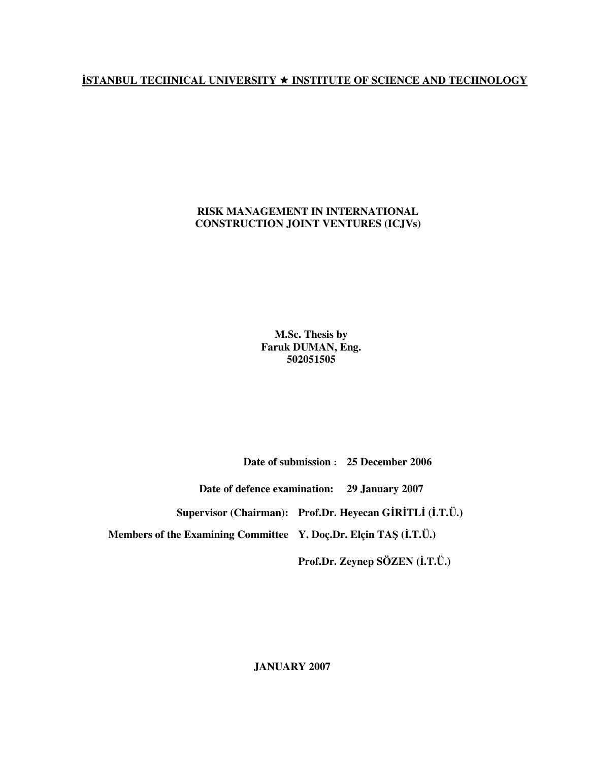# İ**STANBUL TECHNICAL UNIVERSITY INSTITUTE OF SCIENCE AND TECHNOLOGY**

## **RISK MANAGEMENT IN INTERNATIONAL CONSTRUCTION JOINT VENTURES (ICJVs)**

**M.Sc. Thesis by Faruk DUMAN, Eng. 502051505** 

**Date of submission : 25 December 2006**

**Date of defence examination: 29 January 2007**

**Supervisor (Chairman): Prof.Dr. Heyecan G**İ**R**İ**TL**İ **(**İ**.T.Ü.)** 

**Members of the Examining Committee Y. Doç.Dr. Elçin TA**Ş **(**İ**.T.Ü.)** 

**Prof.Dr. Zeynep SÖZEN (**İ**.T.Ü.)** 

 **JANUARY 2007**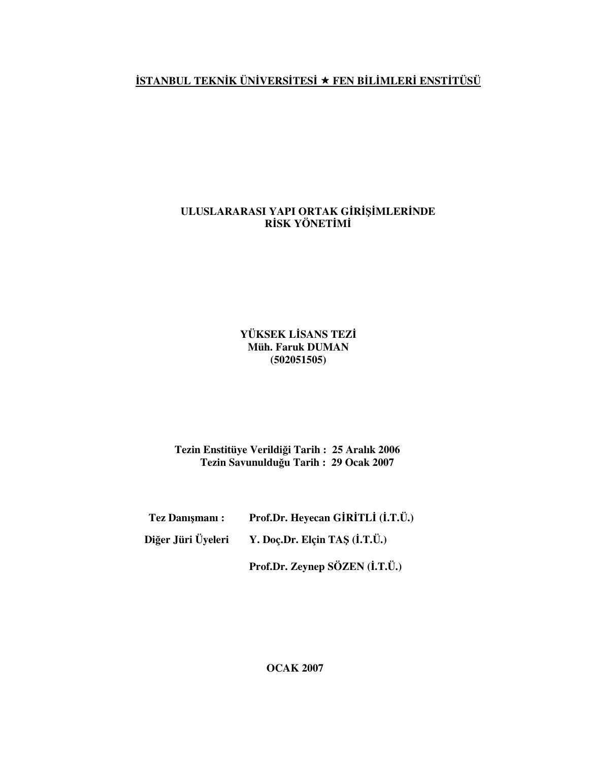# İ**STANBUL TEKN**İ**K ÜN**İ**VERS**İ**TES**İ  **FEN B**İ**L**İ**MLER**İ **ENST**İ**TÜSÜ**

## **ULUSLARARASI YAPI ORTAK G**İ**R**İŞİ**MLER**İ**NDE R**İ**SK YÖNET**İ**M**İ

**YÜKSEK L**İ**SANS TEZ**İ **Müh. Faruk DUMAN (502051505)** 

# **Tezin Enstitüye Verildi**ğ**i Tarih : 25 Aralık 2006 Tezin Savunuldu**ğ**u Tarih : 29 Ocak 2007**

| <b>Tez Danismani:</b> | Prof.Dr. Heyecan GİRİTLİ (İ.T.Ü.) |  |
|-----------------------|-----------------------------------|--|
| Diğer Jüri Üyeleri    | Y. Doc.Dr. Elçin TAS (İ.T.Ü.)     |  |
|                       | Prof.Dr. Zeynep SÖZEN (İ.T.Ü.)    |  |

**OCAK 2007**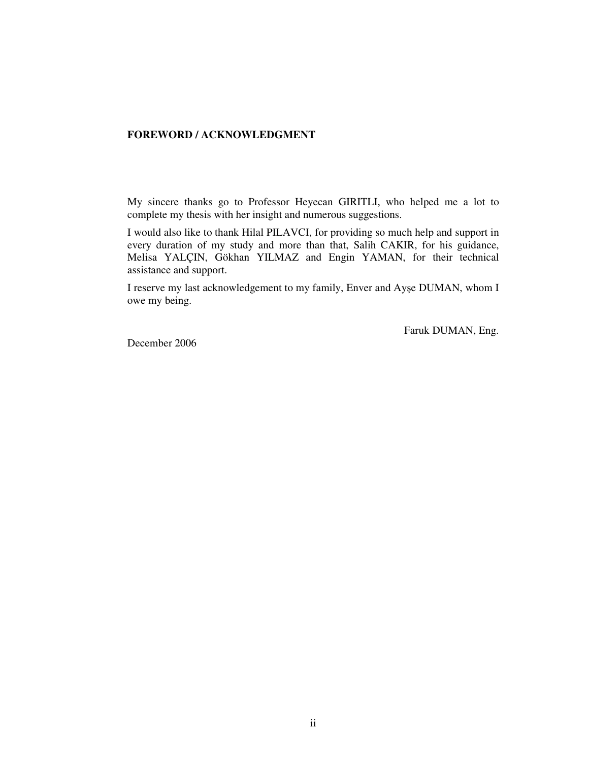### **FOREWORD / ACKNOWLEDGMENT**

My sincere thanks go to Professor Heyecan GIRITLI, who helped me a lot to complete my thesis with her insight and numerous suggestions.

I would also like to thank Hilal PILAVCI, for providing so much help and support in every duration of my study and more than that, Salih CAKIR, for his guidance, Melisa YALÇIN, Gökhan YILMAZ and Engin YAMAN, for their technical assistance and support.

I reserve my last acknowledgement to my family, Enver and Ayşe DUMAN, whom I owe my being.

Faruk DUMAN, Eng.

December 2006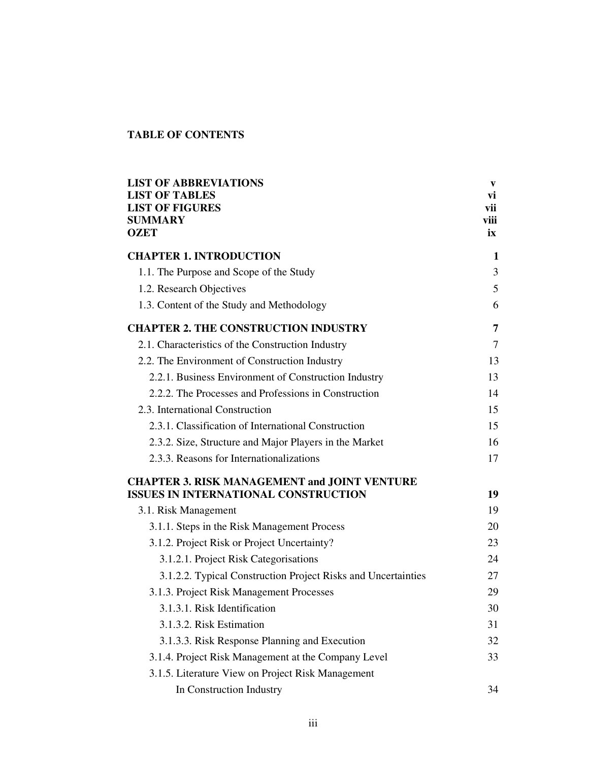# **TABLE OF CONTENTS**

| <b>LIST OF ABBREVIATIONS</b><br><b>LIST OF TABLES</b><br><b>LIST OF FIGURES</b><br><b>SUMMARY</b><br><b>OZET</b> | V<br>vi<br>vii<br>viii<br>ix |
|------------------------------------------------------------------------------------------------------------------|------------------------------|
| <b>CHAPTER 1. INTRODUCTION</b>                                                                                   | 1                            |
| 1.1. The Purpose and Scope of the Study                                                                          | 3                            |
| 1.2. Research Objectives                                                                                         | 5                            |
| 1.3. Content of the Study and Methodology                                                                        | 6                            |
| <b>CHAPTER 2. THE CONSTRUCTION INDUSTRY</b>                                                                      | 7                            |
| 2.1. Characteristics of the Construction Industry                                                                | 7                            |
| 2.2. The Environment of Construction Industry                                                                    | 13                           |
| 2.2.1. Business Environment of Construction Industry                                                             | 13                           |
| 2.2.2. The Processes and Professions in Construction                                                             | 14                           |
| 2.3. International Construction                                                                                  | 15                           |
| 2.3.1. Classification of International Construction                                                              | 15                           |
| 2.3.2. Size, Structure and Major Players in the Market                                                           | 16                           |
| 2.3.3. Reasons for Internationalizations                                                                         | 17                           |
| <b>CHAPTER 3. RISK MANAGEMENT and JOINT VENTURE</b><br><b>ISSUES IN INTERNATIONAL CONSTRUCTION</b>               | 19                           |
| 3.1. Risk Management                                                                                             | 19                           |
| 3.1.1. Steps in the Risk Management Process                                                                      | 20                           |
| 3.1.2. Project Risk or Project Uncertainty?                                                                      | 23                           |
| 3.1.2.1. Project Risk Categorisations                                                                            | 24                           |
| 3.1.2.2. Typical Construction Project Risks and Uncertainties                                                    | 27                           |
| 3.1.3. Project Risk Management Processes                                                                         | 29                           |
| 3.1.3.1. Risk Identification                                                                                     | 30                           |
| 3.1.3.2. Risk Estimation                                                                                         | 31                           |
| 3.1.3.3. Risk Response Planning and Execution                                                                    | 32                           |
| 3.1.4. Project Risk Management at the Company Level                                                              | 33                           |
| 3.1.5. Literature View on Project Risk Management                                                                |                              |
| In Construction Industry                                                                                         | 34                           |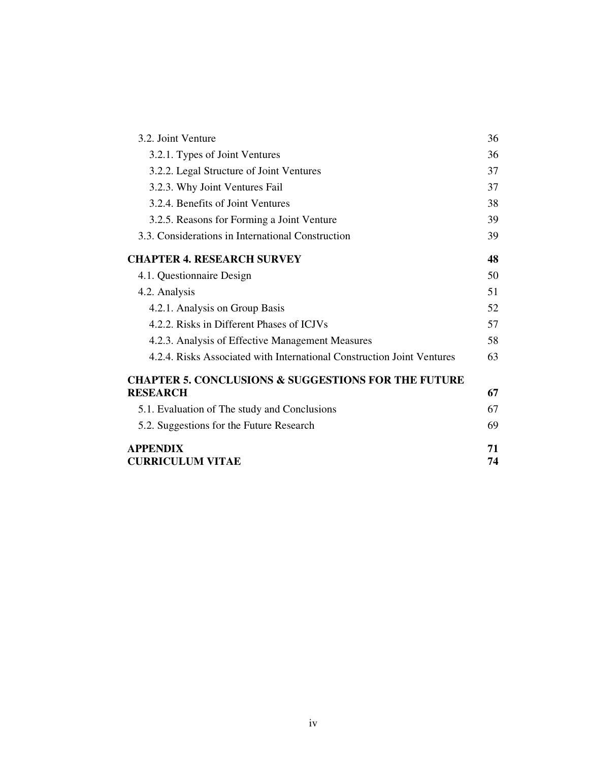| 3.2. Joint Venture                                                     | 36       |
|------------------------------------------------------------------------|----------|
| 3.2.1. Types of Joint Ventures                                         | 36       |
| 3.2.2. Legal Structure of Joint Ventures                               | 37       |
| 3.2.3. Why Joint Ventures Fail                                         | 37       |
| 3.2.4. Benefits of Joint Ventures                                      | 38       |
| 3.2.5. Reasons for Forming a Joint Venture                             | 39       |
| 3.3. Considerations in International Construction                      | 39       |
| <b>CHAPTER 4. RESEARCH SURVEY</b>                                      | 48       |
| 4.1. Questionnaire Design                                              | 50       |
| 4.2. Analysis                                                          | 51       |
| 4.2.1. Analysis on Group Basis                                         | 52       |
| 4.2.2. Risks in Different Phases of ICJVs                              | 57       |
| 4.2.3. Analysis of Effective Management Measures                       | 58       |
| 4.2.4. Risks Associated with International Construction Joint Ventures | 63       |
| <b>CHAPTER 5. CONCLUSIONS &amp; SUGGESTIONS FOR THE FUTURE</b>         |          |
| <b>RESEARCH</b>                                                        | 67       |
| 5.1. Evaluation of The study and Conclusions                           | 67       |
| 5.2. Suggestions for the Future Research                               | 69       |
| <b>APPENDIX</b><br><b>CURRICULUM VITAE</b>                             | 71<br>74 |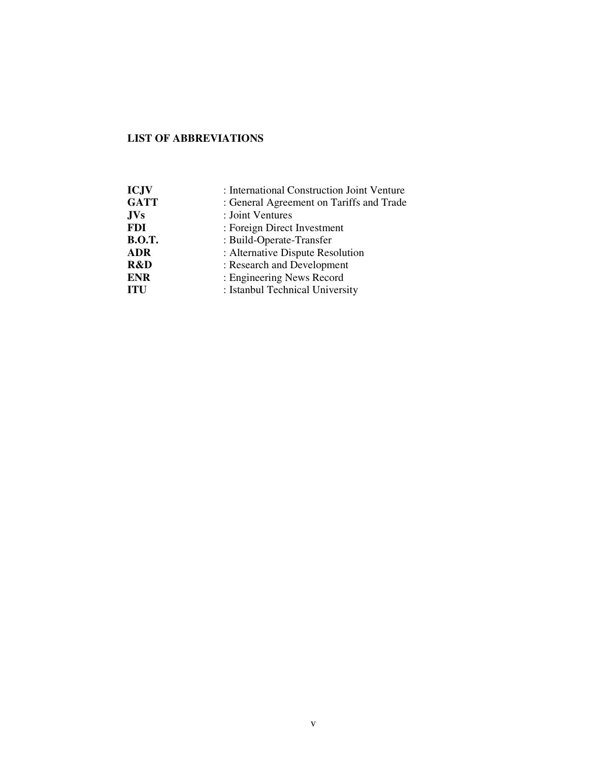## **LIST OF ABBREVIATIONS**

| <b>ICJV</b>   | : International Construction Joint Venture |
|---------------|--------------------------------------------|
| <b>GATT</b>   | : General Agreement on Tariffs and Trade   |
| JVs           | : Joint Ventures                           |
| <b>FDI</b>    | : Foreign Direct Investment                |
| <b>B.O.T.</b> | : Build-Operate-Transfer                   |
| <b>ADR</b>    | : Alternative Dispute Resolution           |
| R&D           | : Research and Development                 |
| <b>ENR</b>    | : Engineering News Record                  |
| <b>ITU</b>    | : Istanbul Technical University            |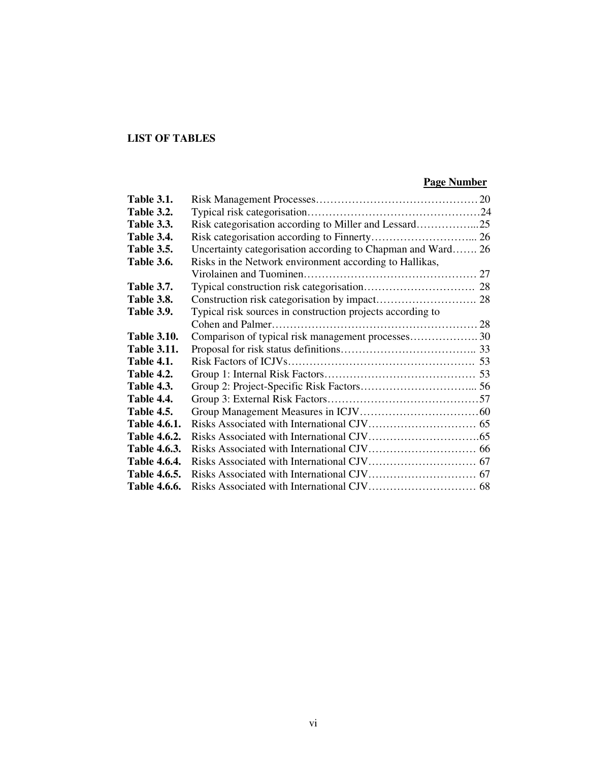## **LIST OF TABLES**

# **Page Number**

| <b>Table 3.1.</b>   |                                                             |  |
|---------------------|-------------------------------------------------------------|--|
| <b>Table 3.2.</b>   |                                                             |  |
| <b>Table 3.3.</b>   |                                                             |  |
| Table 3.4.          |                                                             |  |
| <b>Table 3.5.</b>   | Uncertainty categorisation according to Chapman and Ward 26 |  |
| <b>Table 3.6.</b>   | Risks in the Network environment according to Hallikas,     |  |
|                     |                                                             |  |
| <b>Table 3.7.</b>   |                                                             |  |
| Table 3.8.          |                                                             |  |
| Table 3.9.          | Typical risk sources in construction projects according to  |  |
|                     |                                                             |  |
| <b>Table 3.10.</b>  | Comparison of typical risk management processes30           |  |
| <b>Table 3.11.</b>  |                                                             |  |
| <b>Table 4.1.</b>   |                                                             |  |
| <b>Table 4.2.</b>   |                                                             |  |
| <b>Table 4.3.</b>   |                                                             |  |
| Table 4.4.          |                                                             |  |
| <b>Table 4.5.</b>   |                                                             |  |
| <b>Table 4.6.1.</b> |                                                             |  |
| <b>Table 4.6.2.</b> |                                                             |  |
| <b>Table 4.6.3.</b> |                                                             |  |
| <b>Table 4.6.4.</b> |                                                             |  |
| <b>Table 4.6.5.</b> |                                                             |  |
| Table 4.6.6.        |                                                             |  |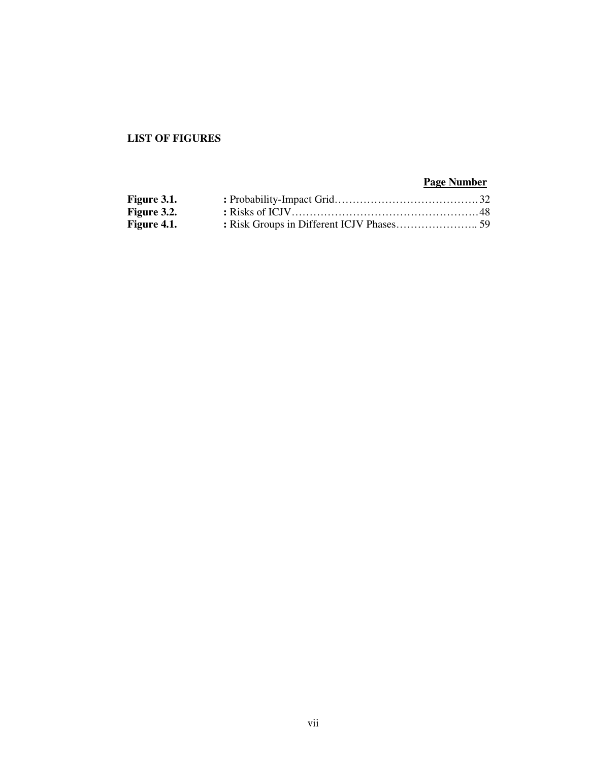# **LIST OF FIGURES**

# **Page Number**

| Figure 3.1. |  |
|-------------|--|
| Figure 3.2. |  |
| Figure 4.1. |  |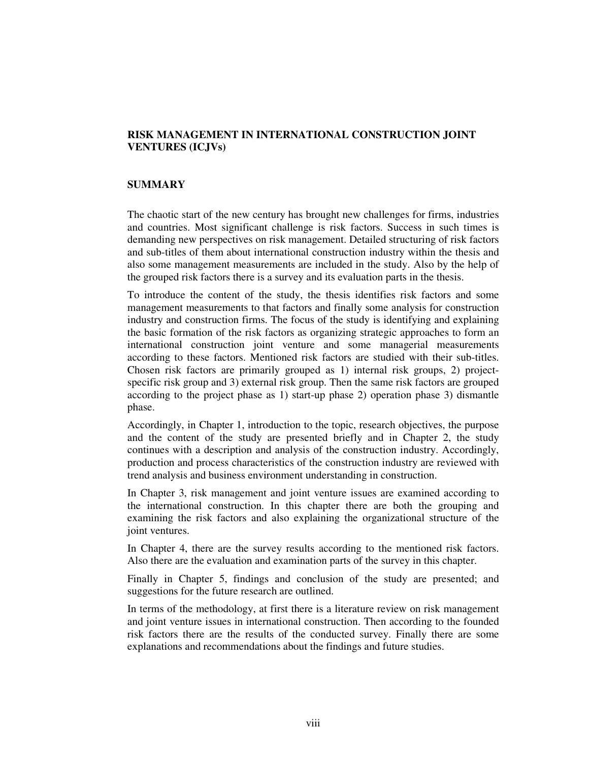### **RISK MANAGEMENT IN INTERNATIONAL CONSTRUCTION JOINT VENTURES (ICJVs)**

### **SUMMARY**

The chaotic start of the new century has brought new challenges for firms, industries and countries. Most significant challenge is risk factors. Success in such times is demanding new perspectives on risk management. Detailed structuring of risk factors and sub-titles of them about international construction industry within the thesis and also some management measurements are included in the study. Also by the help of the grouped risk factors there is a survey and its evaluation parts in the thesis.

To introduce the content of the study, the thesis identifies risk factors and some management measurements to that factors and finally some analysis for construction industry and construction firms. The focus of the study is identifying and explaining the basic formation of the risk factors as organizing strategic approaches to form an international construction joint venture and some managerial measurements according to these factors. Mentioned risk factors are studied with their sub-titles. Chosen risk factors are primarily grouped as 1) internal risk groups, 2) projectspecific risk group and 3) external risk group. Then the same risk factors are grouped according to the project phase as 1) start-up phase 2) operation phase 3) dismantle phase.

Accordingly, in Chapter 1, introduction to the topic, research objectives, the purpose and the content of the study are presented briefly and in Chapter 2, the study continues with a description and analysis of the construction industry. Accordingly, production and process characteristics of the construction industry are reviewed with trend analysis and business environment understanding in construction.

In Chapter 3, risk management and joint venture issues are examined according to the international construction. In this chapter there are both the grouping and examining the risk factors and also explaining the organizational structure of the joint ventures.

In Chapter 4, there are the survey results according to the mentioned risk factors. Also there are the evaluation and examination parts of the survey in this chapter.

Finally in Chapter 5, findings and conclusion of the study are presented; and suggestions for the future research are outlined.

In terms of the methodology, at first there is a literature review on risk management and joint venture issues in international construction. Then according to the founded risk factors there are the results of the conducted survey. Finally there are some explanations and recommendations about the findings and future studies.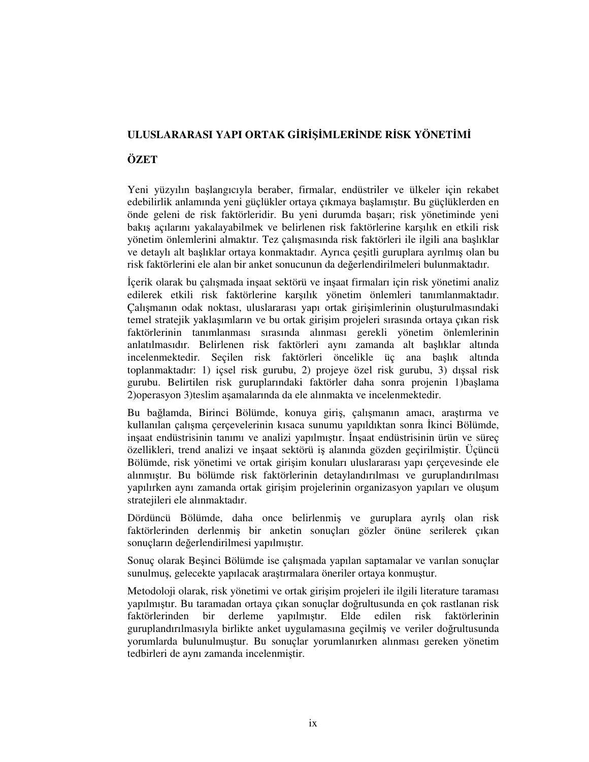# **ULUSLARARASI YAPI ORTAK G**İ**R**İŞİ**MLER**İ**NDE R**İ**SK YÖNET**İ**M**İ

# **ÖZET**

Yeni yüzyılın başlangıcıyla beraber, firmalar, endüstriler ve ülkeler için rekabet edebilirlik anlamında yeni güçlükler ortaya çıkmaya başlamıştır. Bu güçlüklerden en önde geleni de risk faktörleridir. Bu yeni durumda başarı; risk yönetiminde yeni bakış açılarını yakalayabilmek ve belirlenen risk faktörlerine karşılık en etkili risk yönetim önlemlerini almaktır. Tez çalışmasında risk faktörleri ile ilgili ana başlıklar ve detaylı alt başlıklar ortaya konmaktadır. Ayrıca çeşitli guruplara ayrılmış olan bu risk faktörlerini ele alan bir anket sonucunun da değerlendirilmeleri bulunmaktadır.

İçerik olarak bu çalışmada inşaat sektörü ve inşaat firmaları için risk yönetimi analiz edilerek etkili risk faktörlerine karşılık yönetim önlemleri tanımlanmaktadır. Çalışmanın odak noktası, uluslararası yapı ortak girişimlerinin oluşturulmasındaki temel stratejik yaklaşımların ve bu ortak girişim projeleri sırasında ortaya çıkan risk faktörlerinin tanımlanması sırasında alınması gerekli yönetim önlemlerinin anlatılmasıdır. Belirlenen risk faktörleri aynı zamanda alt başlıklar altında incelenmektedir. Seçilen risk faktörleri öncelikle üç ana başlık altında toplanmaktadır: 1) içsel risk gurubu, 2) projeye özel risk gurubu, 3) dışsal risk gurubu. Belirtilen risk guruplarındaki faktörler daha sonra projenin 1)başlama 2)operasyon 3)teslim aşamalarında da ele alınmakta ve incelenmektedir.

Bu bağlamda, Birinci Bölümde, konuya giriş, çalışmanın amacı, araştırma ve kullanılan çalışma çerçevelerinin kısaca sunumu yapıldıktan sonra İkinci Bölümde, inşaat endüstrisinin tanımı ve analizi yapılmıştır. İnşaat endüstrisinin ürün ve süreç özellikleri, trend analizi ve inşaat sektörü iş alanında gözden geçirilmiştir. Üçüncü Bölümde, risk yönetimi ve ortak girişim konuları uluslararası yapı çerçevesinde ele alınmıştır. Bu bölümde risk faktörlerinin detaylandırılması ve guruplandırılması yapılırken aynı zamanda ortak girişim projelerinin organizasyon yapıları ve oluşum stratejileri ele alınmaktadır.

Dördüncü Bölümde, daha once belirlenmiş ve guruplara ayrılş olan risk faktörlerinden derlenmiş bir anketin sonuçları gözler önüne serilerek çıkan sonuçların değerlendirilmesi yapılmıştır.

Sonuç olarak Beşinci Bölümde ise çalışmada yapılan saptamalar ve varılan sonuçlar sunulmuş, gelecekte yapılacak araştırmalara öneriler ortaya konmuştur.

Metodoloji olarak, risk yönetimi ve ortak girişim projeleri ile ilgili literature taraması yapılmıştır. Bu taramadan ortaya çıkan sonuçlar doğrultusunda en çok rastlanan risk faktörlerinden bir derleme yapılmıştır. Elde edilen risk faktörlerinin guruplandırılmasıyla birlikte anket uygulamasına geçilmiş ve veriler doğrultusunda yorumlarda bulunulmuştur. Bu sonuçlar yorumlanırken alınması gereken yönetim tedbirleri de aynı zamanda incelenmiştir.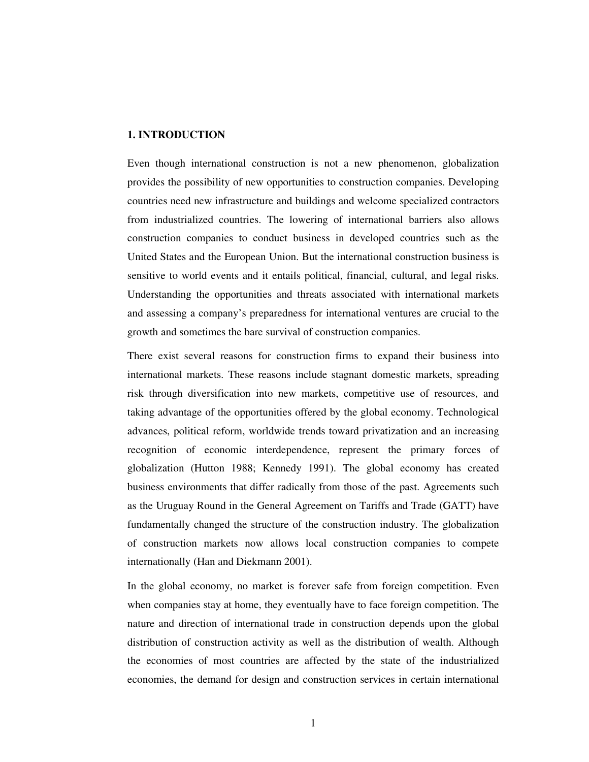#### **1. INTRODUCTION**

Even though international construction is not a new phenomenon, globalization provides the possibility of new opportunities to construction companies. Developing countries need new infrastructure and buildings and welcome specialized contractors from industrialized countries. The lowering of international barriers also allows construction companies to conduct business in developed countries such as the United States and the European Union. But the international construction business is sensitive to world events and it entails political, financial, cultural, and legal risks. Understanding the opportunities and threats associated with international markets and assessing a company's preparedness for international ventures are crucial to the growth and sometimes the bare survival of construction companies.

There exist several reasons for construction firms to expand their business into international markets. These reasons include stagnant domestic markets, spreading risk through diversification into new markets, competitive use of resources, and taking advantage of the opportunities offered by the global economy. Technological advances, political reform, worldwide trends toward privatization and an increasing recognition of economic interdependence, represent the primary forces of globalization (Hutton 1988; Kennedy 1991). The global economy has created business environments that differ radically from those of the past. Agreements such as the Uruguay Round in the General Agreement on Tariffs and Trade (GATT) have fundamentally changed the structure of the construction industry. The globalization of construction markets now allows local construction companies to compete internationally (Han and Diekmann 2001).

In the global economy, no market is forever safe from foreign competition. Even when companies stay at home, they eventually have to face foreign competition. The nature and direction of international trade in construction depends upon the global distribution of construction activity as well as the distribution of wealth. Although the economies of most countries are affected by the state of the industrialized economies, the demand for design and construction services in certain international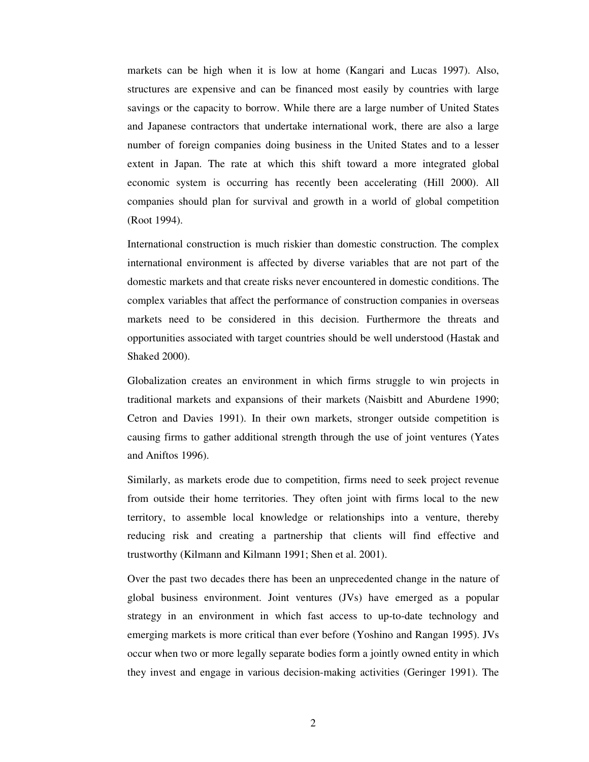markets can be high when it is low at home (Kangari and Lucas 1997). Also, structures are expensive and can be financed most easily by countries with large savings or the capacity to borrow. While there are a large number of United States and Japanese contractors that undertake international work, there are also a large number of foreign companies doing business in the United States and to a lesser extent in Japan. The rate at which this shift toward a more integrated global economic system is occurring has recently been accelerating (Hill 2000). All companies should plan for survival and growth in a world of global competition (Root 1994).

International construction is much riskier than domestic construction. The complex international environment is affected by diverse variables that are not part of the domestic markets and that create risks never encountered in domestic conditions. The complex variables that affect the performance of construction companies in overseas markets need to be considered in this decision. Furthermore the threats and opportunities associated with target countries should be well understood (Hastak and Shaked 2000).

Globalization creates an environment in which firms struggle to win projects in traditional markets and expansions of their markets (Naisbitt and Aburdene 1990; Cetron and Davies 1991). In their own markets, stronger outside competition is causing firms to gather additional strength through the use of joint ventures (Yates and Aniftos 1996).

Similarly, as markets erode due to competition, firms need to seek project revenue from outside their home territories. They often joint with firms local to the new territory, to assemble local knowledge or relationships into a venture, thereby reducing risk and creating a partnership that clients will find effective and trustworthy (Kilmann and Kilmann 1991; Shen et al. 2001).

Over the past two decades there has been an unprecedented change in the nature of global business environment. Joint ventures (JVs) have emerged as a popular strategy in an environment in which fast access to up-to-date technology and emerging markets is more critical than ever before (Yoshino and Rangan 1995). JVs occur when two or more legally separate bodies form a jointly owned entity in which they invest and engage in various decision-making activities (Geringer 1991). The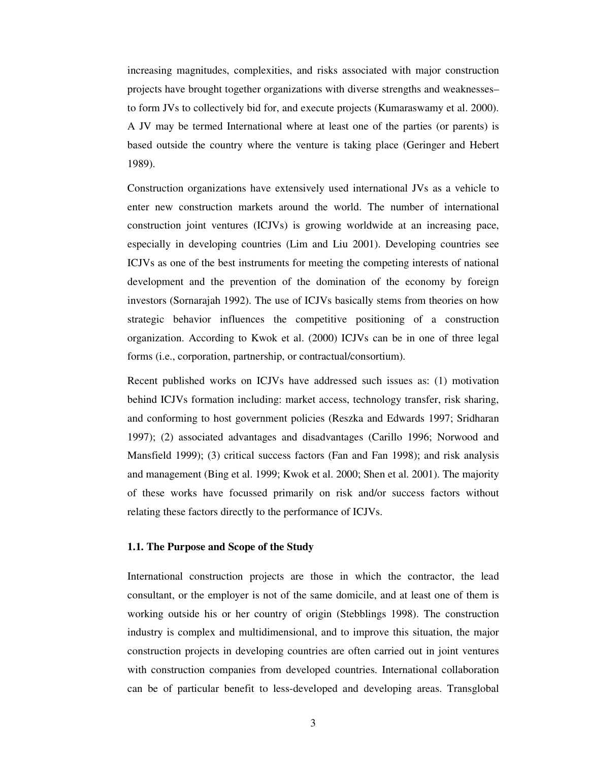increasing magnitudes, complexities, and risks associated with major construction projects have brought together organizations with diverse strengths and weaknesses– to form JVs to collectively bid for, and execute projects (Kumaraswamy et al. 2000). A JV may be termed International where at least one of the parties (or parents) is based outside the country where the venture is taking place (Geringer and Hebert 1989).

Construction organizations have extensively used international JVs as a vehicle to enter new construction markets around the world. The number of international construction joint ventures (ICJVs) is growing worldwide at an increasing pace, especially in developing countries (Lim and Liu 2001). Developing countries see ICJVs as one of the best instruments for meeting the competing interests of national development and the prevention of the domination of the economy by foreign investors (Sornarajah 1992). The use of ICJVs basically stems from theories on how strategic behavior influences the competitive positioning of a construction organization. According to Kwok et al. (2000) ICJVs can be in one of three legal forms (i.e., corporation, partnership, or contractual/consortium).

Recent published works on ICJVs have addressed such issues as: (1) motivation behind ICJVs formation including: market access, technology transfer, risk sharing, and conforming to host government policies (Reszka and Edwards 1997; Sridharan 1997); (2) associated advantages and disadvantages (Carillo 1996; Norwood and Mansfield 1999); (3) critical success factors (Fan and Fan 1998); and risk analysis and management (Bing et al. 1999; Kwok et al. 2000; Shen et al. 2001). The majority of these works have focussed primarily on risk and/or success factors without relating these factors directly to the performance of ICJVs.

#### **1.1. The Purpose and Scope of the Study**

International construction projects are those in which the contractor, the lead consultant, or the employer is not of the same domicile, and at least one of them is working outside his or her country of origin (Stebblings 1998). The construction industry is complex and multidimensional, and to improve this situation, the major construction projects in developing countries are often carried out in joint ventures with construction companies from developed countries. International collaboration can be of particular benefit to less-developed and developing areas. Transglobal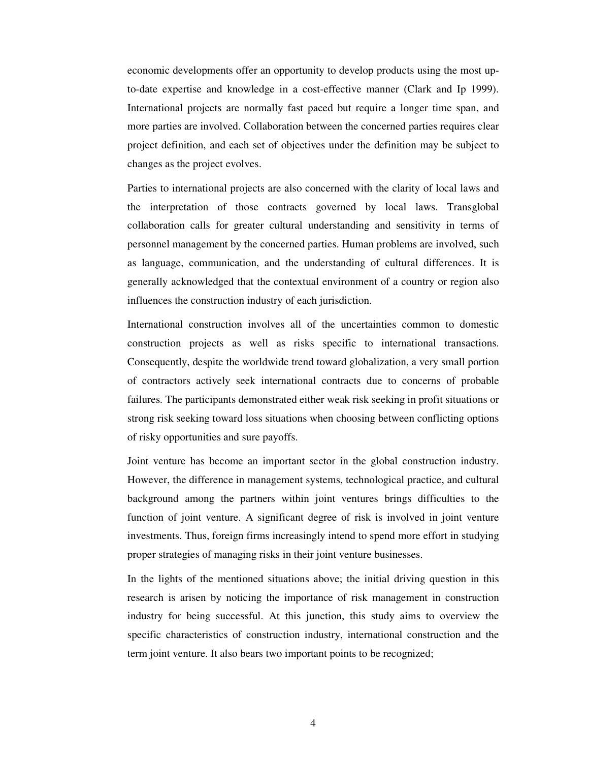economic developments offer an opportunity to develop products using the most upto-date expertise and knowledge in a cost-effective manner (Clark and Ip 1999). International projects are normally fast paced but require a longer time span, and more parties are involved. Collaboration between the concerned parties requires clear project definition, and each set of objectives under the definition may be subject to changes as the project evolves.

Parties to international projects are also concerned with the clarity of local laws and the interpretation of those contracts governed by local laws. Transglobal collaboration calls for greater cultural understanding and sensitivity in terms of personnel management by the concerned parties. Human problems are involved, such as language, communication, and the understanding of cultural differences. It is generally acknowledged that the contextual environment of a country or region also influences the construction industry of each jurisdiction.

International construction involves all of the uncertainties common to domestic construction projects as well as risks specific to international transactions. Consequently, despite the worldwide trend toward globalization, a very small portion of contractors actively seek international contracts due to concerns of probable failures. The participants demonstrated either weak risk seeking in profit situations or strong risk seeking toward loss situations when choosing between conflicting options of risky opportunities and sure payoffs.

Joint venture has become an important sector in the global construction industry. However, the difference in management systems, technological practice, and cultural background among the partners within joint ventures brings difficulties to the function of joint venture. A significant degree of risk is involved in joint venture investments. Thus, foreign firms increasingly intend to spend more effort in studying proper strategies of managing risks in their joint venture businesses.

In the lights of the mentioned situations above; the initial driving question in this research is arisen by noticing the importance of risk management in construction industry for being successful. At this junction, this study aims to overview the specific characteristics of construction industry, international construction and the term joint venture. It also bears two important points to be recognized;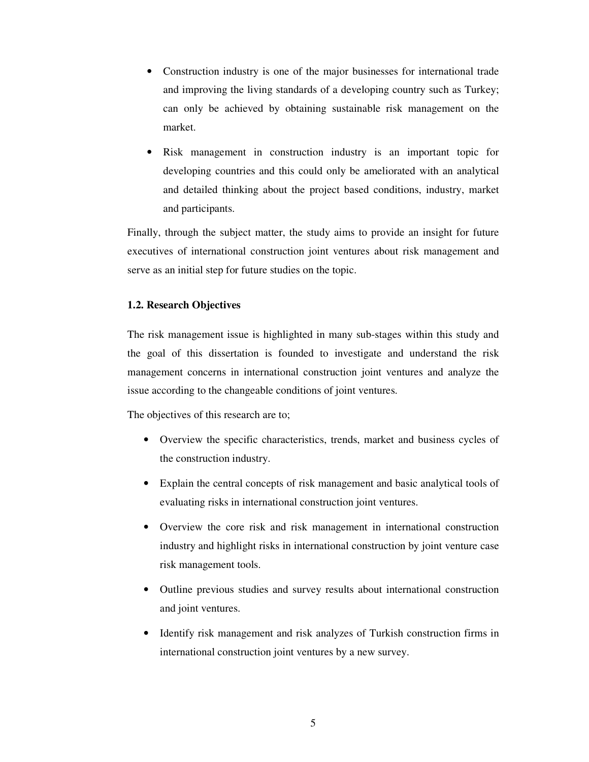- Construction industry is one of the major businesses for international trade and improving the living standards of a developing country such as Turkey; can only be achieved by obtaining sustainable risk management on the market.
- Risk management in construction industry is an important topic for developing countries and this could only be ameliorated with an analytical and detailed thinking about the project based conditions, industry, market and participants.

Finally, through the subject matter, the study aims to provide an insight for future executives of international construction joint ventures about risk management and serve as an initial step for future studies on the topic.

### **1.2. Research Objectives**

The risk management issue is highlighted in many sub-stages within this study and the goal of this dissertation is founded to investigate and understand the risk management concerns in international construction joint ventures and analyze the issue according to the changeable conditions of joint ventures.

The objectives of this research are to;

- Overview the specific characteristics, trends, market and business cycles of the construction industry.
- Explain the central concepts of risk management and basic analytical tools of evaluating risks in international construction joint ventures.
- Overview the core risk and risk management in international construction industry and highlight risks in international construction by joint venture case risk management tools.
- Outline previous studies and survey results about international construction and joint ventures.
- Identify risk management and risk analyzes of Turkish construction firms in international construction joint ventures by a new survey.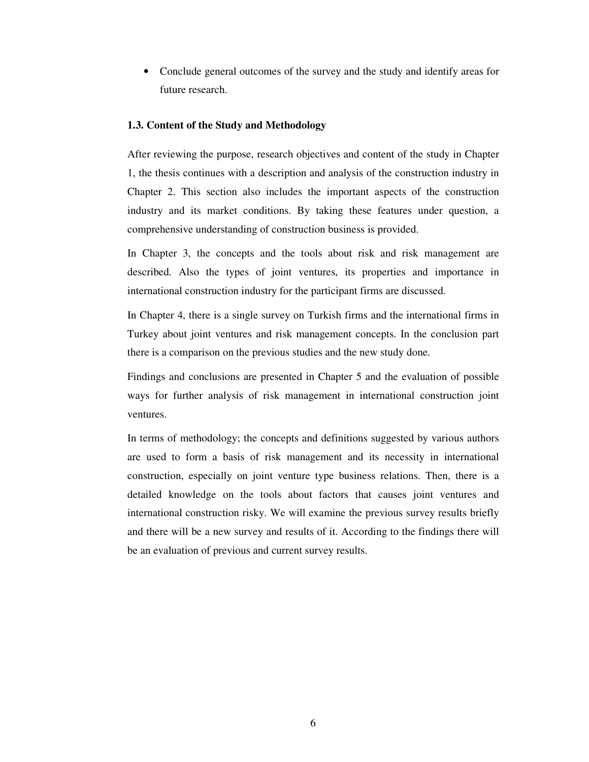• Conclude general outcomes of the survey and the study and identify areas for future research.

#### **1.3. Content of the Study and Methodology**

After reviewing the purpose, research objectives and content of the study in Chapter 1, the thesis continues with a description and analysis of the construction industry in Chapter 2. This section also includes the important aspects of the construction industry and its market conditions. By taking these features under question, a comprehensive understanding of construction business is provided.

In Chapter 3, the concepts and the tools about risk and risk management are described. Also the types of joint ventures, its properties and importance in international construction industry for the participant firms are discussed.

In Chapter 4, there is a single survey on Turkish firms and the international firms in Turkey about joint ventures and risk management concepts. In the conclusion part there is a comparison on the previous studies and the new study done.

Findings and conclusions are presented in Chapter 5 and the evaluation of possible ways for further analysis of risk management in international construction joint ventures.

In terms of methodology; the concepts and definitions suggested by various authors are used to form a basis of risk management and its necessity in international construction, especially on joint venture type business relations. Then, there is a detailed knowledge on the tools about factors that causes joint ventures and international construction risky. We will examine the previous survey results briefly and there will be a new survey and results of it. According to the findings there will be an evaluation of previous and current survey results.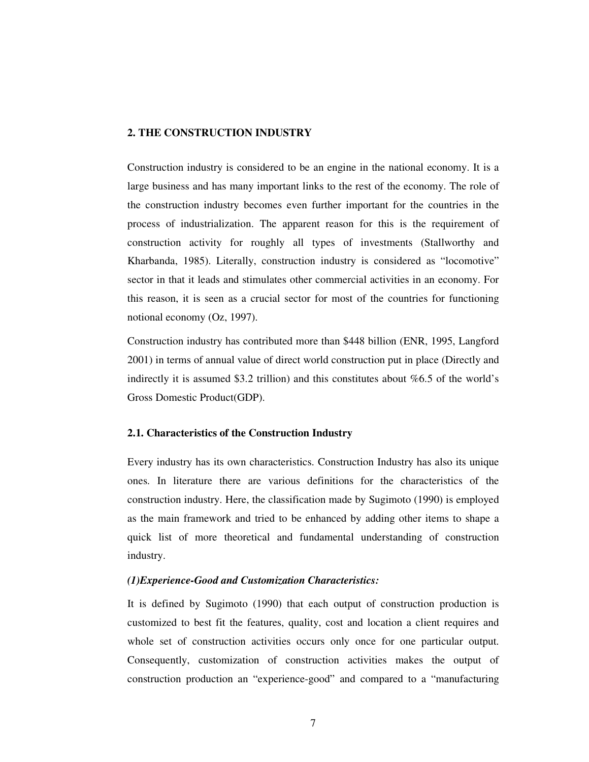### **2. THE CONSTRUCTION INDUSTRY**

Construction industry is considered to be an engine in the national economy. It is a large business and has many important links to the rest of the economy. The role of the construction industry becomes even further important for the countries in the process of industrialization. The apparent reason for this is the requirement of construction activity for roughly all types of investments (Stallworthy and Kharbanda, 1985). Literally, construction industry is considered as "locomotive" sector in that it leads and stimulates other commercial activities in an economy. For this reason, it is seen as a crucial sector for most of the countries for functioning notional economy (Oz, 1997).

Construction industry has contributed more than \$448 billion (ENR, 1995, Langford 2001) in terms of annual value of direct world construction put in place (Directly and indirectly it is assumed \$3.2 trillion) and this constitutes about %6.5 of the world's Gross Domestic Product(GDP).

#### **2.1. Characteristics of the Construction Industry**

Every industry has its own characteristics. Construction Industry has also its unique ones. In literature there are various definitions for the characteristics of the construction industry. Here, the classification made by Sugimoto (1990) is employed as the main framework and tried to be enhanced by adding other items to shape a quick list of more theoretical and fundamental understanding of construction industry.

### *(1)Experience-Good and Customization Characteristics:*

It is defined by Sugimoto (1990) that each output of construction production is customized to best fit the features, quality, cost and location a client requires and whole set of construction activities occurs only once for one particular output. Consequently, customization of construction activities makes the output of construction production an "experience-good" and compared to a "manufacturing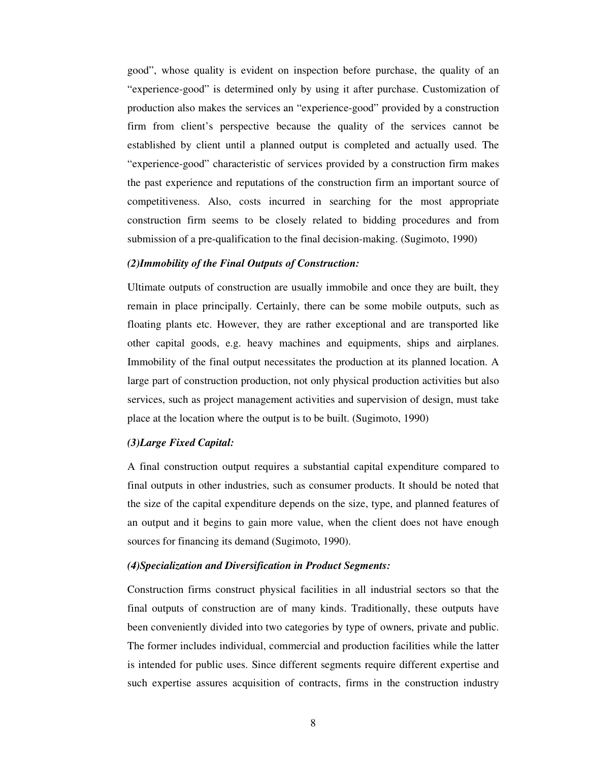good", whose quality is evident on inspection before purchase, the quality of an "experience-good" is determined only by using it after purchase. Customization of production also makes the services an "experience-good" provided by a construction firm from client's perspective because the quality of the services cannot be established by client until a planned output is completed and actually used. The "experience-good" characteristic of services provided by a construction firm makes the past experience and reputations of the construction firm an important source of competitiveness. Also, costs incurred in searching for the most appropriate construction firm seems to be closely related to bidding procedures and from submission of a pre-qualification to the final decision-making. (Sugimoto, 1990)

#### *(2)Immobility of the Final Outputs of Construction:*

Ultimate outputs of construction are usually immobile and once they are built, they remain in place principally. Certainly, there can be some mobile outputs, such as floating plants etc. However, they are rather exceptional and are transported like other capital goods, e.g. heavy machines and equipments, ships and airplanes. Immobility of the final output necessitates the production at its planned location. A large part of construction production, not only physical production activities but also services, such as project management activities and supervision of design, must take place at the location where the output is to be built. (Sugimoto, 1990)

#### *(3)Large Fixed Capital:*

A final construction output requires a substantial capital expenditure compared to final outputs in other industries, such as consumer products. It should be noted that the size of the capital expenditure depends on the size, type, and planned features of an output and it begins to gain more value, when the client does not have enough sources for financing its demand (Sugimoto, 1990).

#### *(4)Specialization and Diversification in Product Segments:*

Construction firms construct physical facilities in all industrial sectors so that the final outputs of construction are of many kinds. Traditionally, these outputs have been conveniently divided into two categories by type of owners, private and public. The former includes individual, commercial and production facilities while the latter is intended for public uses. Since different segments require different expertise and such expertise assures acquisition of contracts, firms in the construction industry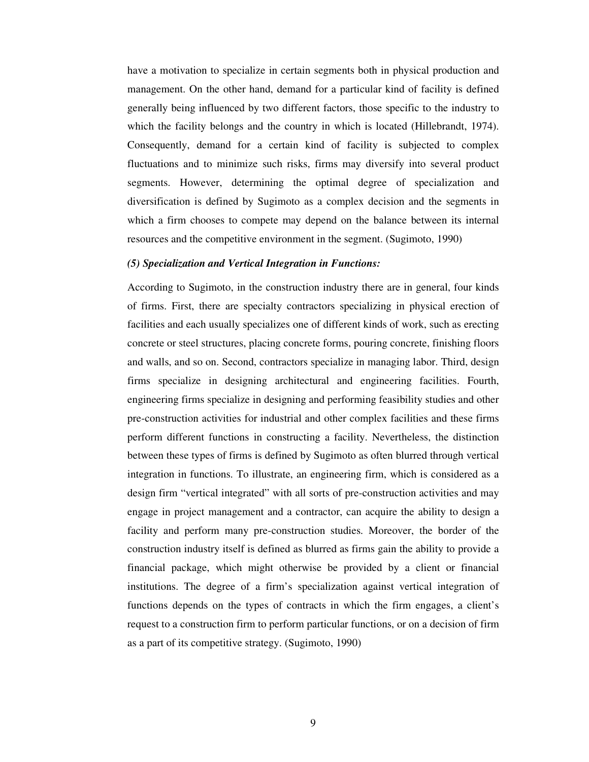have a motivation to specialize in certain segments both in physical production and management. On the other hand, demand for a particular kind of facility is defined generally being influenced by two different factors, those specific to the industry to which the facility belongs and the country in which is located (Hillebrandt, 1974). Consequently, demand for a certain kind of facility is subjected to complex fluctuations and to minimize such risks, firms may diversify into several product segments. However, determining the optimal degree of specialization and diversification is defined by Sugimoto as a complex decision and the segments in which a firm chooses to compete may depend on the balance between its internal resources and the competitive environment in the segment. (Sugimoto, 1990)

#### *(5) Specialization and Vertical Integration in Functions:*

According to Sugimoto, in the construction industry there are in general, four kinds of firms. First, there are specialty contractors specializing in physical erection of facilities and each usually specializes one of different kinds of work, such as erecting concrete or steel structures, placing concrete forms, pouring concrete, finishing floors and walls, and so on. Second, contractors specialize in managing labor. Third, design firms specialize in designing architectural and engineering facilities. Fourth, engineering firms specialize in designing and performing feasibility studies and other pre-construction activities for industrial and other complex facilities and these firms perform different functions in constructing a facility. Nevertheless, the distinction between these types of firms is defined by Sugimoto as often blurred through vertical integration in functions. To illustrate, an engineering firm, which is considered as a design firm "vertical integrated" with all sorts of pre-construction activities and may engage in project management and a contractor, can acquire the ability to design a facility and perform many pre-construction studies. Moreover, the border of the construction industry itself is defined as blurred as firms gain the ability to provide a financial package, which might otherwise be provided by a client or financial institutions. The degree of a firm's specialization against vertical integration of functions depends on the types of contracts in which the firm engages, a client's request to a construction firm to perform particular functions, or on a decision of firm as a part of its competitive strategy. (Sugimoto, 1990)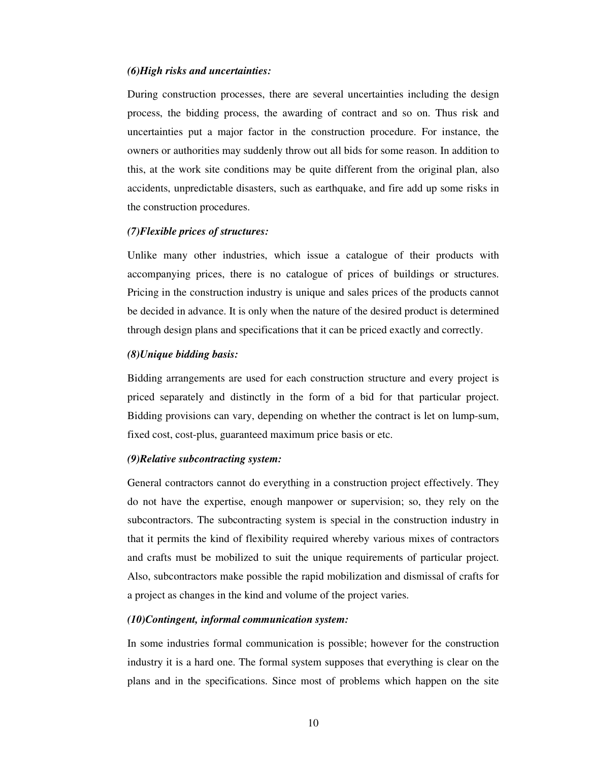#### *(6)High risks and uncertainties:*

During construction processes, there are several uncertainties including the design process, the bidding process, the awarding of contract and so on. Thus risk and uncertainties put a major factor in the construction procedure. For instance, the owners or authorities may suddenly throw out all bids for some reason. In addition to this, at the work site conditions may be quite different from the original plan, also accidents, unpredictable disasters, such as earthquake, and fire add up some risks in the construction procedures.

### *(7)Flexible prices of structures:*

Unlike many other industries, which issue a catalogue of their products with accompanying prices, there is no catalogue of prices of buildings or structures. Pricing in the construction industry is unique and sales prices of the products cannot be decided in advance. It is only when the nature of the desired product is determined through design plans and specifications that it can be priced exactly and correctly.

### *(8)Unique bidding basis:*

Bidding arrangements are used for each construction structure and every project is priced separately and distinctly in the form of a bid for that particular project. Bidding provisions can vary, depending on whether the contract is let on lump-sum, fixed cost, cost-plus, guaranteed maximum price basis or etc.

#### *(9)Relative subcontracting system:*

General contractors cannot do everything in a construction project effectively. They do not have the expertise, enough manpower or supervision; so, they rely on the subcontractors. The subcontracting system is special in the construction industry in that it permits the kind of flexibility required whereby various mixes of contractors and crafts must be mobilized to suit the unique requirements of particular project. Also, subcontractors make possible the rapid mobilization and dismissal of crafts for a project as changes in the kind and volume of the project varies.

#### *(10)Contingent, informal communication system:*

In some industries formal communication is possible; however for the construction industry it is a hard one. The formal system supposes that everything is clear on the plans and in the specifications. Since most of problems which happen on the site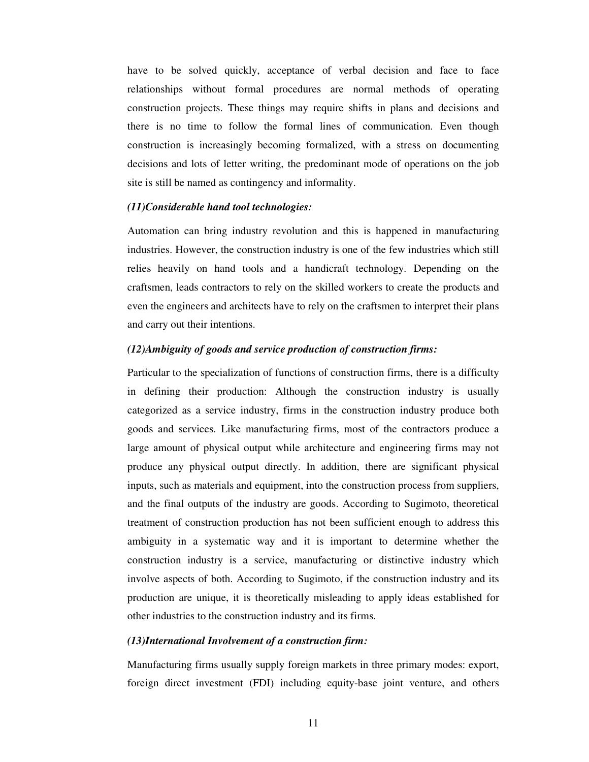have to be solved quickly, acceptance of verbal decision and face to face relationships without formal procedures are normal methods of operating construction projects. These things may require shifts in plans and decisions and there is no time to follow the formal lines of communication. Even though construction is increasingly becoming formalized, with a stress on documenting decisions and lots of letter writing, the predominant mode of operations on the job site is still be named as contingency and informality.

#### *(11)Considerable hand tool technologies:*

Automation can bring industry revolution and this is happened in manufacturing industries. However, the construction industry is one of the few industries which still relies heavily on hand tools and a handicraft technology. Depending on the craftsmen, leads contractors to rely on the skilled workers to create the products and even the engineers and architects have to rely on the craftsmen to interpret their plans and carry out their intentions.

#### *(12)Ambiguity of goods and service production of construction firms:*

Particular to the specialization of functions of construction firms, there is a difficulty in defining their production: Although the construction industry is usually categorized as a service industry, firms in the construction industry produce both goods and services. Like manufacturing firms, most of the contractors produce a large amount of physical output while architecture and engineering firms may not produce any physical output directly. In addition, there are significant physical inputs, such as materials and equipment, into the construction process from suppliers, and the final outputs of the industry are goods. According to Sugimoto, theoretical treatment of construction production has not been sufficient enough to address this ambiguity in a systematic way and it is important to determine whether the construction industry is a service, manufacturing or distinctive industry which involve aspects of both. According to Sugimoto, if the construction industry and its production are unique, it is theoretically misleading to apply ideas established for other industries to the construction industry and its firms.

### *(13)International Involvement of a construction firm:*

Manufacturing firms usually supply foreign markets in three primary modes: export, foreign direct investment (FDI) including equity-base joint venture, and others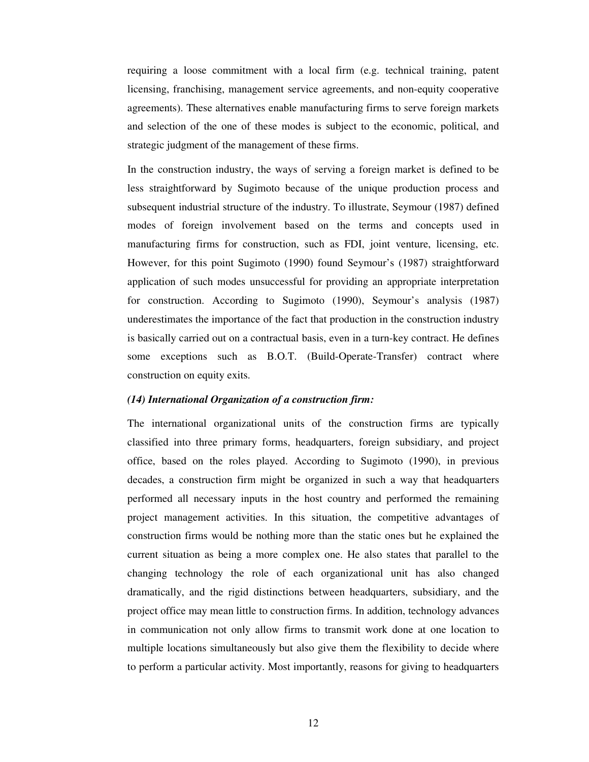requiring a loose commitment with a local firm (e.g. technical training, patent licensing, franchising, management service agreements, and non-equity cooperative agreements). These alternatives enable manufacturing firms to serve foreign markets and selection of the one of these modes is subject to the economic, political, and strategic judgment of the management of these firms.

In the construction industry, the ways of serving a foreign market is defined to be less straightforward by Sugimoto because of the unique production process and subsequent industrial structure of the industry. To illustrate, Seymour (1987) defined modes of foreign involvement based on the terms and concepts used in manufacturing firms for construction, such as FDI, joint venture, licensing, etc. However, for this point Sugimoto (1990) found Seymour's (1987) straightforward application of such modes unsuccessful for providing an appropriate interpretation for construction. According to Sugimoto (1990), Seymour's analysis (1987) underestimates the importance of the fact that production in the construction industry is basically carried out on a contractual basis, even in a turn-key contract. He defines some exceptions such as B.O.T. (Build-Operate-Transfer) contract where construction on equity exits.

#### *(14) International Organization of a construction firm:*

The international organizational units of the construction firms are typically classified into three primary forms, headquarters, foreign subsidiary, and project office, based on the roles played. According to Sugimoto (1990), in previous decades, a construction firm might be organized in such a way that headquarters performed all necessary inputs in the host country and performed the remaining project management activities. In this situation, the competitive advantages of construction firms would be nothing more than the static ones but he explained the current situation as being a more complex one. He also states that parallel to the changing technology the role of each organizational unit has also changed dramatically, and the rigid distinctions between headquarters, subsidiary, and the project office may mean little to construction firms. In addition, technology advances in communication not only allow firms to transmit work done at one location to multiple locations simultaneously but also give them the flexibility to decide where to perform a particular activity. Most importantly, reasons for giving to headquarters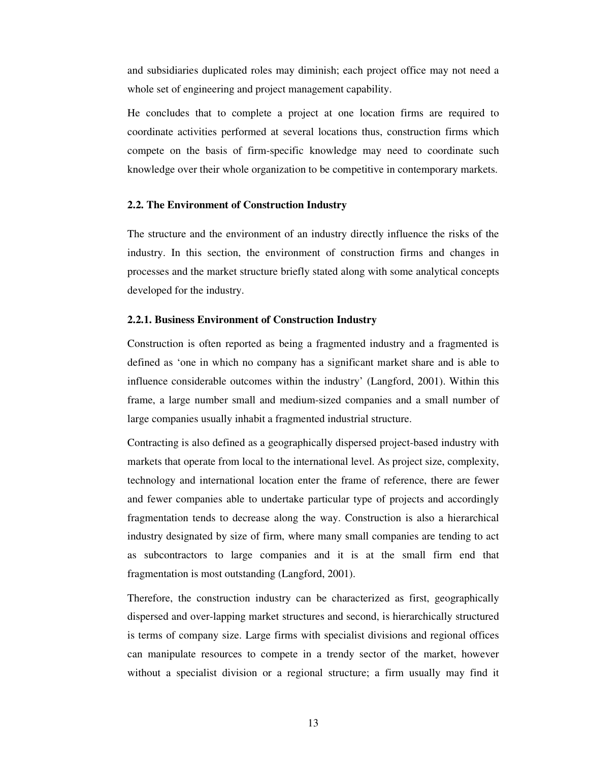and subsidiaries duplicated roles may diminish; each project office may not need a whole set of engineering and project management capability.

He concludes that to complete a project at one location firms are required to coordinate activities performed at several locations thus, construction firms which compete on the basis of firm-specific knowledge may need to coordinate such knowledge over their whole organization to be competitive in contemporary markets.

#### **2.2. The Environment of Construction Industry**

The structure and the environment of an industry directly influence the risks of the industry. In this section, the environment of construction firms and changes in processes and the market structure briefly stated along with some analytical concepts developed for the industry.

#### **2.2.1. Business Environment of Construction Industry**

Construction is often reported as being a fragmented industry and a fragmented is defined as 'one in which no company has a significant market share and is able to influence considerable outcomes within the industry' (Langford, 2001). Within this frame, a large number small and medium-sized companies and a small number of large companies usually inhabit a fragmented industrial structure.

Contracting is also defined as a geographically dispersed project-based industry with markets that operate from local to the international level. As project size, complexity, technology and international location enter the frame of reference, there are fewer and fewer companies able to undertake particular type of projects and accordingly fragmentation tends to decrease along the way. Construction is also a hierarchical industry designated by size of firm, where many small companies are tending to act as subcontractors to large companies and it is at the small firm end that fragmentation is most outstanding (Langford, 2001).

Therefore, the construction industry can be characterized as first, geographically dispersed and over-lapping market structures and second, is hierarchically structured is terms of company size. Large firms with specialist divisions and regional offices can manipulate resources to compete in a trendy sector of the market, however without a specialist division or a regional structure; a firm usually may find it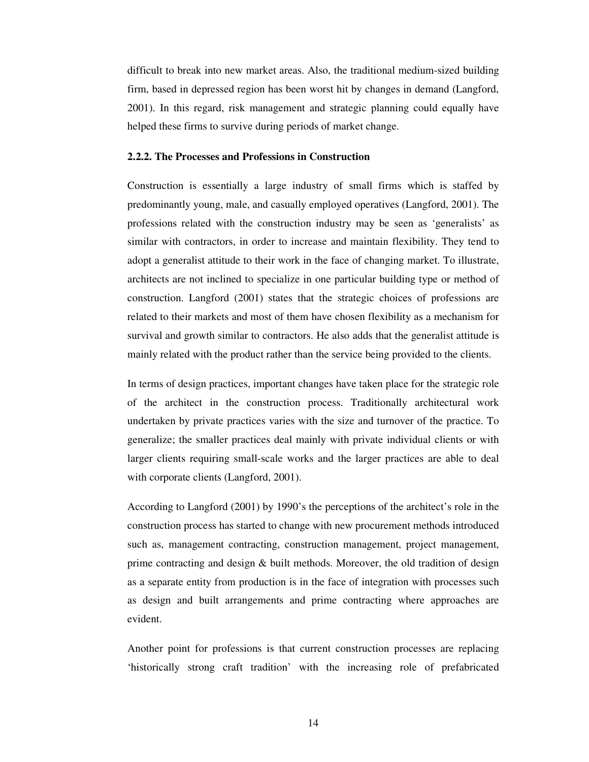difficult to break into new market areas. Also, the traditional medium-sized building firm, based in depressed region has been worst hit by changes in demand (Langford, 2001). In this regard, risk management and strategic planning could equally have helped these firms to survive during periods of market change.

#### **2.2.2. The Processes and Professions in Construction**

Construction is essentially a large industry of small firms which is staffed by predominantly young, male, and casually employed operatives (Langford, 2001). The professions related with the construction industry may be seen as 'generalists' as similar with contractors, in order to increase and maintain flexibility. They tend to adopt a generalist attitude to their work in the face of changing market. To illustrate, architects are not inclined to specialize in one particular building type or method of construction. Langford (2001) states that the strategic choices of professions are related to their markets and most of them have chosen flexibility as a mechanism for survival and growth similar to contractors. He also adds that the generalist attitude is mainly related with the product rather than the service being provided to the clients.

In terms of design practices, important changes have taken place for the strategic role of the architect in the construction process. Traditionally architectural work undertaken by private practices varies with the size and turnover of the practice. To generalize; the smaller practices deal mainly with private individual clients or with larger clients requiring small-scale works and the larger practices are able to deal with corporate clients (Langford, 2001).

According to Langford (2001) by 1990's the perceptions of the architect's role in the construction process has started to change with new procurement methods introduced such as, management contracting, construction management, project management, prime contracting and design  $\&$  built methods. Moreover, the old tradition of design as a separate entity from production is in the face of integration with processes such as design and built arrangements and prime contracting where approaches are evident.

Another point for professions is that current construction processes are replacing 'historically strong craft tradition' with the increasing role of prefabricated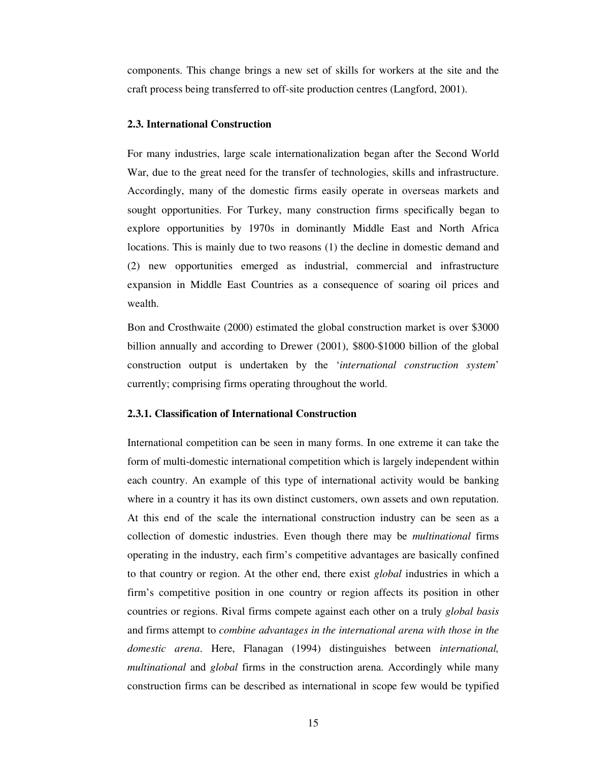components. This change brings a new set of skills for workers at the site and the craft process being transferred to off-site production centres (Langford, 2001).

### **2.3. International Construction**

For many industries, large scale internationalization began after the Second World War, due to the great need for the transfer of technologies, skills and infrastructure. Accordingly, many of the domestic firms easily operate in overseas markets and sought opportunities. For Turkey, many construction firms specifically began to explore opportunities by 1970s in dominantly Middle East and North Africa locations. This is mainly due to two reasons (1) the decline in domestic demand and (2) new opportunities emerged as industrial, commercial and infrastructure expansion in Middle East Countries as a consequence of soaring oil prices and wealth.

Bon and Crosthwaite (2000) estimated the global construction market is over \$3000 billion annually and according to Drewer (2001), \$800-\$1000 billion of the global construction output is undertaken by the '*international construction system*' currently; comprising firms operating throughout the world.

### **2.3.1. Classification of International Construction**

International competition can be seen in many forms. In one extreme it can take the form of multi-domestic international competition which is largely independent within each country. An example of this type of international activity would be banking where in a country it has its own distinct customers, own assets and own reputation. At this end of the scale the international construction industry can be seen as a collection of domestic industries. Even though there may be *multinational* firms operating in the industry, each firm's competitive advantages are basically confined to that country or region. At the other end, there exist *global* industries in which a firm's competitive position in one country or region affects its position in other countries or regions. Rival firms compete against each other on a truly *global basis* and firms attempt to *combine advantages in the international arena with those in the domestic arena*. Here, Flanagan (1994) distinguishes between *international, multinational* and *global* firms in the construction arena. Accordingly while many construction firms can be described as international in scope few would be typified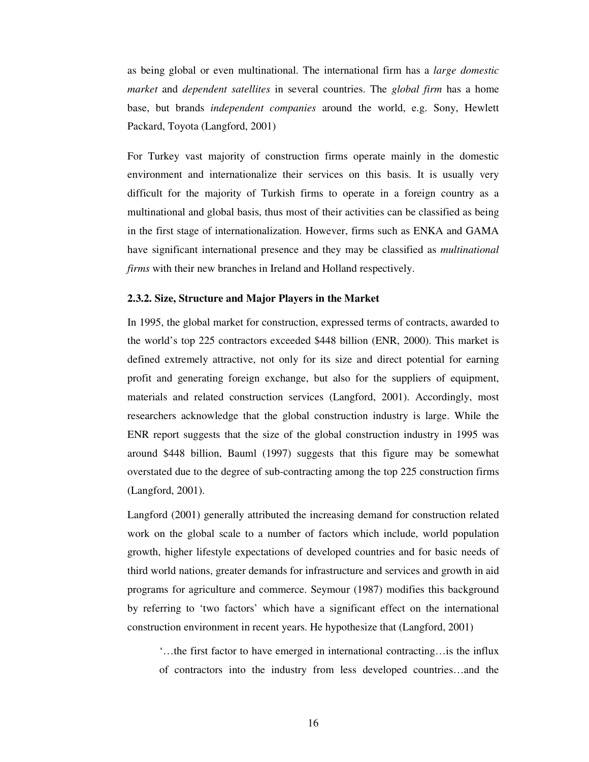as being global or even multinational. The international firm has a *large domestic market* and *dependent satellites* in several countries. The *global firm* has a home base, but brands *independent companies* around the world, e.g. Sony, Hewlett Packard, Toyota (Langford, 2001)

For Turkey vast majority of construction firms operate mainly in the domestic environment and internationalize their services on this basis. It is usually very difficult for the majority of Turkish firms to operate in a foreign country as a multinational and global basis, thus most of their activities can be classified as being in the first stage of internationalization. However, firms such as ENKA and GAMA have significant international presence and they may be classified as *multinational firms* with their new branches in Ireland and Holland respectively.

#### **2.3.2. Size, Structure and Major Players in the Market**

In 1995, the global market for construction, expressed terms of contracts, awarded to the world's top 225 contractors exceeded \$448 billion (ENR, 2000). This market is defined extremely attractive, not only for its size and direct potential for earning profit and generating foreign exchange, but also for the suppliers of equipment, materials and related construction services (Langford, 2001). Accordingly, most researchers acknowledge that the global construction industry is large. While the ENR report suggests that the size of the global construction industry in 1995 was around \$448 billion, Bauml (1997) suggests that this figure may be somewhat overstated due to the degree of sub-contracting among the top 225 construction firms (Langford, 2001).

Langford (2001) generally attributed the increasing demand for construction related work on the global scale to a number of factors which include, world population growth, higher lifestyle expectations of developed countries and for basic needs of third world nations, greater demands for infrastructure and services and growth in aid programs for agriculture and commerce. Seymour (1987) modifies this background by referring to 'two factors' which have a significant effect on the international construction environment in recent years. He hypothesize that (Langford, 2001)

'…the first factor to have emerged in international contracting…is the influx of contractors into the industry from less developed countries…and the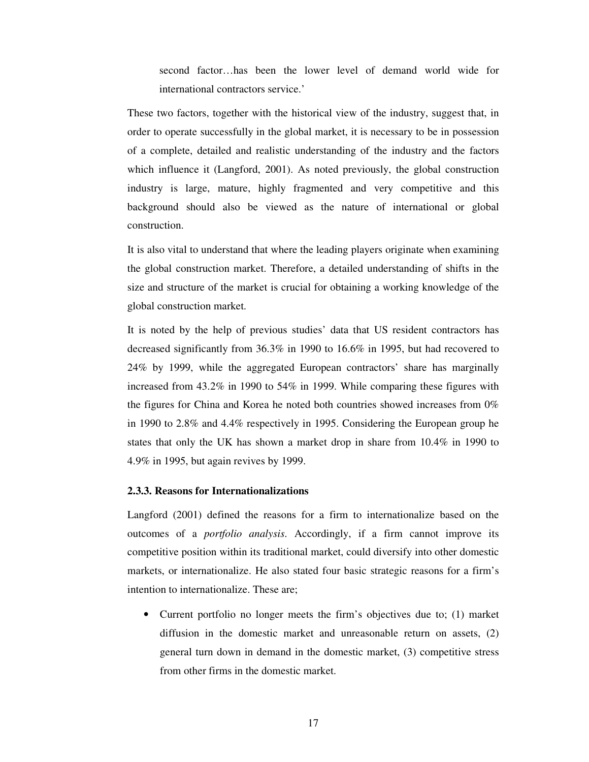second factor…has been the lower level of demand world wide for international contractors service.'

These two factors, together with the historical view of the industry, suggest that, in order to operate successfully in the global market, it is necessary to be in possession of a complete, detailed and realistic understanding of the industry and the factors which influence it (Langford, 2001). As noted previously, the global construction industry is large, mature, highly fragmented and very competitive and this background should also be viewed as the nature of international or global construction.

It is also vital to understand that where the leading players originate when examining the global construction market. Therefore, a detailed understanding of shifts in the size and structure of the market is crucial for obtaining a working knowledge of the global construction market.

It is noted by the help of previous studies' data that US resident contractors has decreased significantly from 36.3% in 1990 to 16.6% in 1995, but had recovered to 24% by 1999, while the aggregated European contractors' share has marginally increased from 43.2% in 1990 to 54% in 1999. While comparing these figures with the figures for China and Korea he noted both countries showed increases from 0% in 1990 to 2.8% and 4.4% respectively in 1995. Considering the European group he states that only the UK has shown a market drop in share from 10.4% in 1990 to 4.9% in 1995, but again revives by 1999.

#### **2.3.3. Reasons for Internationalizations**

Langford (2001) defined the reasons for a firm to internationalize based on the outcomes of a *portfolio analysis*. Accordingly, if a firm cannot improve its competitive position within its traditional market, could diversify into other domestic markets, or internationalize. He also stated four basic strategic reasons for a firm's intention to internationalize. These are;

• Current portfolio no longer meets the firm's objectives due to; (1) market diffusion in the domestic market and unreasonable return on assets, (2) general turn down in demand in the domestic market, (3) competitive stress from other firms in the domestic market.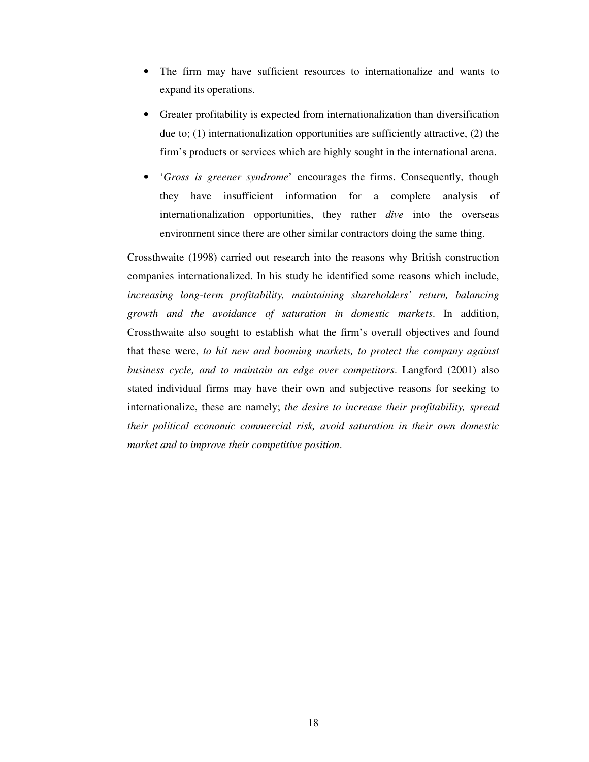- The firm may have sufficient resources to internationalize and wants to expand its operations.
- Greater profitability is expected from internationalization than diversification due to;  $(1)$  internationalization opportunities are sufficiently attractive,  $(2)$  the firm's products or services which are highly sought in the international arena.
- '*Gross is greener syndrome*' encourages the firms. Consequently, though they have insufficient information for a complete analysis of internationalization opportunities, they rather *dive* into the overseas environment since there are other similar contractors doing the same thing.

Crossthwaite (1998) carried out research into the reasons why British construction companies internationalized. In his study he identified some reasons which include, *increasing long-term profitability, maintaining shareholders' return, balancing growth and the avoidance of saturation in domestic markets*. In addition, Crossthwaite also sought to establish what the firm's overall objectives and found that these were, *to hit new and booming markets, to protect the company against business cycle, and to maintain an edge over competitors*. Langford (2001) also stated individual firms may have their own and subjective reasons for seeking to internationalize, these are namely; *the desire to increase their profitability, spread their political economic commercial risk, avoid saturation in their own domestic market and to improve their competitive position*.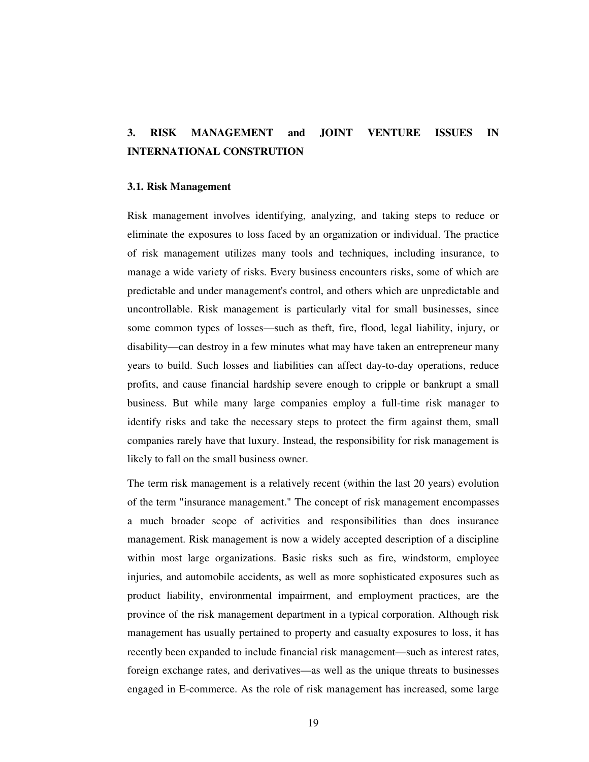# **3. RISK MANAGEMENT and JOINT VENTURE ISSUES IN INTERNATIONAL CONSTRUTION**

#### **3.1. Risk Management**

Risk management involves identifying, analyzing, and taking steps to reduce or eliminate the exposures to loss faced by an organization or individual. The practice of risk management utilizes many tools and techniques, including insurance, to manage a wide variety of risks. Every business encounters risks, some of which are predictable and under management's control, and others which are unpredictable and uncontrollable. Risk management is particularly vital for small businesses, since some common types of losses—such as theft, fire, flood, legal liability, injury, or disability—can destroy in a few minutes what may have taken an entrepreneur many years to build. Such losses and liabilities can affect day-to-day operations, reduce profits, and cause financial hardship severe enough to cripple or bankrupt a small business. But while many large companies employ a full-time risk manager to identify risks and take the necessary steps to protect the firm against them, small companies rarely have that luxury. Instead, the responsibility for risk management is likely to fall on the small business owner.

The term risk management is a relatively recent (within the last 20 years) evolution of the term "insurance management." The concept of risk management encompasses a much broader scope of activities and responsibilities than does insurance management. Risk management is now a widely accepted description of a discipline within most large organizations. Basic risks such as fire, windstorm, employee injuries, and automobile accidents, as well as more sophisticated exposures such as product liability, environmental impairment, and employment practices, are the province of the risk management department in a typical corporation. Although risk management has usually pertained to property and casualty exposures to loss, it has recently been expanded to include financial risk management—such as interest rates, foreign exchange rates, and derivatives—as well as the unique threats to businesses engaged in E-commerce. As the role of risk management has increased, some large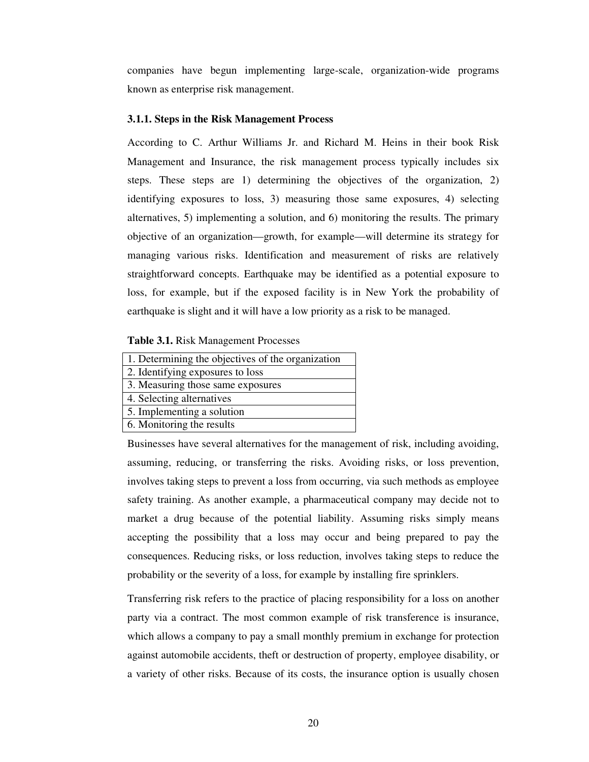companies have begun implementing large-scale, organization-wide programs known as enterprise risk management.

### **3.1.1. Steps in the Risk Management Process**

According to C. Arthur Williams Jr. and Richard M. Heins in their book Risk Management and Insurance, the risk management process typically includes six steps. These steps are 1) determining the objectives of the organization, 2) identifying exposures to loss, 3) measuring those same exposures, 4) selecting alternatives, 5) implementing a solution, and 6) monitoring the results. The primary objective of an organization—growth, for example—will determine its strategy for managing various risks. Identification and measurement of risks are relatively straightforward concepts. Earthquake may be identified as a potential exposure to loss, for example, but if the exposed facility is in New York the probability of earthquake is slight and it will have a low priority as a risk to be managed.

**Table 3.1.** Risk Management Processes

| 1. Determining the objectives of the organization |
|---------------------------------------------------|
| 2. Identifying exposures to loss                  |
| 3. Measuring those same exposures                 |
| 4. Selecting alternatives                         |
| 5. Implementing a solution                        |
| 6. Monitoring the results                         |

Businesses have several alternatives for the management of risk, including avoiding, assuming, reducing, or transferring the risks. Avoiding risks, or loss prevention, involves taking steps to prevent a loss from occurring, via such methods as employee safety training. As another example, a pharmaceutical company may decide not to market a drug because of the potential liability. Assuming risks simply means accepting the possibility that a loss may occur and being prepared to pay the consequences. Reducing risks, or loss reduction, involves taking steps to reduce the probability or the severity of a loss, for example by installing fire sprinklers.

Transferring risk refers to the practice of placing responsibility for a loss on another party via a contract. The most common example of risk transference is insurance, which allows a company to pay a small monthly premium in exchange for protection against automobile accidents, theft or destruction of property, employee disability, or a variety of other risks. Because of its costs, the insurance option is usually chosen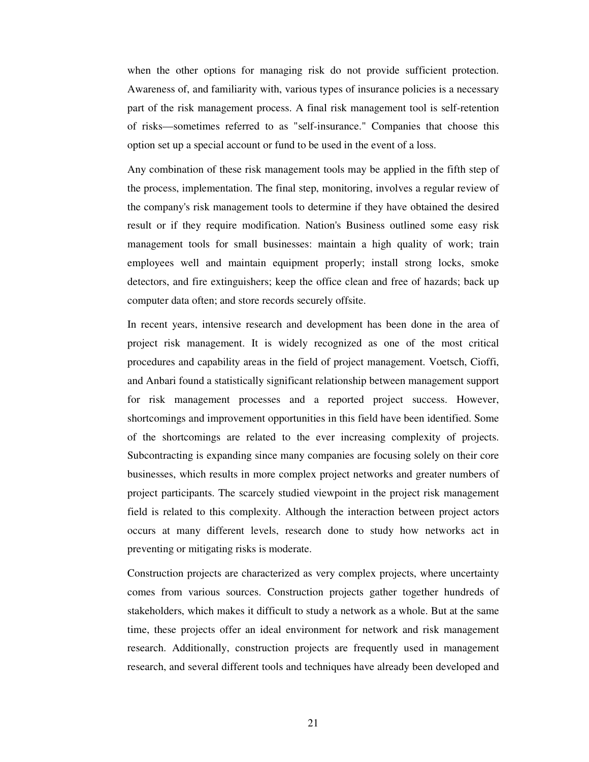when the other options for managing risk do not provide sufficient protection. Awareness of, and familiarity with, various types of insurance policies is a necessary part of the risk management process. A final risk management tool is self-retention of risks—sometimes referred to as "self-insurance." Companies that choose this option set up a special account or fund to be used in the event of a loss.

Any combination of these risk management tools may be applied in the fifth step of the process, implementation. The final step, monitoring, involves a regular review of the company's risk management tools to determine if they have obtained the desired result or if they require modification. Nation's Business outlined some easy risk management tools for small businesses: maintain a high quality of work; train employees well and maintain equipment properly; install strong locks, smoke detectors, and fire extinguishers; keep the office clean and free of hazards; back up computer data often; and store records securely offsite.

In recent years, intensive research and development has been done in the area of project risk management. It is widely recognized as one of the most critical procedures and capability areas in the field of project management. Voetsch, Cioffi, and Anbari found a statistically significant relationship between management support for risk management processes and a reported project success. However, shortcomings and improvement opportunities in this field have been identified. Some of the shortcomings are related to the ever increasing complexity of projects. Subcontracting is expanding since many companies are focusing solely on their core businesses, which results in more complex project networks and greater numbers of project participants. The scarcely studied viewpoint in the project risk management field is related to this complexity. Although the interaction between project actors occurs at many different levels, research done to study how networks act in preventing or mitigating risks is moderate.

Construction projects are characterized as very complex projects, where uncertainty comes from various sources. Construction projects gather together hundreds of stakeholders, which makes it difficult to study a network as a whole. But at the same time, these projects offer an ideal environment for network and risk management research. Additionally, construction projects are frequently used in management research, and several different tools and techniques have already been developed and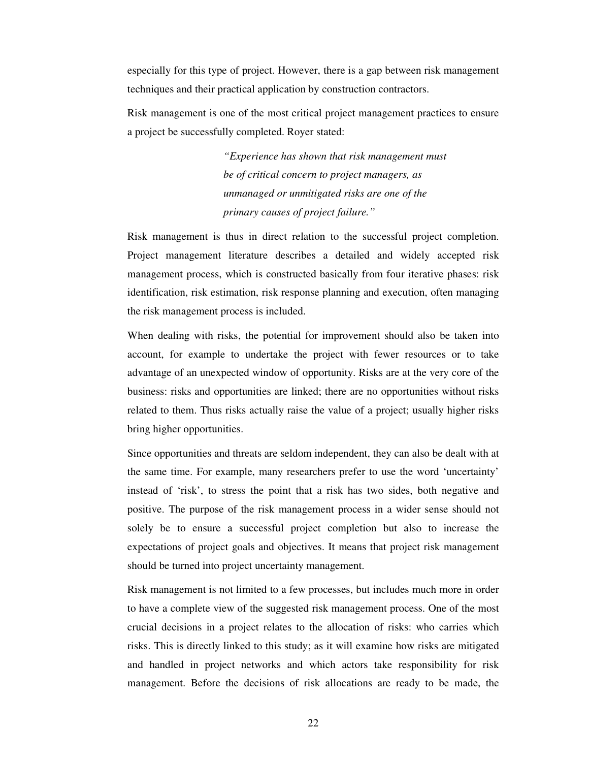especially for this type of project. However, there is a gap between risk management techniques and their practical application by construction contractors.

Risk management is one of the most critical project management practices to ensure a project be successfully completed. Royer stated:

> *"Experience has shown that risk management must be of critical concern to project managers, as unmanaged or unmitigated risks are one of the primary causes of project failure."*

Risk management is thus in direct relation to the successful project completion. Project management literature describes a detailed and widely accepted risk management process, which is constructed basically from four iterative phases: risk identification, risk estimation, risk response planning and execution, often managing the risk management process is included.

When dealing with risks, the potential for improvement should also be taken into account, for example to undertake the project with fewer resources or to take advantage of an unexpected window of opportunity. Risks are at the very core of the business: risks and opportunities are linked; there are no opportunities without risks related to them. Thus risks actually raise the value of a project; usually higher risks bring higher opportunities.

Since opportunities and threats are seldom independent, they can also be dealt with at the same time. For example, many researchers prefer to use the word 'uncertainty' instead of 'risk', to stress the point that a risk has two sides, both negative and positive. The purpose of the risk management process in a wider sense should not solely be to ensure a successful project completion but also to increase the expectations of project goals and objectives. It means that project risk management should be turned into project uncertainty management.

Risk management is not limited to a few processes, but includes much more in order to have a complete view of the suggested risk management process. One of the most crucial decisions in a project relates to the allocation of risks: who carries which risks. This is directly linked to this study; as it will examine how risks are mitigated and handled in project networks and which actors take responsibility for risk management. Before the decisions of risk allocations are ready to be made, the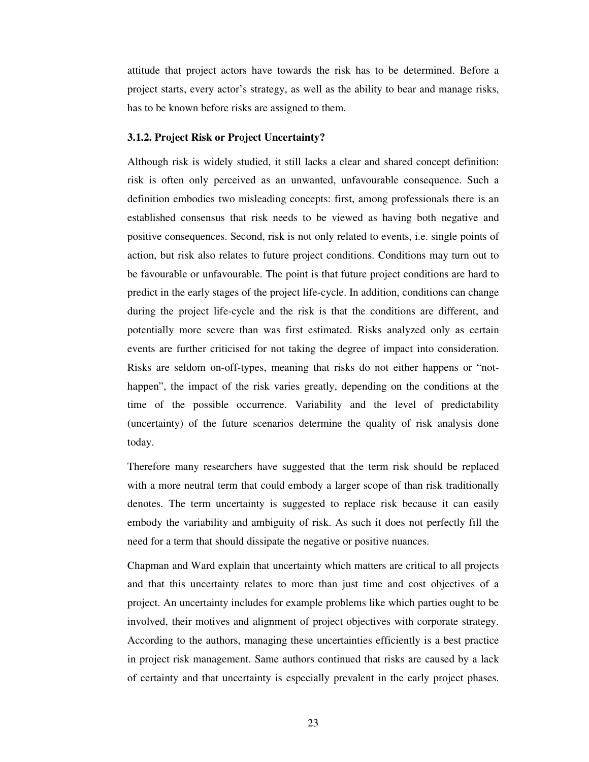attitude that project actors have towards the risk has to be determined. Before a project starts, every actor's strategy, as well as the ability to bear and manage risks, has to be known before risks are assigned to them.

### **3.1.2. Project Risk or Project Uncertainty?**

Although risk is widely studied, it still lacks a clear and shared concept definition: risk is often only perceived as an unwanted, unfavourable consequence. Such a definition embodies two misleading concepts: first, among professionals there is an established consensus that risk needs to be viewed as having both negative and positive consequences. Second, risk is not only related to events, i.e. single points of action, but risk also relates to future project conditions. Conditions may turn out to be favourable or unfavourable. The point is that future project conditions are hard to predict in the early stages of the project life-cycle. In addition, conditions can change during the project life-cycle and the risk is that the conditions are different, and potentially more severe than was first estimated. Risks analyzed only as certain events are further criticised for not taking the degree of impact into consideration. Risks are seldom on-off-types, meaning that risks do not either happens or "nothappen", the impact of the risk varies greatly, depending on the conditions at the time of the possible occurrence. Variability and the level of predictability (uncertainty) of the future scenarios determine the quality of risk analysis done today.

Therefore many researchers have suggested that the term risk should be replaced with a more neutral term that could embody a larger scope of than risk traditionally denotes. The term uncertainty is suggested to replace risk because it can easily embody the variability and ambiguity of risk. As such it does not perfectly fill the need for a term that should dissipate the negative or positive nuances.

Chapman and Ward explain that uncertainty which matters are critical to all projects and that this uncertainty relates to more than just time and cost objectives of a project. An uncertainty includes for example problems like which parties ought to be involved, their motives and alignment of project objectives with corporate strategy. According to the authors, managing these uncertainties efficiently is a best practice in project risk management. Same authors continued that risks are caused by a lack of certainty and that uncertainty is especially prevalent in the early project phases.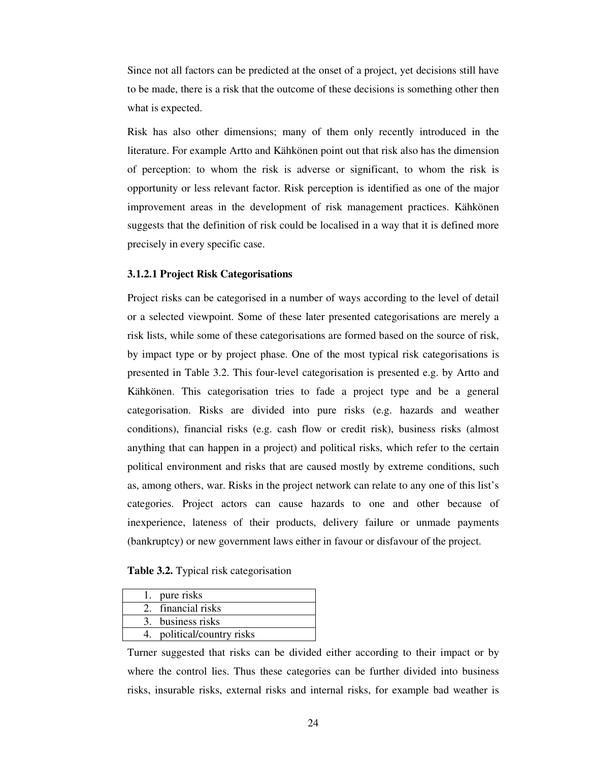Since not all factors can be predicted at the onset of a project, yet decisions still have to be made, there is a risk that the outcome of these decisions is something other then what is expected.

Risk has also other dimensions; many of them only recently introduced in the literature. For example Artto and Kähkönen point out that risk also has the dimension of perception: to whom the risk is adverse or significant, to whom the risk is opportunity or less relevant factor. Risk perception is identified as one of the major improvement areas in the development of risk management practices. Kähkönen suggests that the definition of risk could be localised in a way that it is defined more precisely in every specific case.

#### **3.1.2.1 Project Risk Categorisations**

Project risks can be categorised in a number of ways according to the level of detail or a selected viewpoint. Some of these later presented categorisations are merely a risk lists, while some of these categorisations are formed based on the source of risk, by impact type or by project phase. One of the most typical risk categorisations is presented in Table 3.2. This four-level categorisation is presented e.g. by Artto and Kähkönen. This categorisation tries to fade a project type and be a general categorisation. Risks are divided into pure risks (e.g. hazards and weather conditions), financial risks (e.g. cash flow or credit risk), business risks (almost anything that can happen in a project) and political risks, which refer to the certain political environment and risks that are caused mostly by extreme conditions, such as, among others, war. Risks in the project network can relate to any one of this list's categories. Project actors can cause hazards to one and other because of inexperience, lateness of their products, delivery failure or unmade payments (bankruptcy) or new government laws either in favour or disfavour of the project.

#### **Table 3.2.** Typical risk categorisation

| 1. pure risks              |
|----------------------------|
| 2. financial risks         |
| 3. business risks          |
| 4. political/country risks |

Turner suggested that risks can be divided either according to their impact or by where the control lies. Thus these categories can be further divided into business risks, insurable risks, external risks and internal risks, for example bad weather is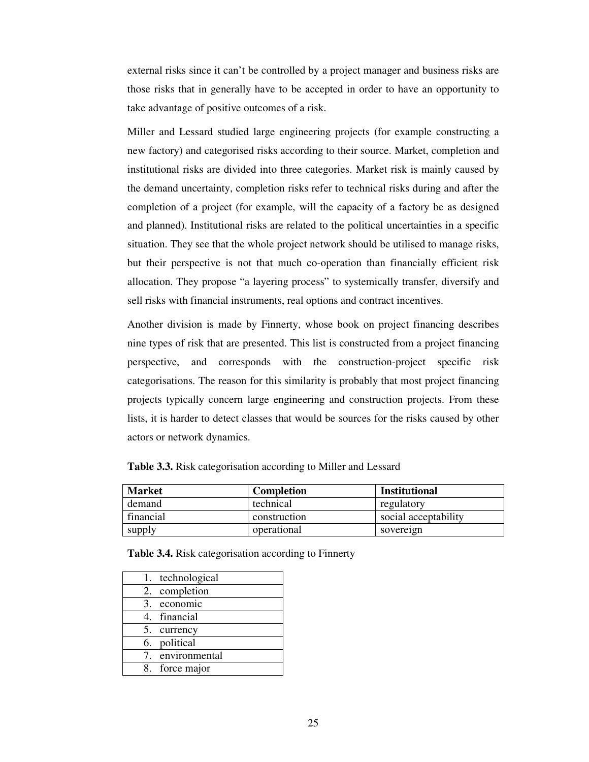external risks since it can't be controlled by a project manager and business risks are those risks that in generally have to be accepted in order to have an opportunity to take advantage of positive outcomes of a risk.

Miller and Lessard studied large engineering projects (for example constructing a new factory) and categorised risks according to their source. Market, completion and institutional risks are divided into three categories. Market risk is mainly caused by the demand uncertainty, completion risks refer to technical risks during and after the completion of a project (for example, will the capacity of a factory be as designed and planned). Institutional risks are related to the political uncertainties in a specific situation. They see that the whole project network should be utilised to manage risks, but their perspective is not that much co-operation than financially efficient risk allocation. They propose "a layering process" to systemically transfer, diversify and sell risks with financial instruments, real options and contract incentives.

Another division is made by Finnerty, whose book on project financing describes nine types of risk that are presented. This list is constructed from a project financing perspective, and corresponds with the construction-project specific risk categorisations. The reason for this similarity is probably that most project financing projects typically concern large engineering and construction projects. From these lists, it is harder to detect classes that would be sources for the risks caused by other actors or network dynamics.

| <b>Market</b> | <b>Completion</b> | <b>Institutional</b> |
|---------------|-------------------|----------------------|
| demand        | technical         | regulatory           |
| financial     | construction      | social acceptability |
| supply        | operational       | sovereign            |

**Table 3.3.** Risk categorisation according to Miller and Lessard

**Table 3.4.** Risk categorisation according to Finnerty

| 1. technological               |
|--------------------------------|
| 2. completion                  |
| 3. economic                    |
| 4. financial                   |
| 5. currency                    |
| 6. political                   |
| $\overline{7}$ . environmental |
| 8. force major                 |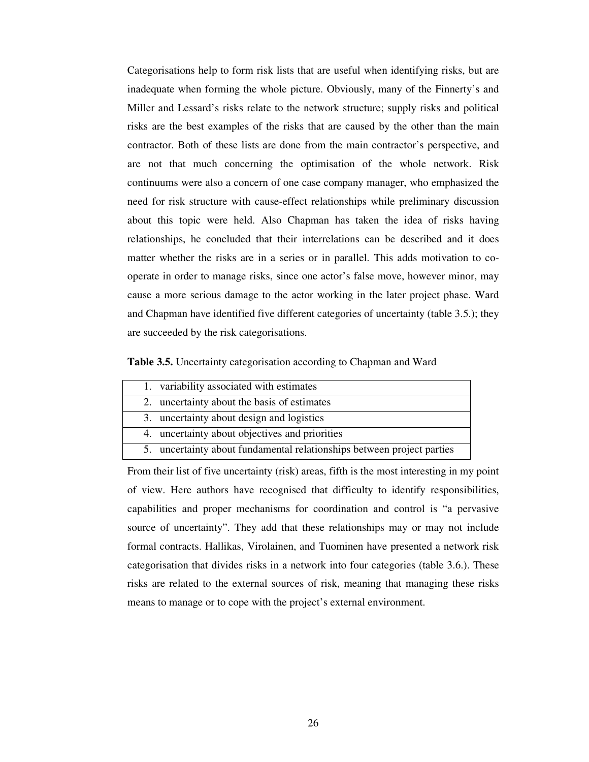Categorisations help to form risk lists that are useful when identifying risks, but are inadequate when forming the whole picture. Obviously, many of the Finnerty's and Miller and Lessard's risks relate to the network structure; supply risks and political risks are the best examples of the risks that are caused by the other than the main contractor. Both of these lists are done from the main contractor's perspective, and are not that much concerning the optimisation of the whole network. Risk continuums were also a concern of one case company manager, who emphasized the need for risk structure with cause-effect relationships while preliminary discussion about this topic were held. Also Chapman has taken the idea of risks having relationships, he concluded that their interrelations can be described and it does matter whether the risks are in a series or in parallel. This adds motivation to cooperate in order to manage risks, since one actor's false move, however minor, may cause a more serious damage to the actor working in the later project phase. Ward and Chapman have identified five different categories of uncertainty (table 3.5.); they are succeeded by the risk categorisations.

**Table 3.5.** Uncertainty categorisation according to Chapman and Ward

| 1. variability associated with estimates                               |
|------------------------------------------------------------------------|
| 2. uncertainty about the basis of estimates                            |
| 3. uncertainty about design and logistics                              |
| 4. uncertainty about objectives and priorities                         |
| 5. uncertainty about fundamental relationships between project parties |

From their list of five uncertainty (risk) areas, fifth is the most interesting in my point of view. Here authors have recognised that difficulty to identify responsibilities, capabilities and proper mechanisms for coordination and control is "a pervasive source of uncertainty". They add that these relationships may or may not include formal contracts. Hallikas, Virolainen, and Tuominen have presented a network risk categorisation that divides risks in a network into four categories (table 3.6.). These risks are related to the external sources of risk, meaning that managing these risks means to manage or to cope with the project's external environment.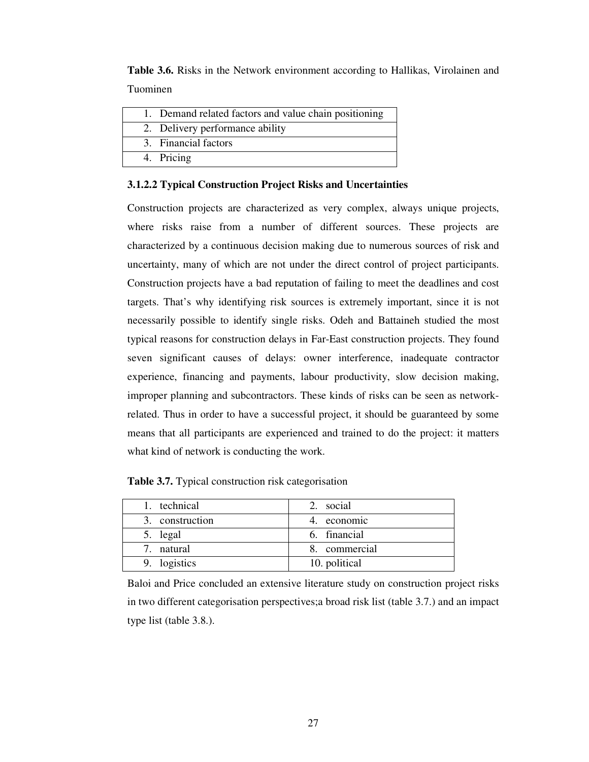**Table 3.6.** Risks in the Network environment according to Hallikas, Virolainen and Tuominen

| 1. Demand related factors and value chain positioning |
|-------------------------------------------------------|
| 2. Delivery performance ability                       |
| 3. Financial factors                                  |
| 4. Pricing                                            |

# **3.1.2.2 Typical Construction Project Risks and Uncertainties**

Construction projects are characterized as very complex, always unique projects, where risks raise from a number of different sources. These projects are characterized by a continuous decision making due to numerous sources of risk and uncertainty, many of which are not under the direct control of project participants. Construction projects have a bad reputation of failing to meet the deadlines and cost targets. That's why identifying risk sources is extremely important, since it is not necessarily possible to identify single risks. Odeh and Battaineh studied the most typical reasons for construction delays in Far-East construction projects. They found seven significant causes of delays: owner interference, inadequate contractor experience, financing and payments, labour productivity, slow decision making, improper planning and subcontractors. These kinds of risks can be seen as networkrelated. Thus in order to have a successful project, it should be guaranteed by some means that all participants are experienced and trained to do the project: it matters what kind of network is conducting the work.

# **Table 3.7.** Typical construction risk categorisation

| technical       | 2. social     |
|-----------------|---------------|
| 3. construction | 4. economic   |
| 5. legal        | 6. financial  |
| natural         | 8. commercial |
| 9. logistics    | 10. political |

Baloi and Price concluded an extensive literature study on construction project risks in two different categorisation perspectives;a broad risk list (table 3.7.) and an impact type list (table 3.8.).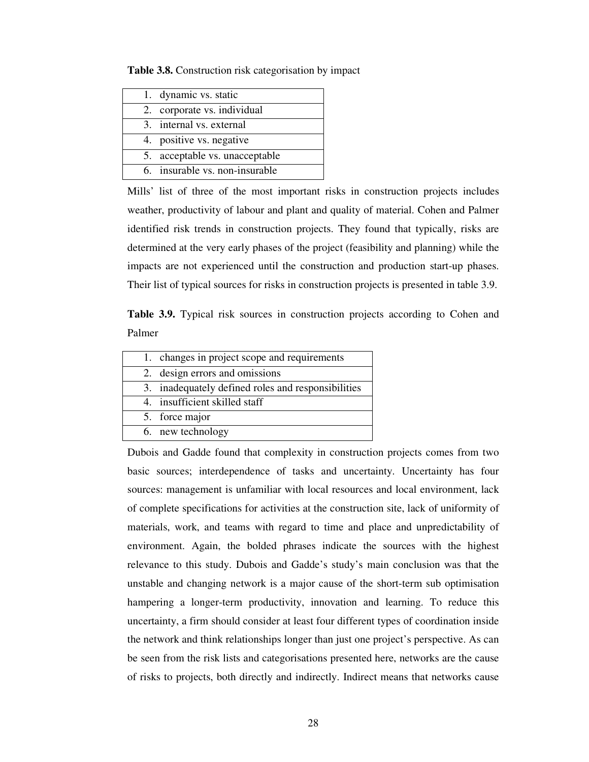|  |  |  | Table 3.8. Construction risk categorisation by impact |  |  |
|--|--|--|-------------------------------------------------------|--|--|
|--|--|--|-------------------------------------------------------|--|--|

| 1. dynamic vs. static          |
|--------------------------------|
| 2. corporate vs. individual    |
| 3. internal vs. external       |
| 4. positive vs. negative       |
| 5. acceptable vs. unacceptable |
| 6. insurable vs. non-insurable |

Mills' list of three of the most important risks in construction projects includes weather, productivity of labour and plant and quality of material. Cohen and Palmer identified risk trends in construction projects. They found that typically, risks are determined at the very early phases of the project (feasibility and planning) while the impacts are not experienced until the construction and production start-up phases. Their list of typical sources for risks in construction projects is presented in table 3.9.

**Table 3.9.** Typical risk sources in construction projects according to Cohen and Palmer

| 1. changes in project scope and requirements       |
|----------------------------------------------------|
| 2. design errors and omissions                     |
| 3. inadequately defined roles and responsibilities |
| 4. insufficient skilled staff                      |
| 5. force major                                     |
| 6. new technology                                  |

Dubois and Gadde found that complexity in construction projects comes from two basic sources; interdependence of tasks and uncertainty. Uncertainty has four sources: management is unfamiliar with local resources and local environment, lack of complete specifications for activities at the construction site, lack of uniformity of materials, work, and teams with regard to time and place and unpredictability of environment. Again, the bolded phrases indicate the sources with the highest relevance to this study. Dubois and Gadde's study's main conclusion was that the unstable and changing network is a major cause of the short-term sub optimisation hampering a longer-term productivity, innovation and learning. To reduce this uncertainty, a firm should consider at least four different types of coordination inside the network and think relationships longer than just one project's perspective. As can be seen from the risk lists and categorisations presented here, networks are the cause of risks to projects, both directly and indirectly. Indirect means that networks cause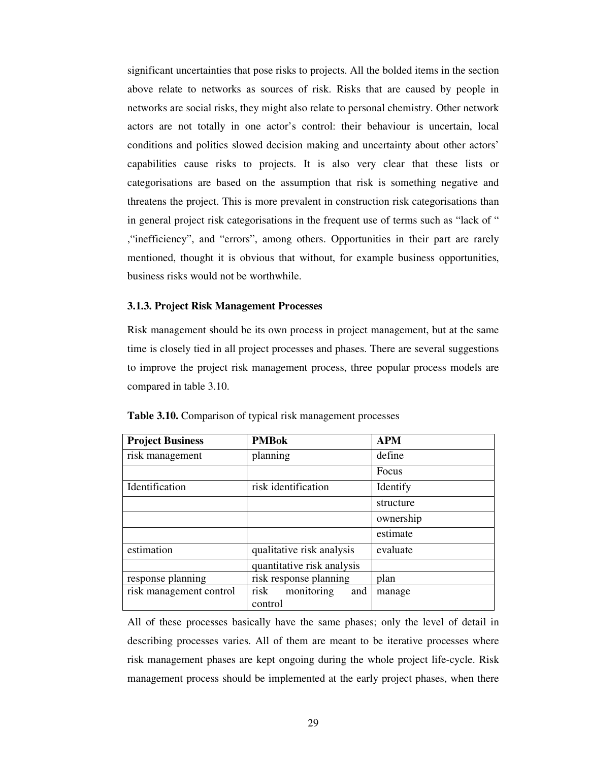significant uncertainties that pose risks to projects. All the bolded items in the section above relate to networks as sources of risk. Risks that are caused by people in networks are social risks, they might also relate to personal chemistry. Other network actors are not totally in one actor's control: their behaviour is uncertain, local conditions and politics slowed decision making and uncertainty about other actors' capabilities cause risks to projects. It is also very clear that these lists or categorisations are based on the assumption that risk is something negative and threatens the project. This is more prevalent in construction risk categorisations than in general project risk categorisations in the frequent use of terms such as "lack of " ,"inefficiency", and "errors", among others. Opportunities in their part are rarely mentioned, thought it is obvious that without, for example business opportunities, business risks would not be worthwhile.

### **3.1.3. Project Risk Management Processes**

Risk management should be its own process in project management, but at the same time is closely tied in all project processes and phases. There are several suggestions to improve the project risk management process, three popular process models are compared in table 3.10.

| <b>Project Business</b> | <b>PMBok</b>               | <b>APM</b> |
|-------------------------|----------------------------|------------|
| risk management         | planning                   | define     |
|                         |                            | Focus      |
| Identification          | risk identification        | Identify   |
|                         |                            | structure  |
|                         |                            | ownership  |
|                         |                            | estimate   |
| estimation              | qualitative risk analysis  | evaluate   |
|                         | quantitative risk analysis |            |
| response planning       | risk response planning     | plan       |
| risk management control | monitoring<br>risk<br>and  | manage     |
|                         | control                    |            |

**Table 3.10.** Comparison of typical risk management processes

All of these processes basically have the same phases; only the level of detail in describing processes varies. All of them are meant to be iterative processes where risk management phases are kept ongoing during the whole project life-cycle. Risk management process should be implemented at the early project phases, when there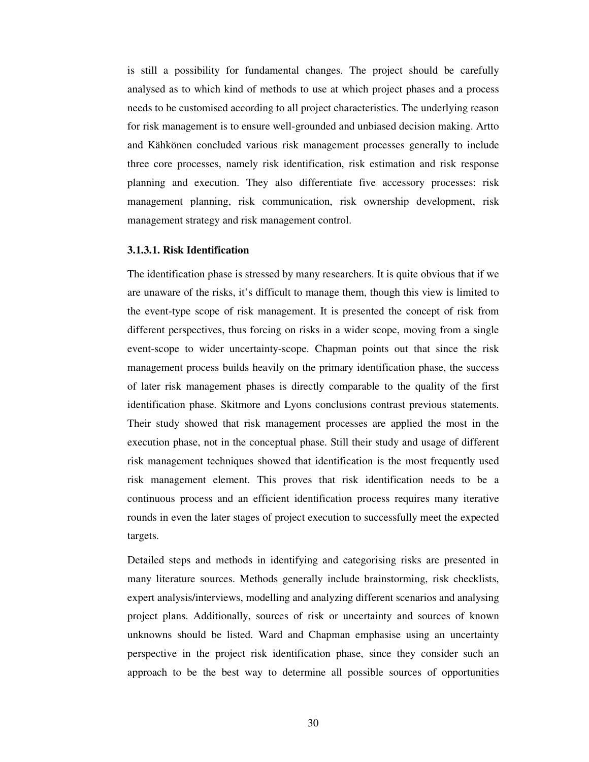is still a possibility for fundamental changes. The project should be carefully analysed as to which kind of methods to use at which project phases and a process needs to be customised according to all project characteristics. The underlying reason for risk management is to ensure well-grounded and unbiased decision making. Artto and Kähkönen concluded various risk management processes generally to include three core processes, namely risk identification, risk estimation and risk response planning and execution. They also differentiate five accessory processes: risk management planning, risk communication, risk ownership development, risk management strategy and risk management control.

## **3.1.3.1. Risk Identification**

The identification phase is stressed by many researchers. It is quite obvious that if we are unaware of the risks, it's difficult to manage them, though this view is limited to the event-type scope of risk management. It is presented the concept of risk from different perspectives, thus forcing on risks in a wider scope, moving from a single event-scope to wider uncertainty-scope. Chapman points out that since the risk management process builds heavily on the primary identification phase, the success of later risk management phases is directly comparable to the quality of the first identification phase. Skitmore and Lyons conclusions contrast previous statements. Their study showed that risk management processes are applied the most in the execution phase, not in the conceptual phase. Still their study and usage of different risk management techniques showed that identification is the most frequently used risk management element. This proves that risk identification needs to be a continuous process and an efficient identification process requires many iterative rounds in even the later stages of project execution to successfully meet the expected targets.

Detailed steps and methods in identifying and categorising risks are presented in many literature sources. Methods generally include brainstorming, risk checklists, expert analysis/interviews, modelling and analyzing different scenarios and analysing project plans. Additionally, sources of risk or uncertainty and sources of known unknowns should be listed. Ward and Chapman emphasise using an uncertainty perspective in the project risk identification phase, since they consider such an approach to be the best way to determine all possible sources of opportunities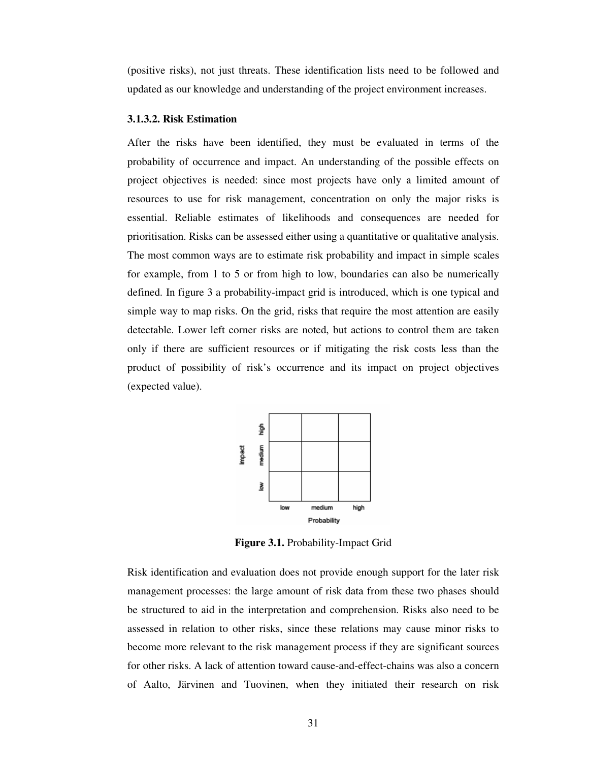(positive risks), not just threats. These identification lists need to be followed and updated as our knowledge and understanding of the project environment increases.

## **3.1.3.2. Risk Estimation**

After the risks have been identified, they must be evaluated in terms of the probability of occurrence and impact. An understanding of the possible effects on project objectives is needed: since most projects have only a limited amount of resources to use for risk management, concentration on only the major risks is essential. Reliable estimates of likelihoods and consequences are needed for prioritisation. Risks can be assessed either using a quantitative or qualitative analysis. The most common ways are to estimate risk probability and impact in simple scales for example, from 1 to 5 or from high to low, boundaries can also be numerically defined. In figure 3 a probability-impact grid is introduced, which is one typical and simple way to map risks. On the grid, risks that require the most attention are easily detectable. Lower left corner risks are noted, but actions to control them are taken only if there are sufficient resources or if mitigating the risk costs less than the product of possibility of risk's occurrence and its impact on project objectives (expected value).



**Figure 3.1.** Probability-Impact Grid

Risk identification and evaluation does not provide enough support for the later risk management processes: the large amount of risk data from these two phases should be structured to aid in the interpretation and comprehension. Risks also need to be assessed in relation to other risks, since these relations may cause minor risks to become more relevant to the risk management process if they are significant sources for other risks. A lack of attention toward cause-and-effect-chains was also a concern of Aalto, Järvinen and Tuovinen, when they initiated their research on risk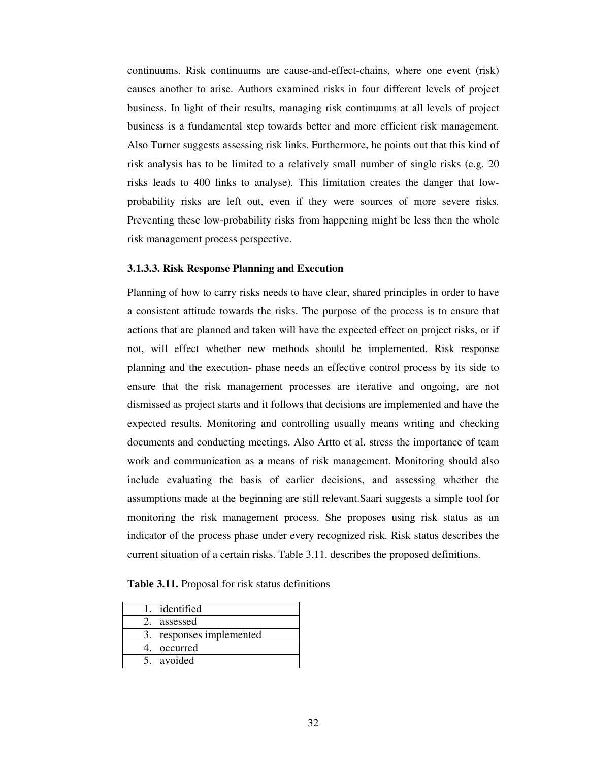continuums. Risk continuums are cause-and-effect-chains, where one event (risk) causes another to arise. Authors examined risks in four different levels of project business. In light of their results, managing risk continuums at all levels of project business is a fundamental step towards better and more efficient risk management. Also Turner suggests assessing risk links. Furthermore, he points out that this kind of risk analysis has to be limited to a relatively small number of single risks (e.g. 20 risks leads to 400 links to analyse). This limitation creates the danger that lowprobability risks are left out, even if they were sources of more severe risks. Preventing these low-probability risks from happening might be less then the whole risk management process perspective.

### **3.1.3.3. Risk Response Planning and Execution**

Planning of how to carry risks needs to have clear, shared principles in order to have a consistent attitude towards the risks. The purpose of the process is to ensure that actions that are planned and taken will have the expected effect on project risks, or if not, will effect whether new methods should be implemented. Risk response planning and the execution- phase needs an effective control process by its side to ensure that the risk management processes are iterative and ongoing, are not dismissed as project starts and it follows that decisions are implemented and have the expected results. Monitoring and controlling usually means writing and checking documents and conducting meetings. Also Artto et al. stress the importance of team work and communication as a means of risk management. Monitoring should also include evaluating the basis of earlier decisions, and assessing whether the assumptions made at the beginning are still relevant.Saari suggests a simple tool for monitoring the risk management process. She proposes using risk status as an indicator of the process phase under every recognized risk. Risk status describes the current situation of a certain risks. Table 3.11. describes the proposed definitions.

| <b>Table 3.11.</b> Proposal for risk status definitions |  |  |  |  |
|---------------------------------------------------------|--|--|--|--|
|---------------------------------------------------------|--|--|--|--|

| 1. identified            |
|--------------------------|
| 2. assessed              |
| 3. responses implemented |
| 4. occurred              |
| 5. avoided               |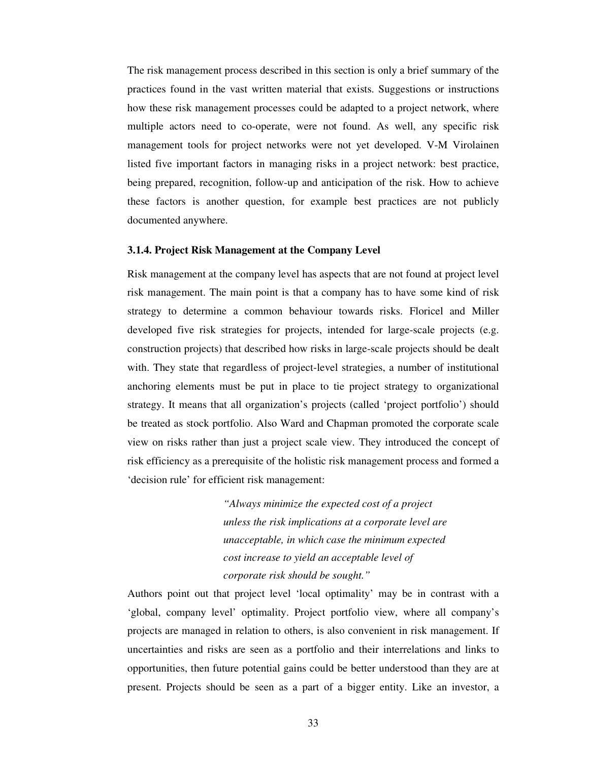The risk management process described in this section is only a brief summary of the practices found in the vast written material that exists. Suggestions or instructions how these risk management processes could be adapted to a project network, where multiple actors need to co-operate, were not found. As well, any specific risk management tools for project networks were not yet developed. V-M Virolainen listed five important factors in managing risks in a project network: best practice, being prepared, recognition, follow-up and anticipation of the risk. How to achieve these factors is another question, for example best practices are not publicly documented anywhere.

### **3.1.4. Project Risk Management at the Company Level**

Risk management at the company level has aspects that are not found at project level risk management. The main point is that a company has to have some kind of risk strategy to determine a common behaviour towards risks. Floricel and Miller developed five risk strategies for projects, intended for large-scale projects (e.g. construction projects) that described how risks in large-scale projects should be dealt with. They state that regardless of project-level strategies, a number of institutional anchoring elements must be put in place to tie project strategy to organizational strategy. It means that all organization's projects (called 'project portfolio') should be treated as stock portfolio. Also Ward and Chapman promoted the corporate scale view on risks rather than just a project scale view. They introduced the concept of risk efficiency as a prerequisite of the holistic risk management process and formed a 'decision rule' for efficient risk management:

> *"Always minimize the expected cost of a project unless the risk implications at a corporate level are unacceptable, in which case the minimum expected cost increase to yield an acceptable level of corporate risk should be sought."*

Authors point out that project level 'local optimality' may be in contrast with a 'global, company level' optimality. Project portfolio view, where all company's projects are managed in relation to others, is also convenient in risk management. If uncertainties and risks are seen as a portfolio and their interrelations and links to opportunities, then future potential gains could be better understood than they are at present. Projects should be seen as a part of a bigger entity. Like an investor, a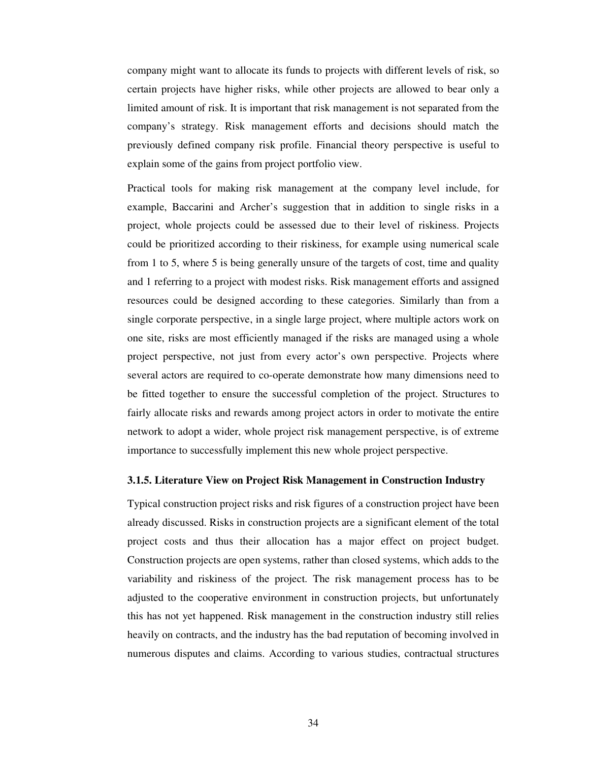company might want to allocate its funds to projects with different levels of risk, so certain projects have higher risks, while other projects are allowed to bear only a limited amount of risk. It is important that risk management is not separated from the company's strategy. Risk management efforts and decisions should match the previously defined company risk profile. Financial theory perspective is useful to explain some of the gains from project portfolio view.

Practical tools for making risk management at the company level include, for example, Baccarini and Archer's suggestion that in addition to single risks in a project, whole projects could be assessed due to their level of riskiness. Projects could be prioritized according to their riskiness, for example using numerical scale from 1 to 5, where 5 is being generally unsure of the targets of cost, time and quality and 1 referring to a project with modest risks. Risk management efforts and assigned resources could be designed according to these categories. Similarly than from a single corporate perspective, in a single large project, where multiple actors work on one site, risks are most efficiently managed if the risks are managed using a whole project perspective, not just from every actor's own perspective. Projects where several actors are required to co-operate demonstrate how many dimensions need to be fitted together to ensure the successful completion of the project. Structures to fairly allocate risks and rewards among project actors in order to motivate the entire network to adopt a wider, whole project risk management perspective, is of extreme importance to successfully implement this new whole project perspective.

### **3.1.5. Literature View on Project Risk Management in Construction Industry**

Typical construction project risks and risk figures of a construction project have been already discussed. Risks in construction projects are a significant element of the total project costs and thus their allocation has a major effect on project budget. Construction projects are open systems, rather than closed systems, which adds to the variability and riskiness of the project. The risk management process has to be adjusted to the cooperative environment in construction projects, but unfortunately this has not yet happened. Risk management in the construction industry still relies heavily on contracts, and the industry has the bad reputation of becoming involved in numerous disputes and claims. According to various studies, contractual structures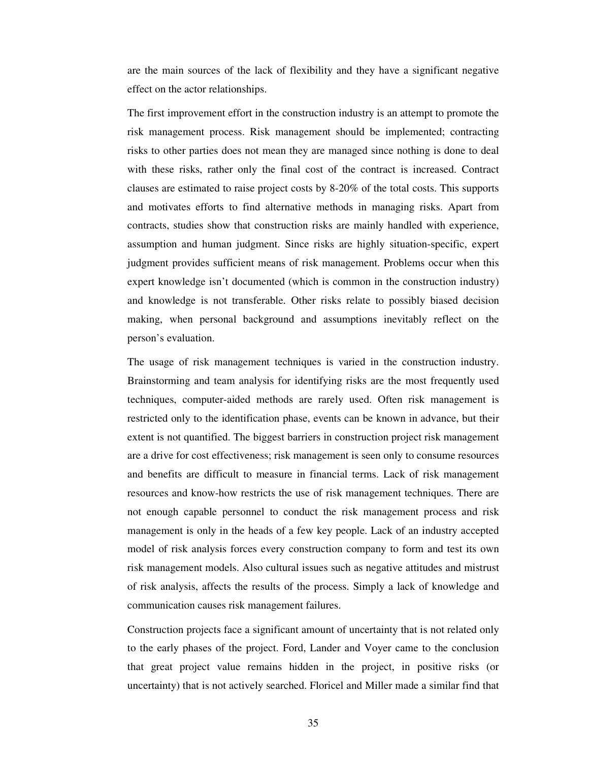are the main sources of the lack of flexibility and they have a significant negative effect on the actor relationships.

The first improvement effort in the construction industry is an attempt to promote the risk management process. Risk management should be implemented; contracting risks to other parties does not mean they are managed since nothing is done to deal with these risks, rather only the final cost of the contract is increased. Contract clauses are estimated to raise project costs by 8-20% of the total costs. This supports and motivates efforts to find alternative methods in managing risks. Apart from contracts, studies show that construction risks are mainly handled with experience, assumption and human judgment. Since risks are highly situation-specific, expert judgment provides sufficient means of risk management. Problems occur when this expert knowledge isn't documented (which is common in the construction industry) and knowledge is not transferable. Other risks relate to possibly biased decision making, when personal background and assumptions inevitably reflect on the person's evaluation.

The usage of risk management techniques is varied in the construction industry. Brainstorming and team analysis for identifying risks are the most frequently used techniques, computer-aided methods are rarely used. Often risk management is restricted only to the identification phase, events can be known in advance, but their extent is not quantified. The biggest barriers in construction project risk management are a drive for cost effectiveness; risk management is seen only to consume resources and benefits are difficult to measure in financial terms. Lack of risk management resources and know-how restricts the use of risk management techniques. There are not enough capable personnel to conduct the risk management process and risk management is only in the heads of a few key people. Lack of an industry accepted model of risk analysis forces every construction company to form and test its own risk management models. Also cultural issues such as negative attitudes and mistrust of risk analysis, affects the results of the process. Simply a lack of knowledge and communication causes risk management failures.

Construction projects face a significant amount of uncertainty that is not related only to the early phases of the project. Ford, Lander and Voyer came to the conclusion that great project value remains hidden in the project, in positive risks (or uncertainty) that is not actively searched. Floricel and Miller made a similar find that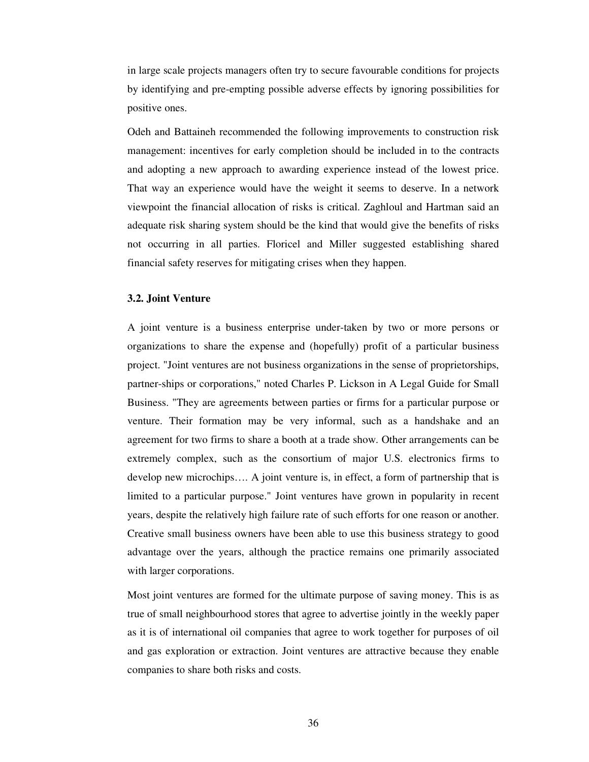in large scale projects managers often try to secure favourable conditions for projects by identifying and pre-empting possible adverse effects by ignoring possibilities for positive ones.

Odeh and Battaineh recommended the following improvements to construction risk management: incentives for early completion should be included in to the contracts and adopting a new approach to awarding experience instead of the lowest price. That way an experience would have the weight it seems to deserve. In a network viewpoint the financial allocation of risks is critical. Zaghloul and Hartman said an adequate risk sharing system should be the kind that would give the benefits of risks not occurring in all parties. Floricel and Miller suggested establishing shared financial safety reserves for mitigating crises when they happen.

## **3.2. Joint Venture**

A joint venture is a business enterprise under-taken by two or more persons or organizations to share the expense and (hopefully) profit of a particular business project. "Joint ventures are not business organizations in the sense of proprietorships, partner-ships or corporations," noted Charles P. Lickson in A Legal Guide for Small Business. "They are agreements between parties or firms for a particular purpose or venture. Their formation may be very informal, such as a handshake and an agreement for two firms to share a booth at a trade show. Other arrangements can be extremely complex, such as the consortium of major U.S. electronics firms to develop new microchips…. A joint venture is, in effect, a form of partnership that is limited to a particular purpose." Joint ventures have grown in popularity in recent years, despite the relatively high failure rate of such efforts for one reason or another. Creative small business owners have been able to use this business strategy to good advantage over the years, although the practice remains one primarily associated with larger corporations.

Most joint ventures are formed for the ultimate purpose of saving money. This is as true of small neighbourhood stores that agree to advertise jointly in the weekly paper as it is of international oil companies that agree to work together for purposes of oil and gas exploration or extraction. Joint ventures are attractive because they enable companies to share both risks and costs.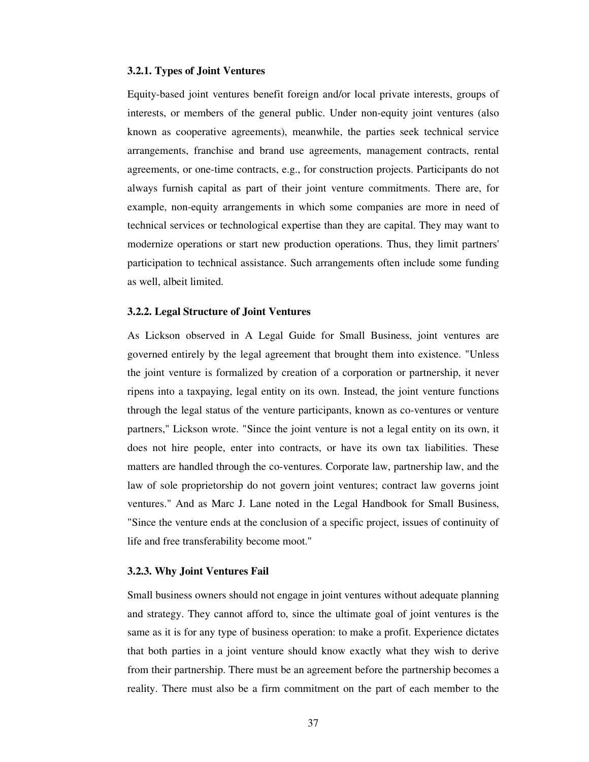## **3.2.1. Types of Joint Ventures**

Equity-based joint ventures benefit foreign and/or local private interests, groups of interests, or members of the general public. Under non-equity joint ventures (also known as cooperative agreements), meanwhile, the parties seek technical service arrangements, franchise and brand use agreements, management contracts, rental agreements, or one-time contracts, e.g., for construction projects. Participants do not always furnish capital as part of their joint venture commitments. There are, for example, non-equity arrangements in which some companies are more in need of technical services or technological expertise than they are capital. They may want to modernize operations or start new production operations. Thus, they limit partners' participation to technical assistance. Such arrangements often include some funding as well, albeit limited.

# **3.2.2. Legal Structure of Joint Ventures**

As Lickson observed in A Legal Guide for Small Business, joint ventures are governed entirely by the legal agreement that brought them into existence. "Unless the joint venture is formalized by creation of a corporation or partnership, it never ripens into a taxpaying, legal entity on its own. Instead, the joint venture functions through the legal status of the venture participants, known as co-ventures or venture partners," Lickson wrote. "Since the joint venture is not a legal entity on its own, it does not hire people, enter into contracts, or have its own tax liabilities. These matters are handled through the co-ventures. Corporate law, partnership law, and the law of sole proprietorship do not govern joint ventures; contract law governs joint ventures." And as Marc J. Lane noted in the Legal Handbook for Small Business, "Since the venture ends at the conclusion of a specific project, issues of continuity of life and free transferability become moot."

## **3.2.3. Why Joint Ventures Fail**

Small business owners should not engage in joint ventures without adequate planning and strategy. They cannot afford to, since the ultimate goal of joint ventures is the same as it is for any type of business operation: to make a profit. Experience dictates that both parties in a joint venture should know exactly what they wish to derive from their partnership. There must be an agreement before the partnership becomes a reality. There must also be a firm commitment on the part of each member to the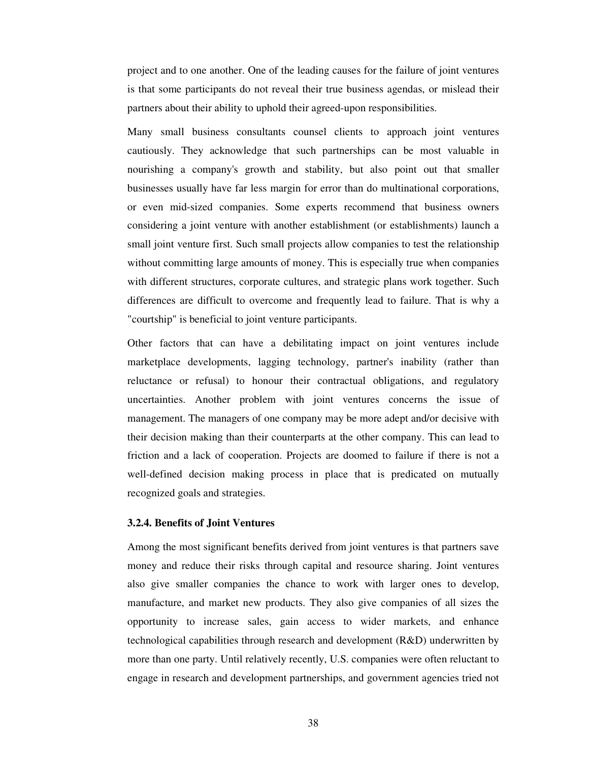project and to one another. One of the leading causes for the failure of joint ventures is that some participants do not reveal their true business agendas, or mislead their partners about their ability to uphold their agreed-upon responsibilities.

Many small business consultants counsel clients to approach joint ventures cautiously. They acknowledge that such partnerships can be most valuable in nourishing a company's growth and stability, but also point out that smaller businesses usually have far less margin for error than do multinational corporations, or even mid-sized companies. Some experts recommend that business owners considering a joint venture with another establishment (or establishments) launch a small joint venture first. Such small projects allow companies to test the relationship without committing large amounts of money. This is especially true when companies with different structures, corporate cultures, and strategic plans work together. Such differences are difficult to overcome and frequently lead to failure. That is why a "courtship" is beneficial to joint venture participants.

Other factors that can have a debilitating impact on joint ventures include marketplace developments, lagging technology, partner's inability (rather than reluctance or refusal) to honour their contractual obligations, and regulatory uncertainties. Another problem with joint ventures concerns the issue of management. The managers of one company may be more adept and/or decisive with their decision making than their counterparts at the other company. This can lead to friction and a lack of cooperation. Projects are doomed to failure if there is not a well-defined decision making process in place that is predicated on mutually recognized goals and strategies.

## **3.2.4. Benefits of Joint Ventures**

Among the most significant benefits derived from joint ventures is that partners save money and reduce their risks through capital and resource sharing. Joint ventures also give smaller companies the chance to work with larger ones to develop, manufacture, and market new products. They also give companies of all sizes the opportunity to increase sales, gain access to wider markets, and enhance technological capabilities through research and development (R&D) underwritten by more than one party. Until relatively recently, U.S. companies were often reluctant to engage in research and development partnerships, and government agencies tried not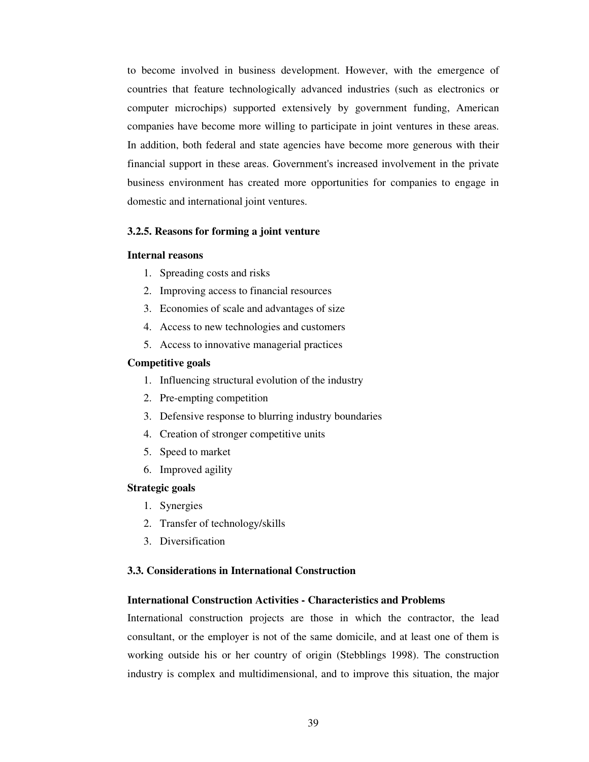to become involved in business development. However, with the emergence of countries that feature technologically advanced industries (such as electronics or computer microchips) supported extensively by government funding, American companies have become more willing to participate in joint ventures in these areas. In addition, both federal and state agencies have become more generous with their financial support in these areas. Government's increased involvement in the private business environment has created more opportunities for companies to engage in domestic and international joint ventures.

## **3.2.5. Reasons for forming a joint venture**

## **Internal reasons**

- 1. Spreading costs and risks
- 2. Improving access to financial resources
- 3. Economies of scale and advantages of size
- 4. Access to new technologies and customers
- 5. Access to innovative managerial practices

#### **Competitive goals**

- 1. Influencing structural evolution of the industry
- 2. Pre-empting competition
- 3. Defensive response to blurring industry boundaries
- 4. Creation of stronger competitive units
- 5. Speed to market
- 6. Improved agility

### **Strategic goals**

- 1. Synergies
- 2. Transfer of technology/skills
- 3. Diversification

# **3.3. Considerations in International Construction**

# **International Construction Activities - Characteristics and Problems**

International construction projects are those in which the contractor, the lead consultant, or the employer is not of the same domicile, and at least one of them is working outside his or her country of origin (Stebblings 1998). The construction industry is complex and multidimensional, and to improve this situation, the major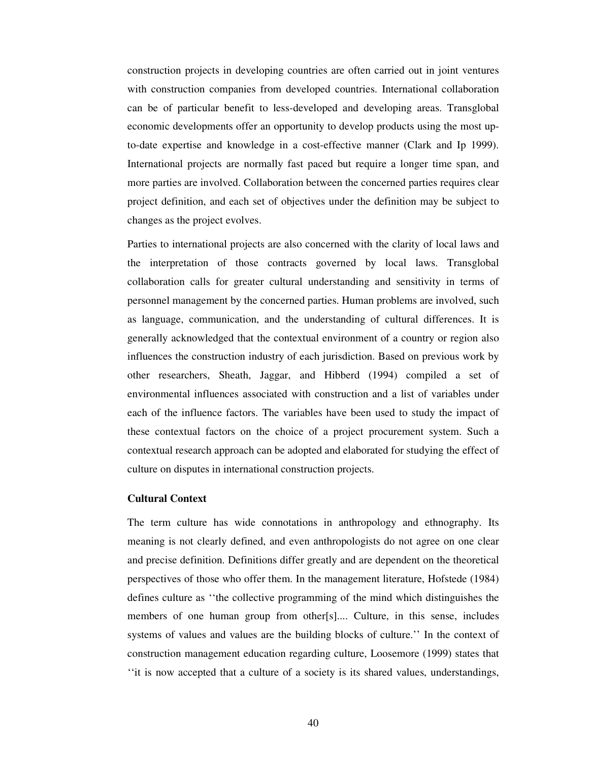construction projects in developing countries are often carried out in joint ventures with construction companies from developed countries. International collaboration can be of particular benefit to less-developed and developing areas. Transglobal economic developments offer an opportunity to develop products using the most upto-date expertise and knowledge in a cost-effective manner (Clark and Ip 1999). International projects are normally fast paced but require a longer time span, and more parties are involved. Collaboration between the concerned parties requires clear project definition, and each set of objectives under the definition may be subject to changes as the project evolves.

Parties to international projects are also concerned with the clarity of local laws and the interpretation of those contracts governed by local laws. Transglobal collaboration calls for greater cultural understanding and sensitivity in terms of personnel management by the concerned parties. Human problems are involved, such as language, communication, and the understanding of cultural differences. It is generally acknowledged that the contextual environment of a country or region also influences the construction industry of each jurisdiction. Based on previous work by other researchers, Sheath, Jaggar, and Hibberd (1994) compiled a set of environmental influences associated with construction and a list of variables under each of the influence factors. The variables have been used to study the impact of these contextual factors on the choice of a project procurement system. Such a contextual research approach can be adopted and elaborated for studying the effect of culture on disputes in international construction projects.

# **Cultural Context**

The term culture has wide connotations in anthropology and ethnography. Its meaning is not clearly defined, and even anthropologists do not agree on one clear and precise definition. Definitions differ greatly and are dependent on the theoretical perspectives of those who offer them. In the management literature, Hofstede (1984) defines culture as ''the collective programming of the mind which distinguishes the members of one human group from other[s].... Culture, in this sense, includes systems of values and values are the building blocks of culture.'' In the context of construction management education regarding culture, Loosemore (1999) states that ''it is now accepted that a culture of a society is its shared values, understandings,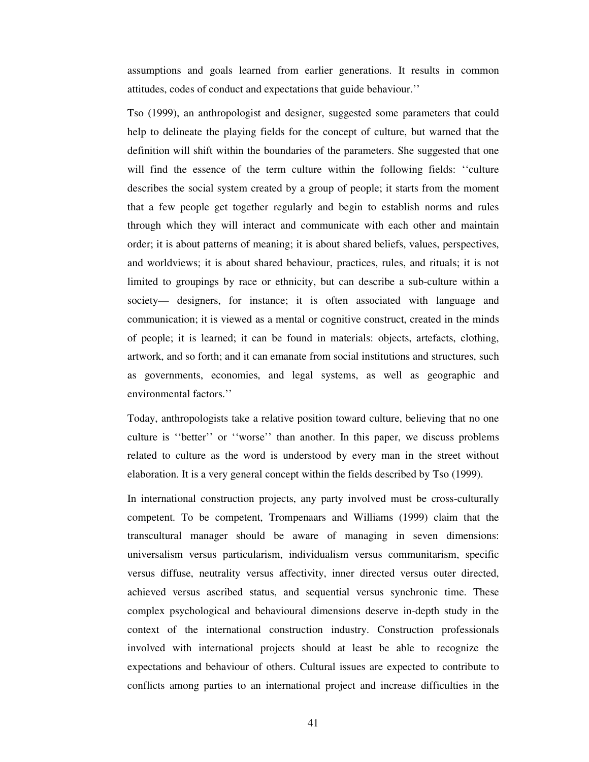assumptions and goals learned from earlier generations. It results in common attitudes, codes of conduct and expectations that guide behaviour.''

Tso (1999), an anthropologist and designer, suggested some parameters that could help to delineate the playing fields for the concept of culture, but warned that the definition will shift within the boundaries of the parameters. She suggested that one will find the essence of the term culture within the following fields: ''culture describes the social system created by a group of people; it starts from the moment that a few people get together regularly and begin to establish norms and rules through which they will interact and communicate with each other and maintain order; it is about patterns of meaning; it is about shared beliefs, values, perspectives, and worldviews; it is about shared behaviour, practices, rules, and rituals; it is not limited to groupings by race or ethnicity, but can describe a sub-culture within a society— designers, for instance; it is often associated with language and communication; it is viewed as a mental or cognitive construct, created in the minds of people; it is learned; it can be found in materials: objects, artefacts, clothing, artwork, and so forth; and it can emanate from social institutions and structures, such as governments, economies, and legal systems, as well as geographic and environmental factors.''

Today, anthropologists take a relative position toward culture, believing that no one culture is ''better'' or ''worse'' than another. In this paper, we discuss problems related to culture as the word is understood by every man in the street without elaboration. It is a very general concept within the fields described by Tso (1999).

In international construction projects, any party involved must be cross-culturally competent. To be competent, Trompenaars and Williams (1999) claim that the transcultural manager should be aware of managing in seven dimensions: universalism versus particularism, individualism versus communitarism, specific versus diffuse, neutrality versus affectivity, inner directed versus outer directed, achieved versus ascribed status, and sequential versus synchronic time. These complex psychological and behavioural dimensions deserve in-depth study in the context of the international construction industry. Construction professionals involved with international projects should at least be able to recognize the expectations and behaviour of others. Cultural issues are expected to contribute to conflicts among parties to an international project and increase difficulties in the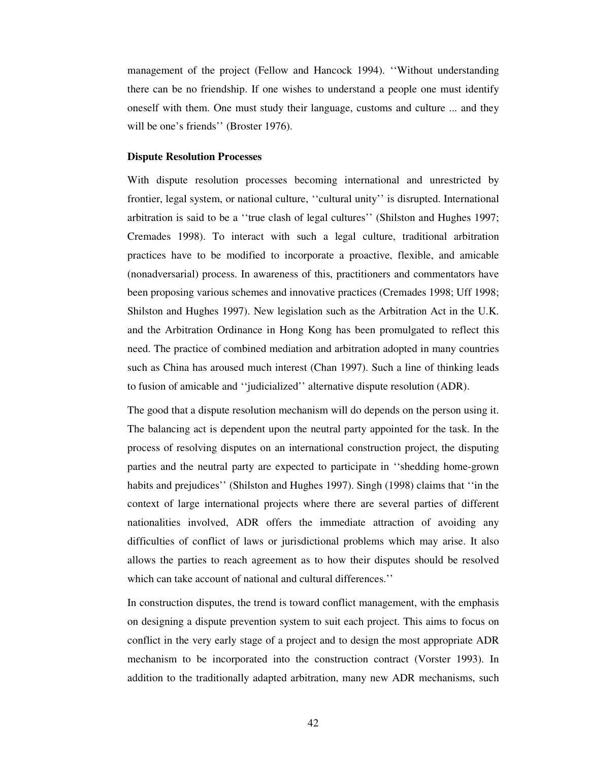management of the project (Fellow and Hancock 1994). ''Without understanding there can be no friendship. If one wishes to understand a people one must identify oneself with them. One must study their language, customs and culture ... and they will be one's friends'' (Broster 1976).

### **Dispute Resolution Processes**

With dispute resolution processes becoming international and unrestricted by frontier, legal system, or national culture, ''cultural unity'' is disrupted. International arbitration is said to be a ''true clash of legal cultures'' (Shilston and Hughes 1997; Cremades 1998). To interact with such a legal culture, traditional arbitration practices have to be modified to incorporate a proactive, flexible, and amicable (nonadversarial) process. In awareness of this, practitioners and commentators have been proposing various schemes and innovative practices (Cremades 1998; Uff 1998; Shilston and Hughes 1997). New legislation such as the Arbitration Act in the U.K. and the Arbitration Ordinance in Hong Kong has been promulgated to reflect this need. The practice of combined mediation and arbitration adopted in many countries such as China has aroused much interest (Chan 1997). Such a line of thinking leads to fusion of amicable and ''judicialized'' alternative dispute resolution (ADR).

The good that a dispute resolution mechanism will do depends on the person using it. The balancing act is dependent upon the neutral party appointed for the task. In the process of resolving disputes on an international construction project, the disputing parties and the neutral party are expected to participate in ''shedding home-grown habits and prejudices'' (Shilston and Hughes 1997). Singh (1998) claims that ''in the context of large international projects where there are several parties of different nationalities involved, ADR offers the immediate attraction of avoiding any difficulties of conflict of laws or jurisdictional problems which may arise. It also allows the parties to reach agreement as to how their disputes should be resolved which can take account of national and cultural differences.''

In construction disputes, the trend is toward conflict management, with the emphasis on designing a dispute prevention system to suit each project. This aims to focus on conflict in the very early stage of a project and to design the most appropriate ADR mechanism to be incorporated into the construction contract (Vorster 1993). In addition to the traditionally adapted arbitration, many new ADR mechanisms, such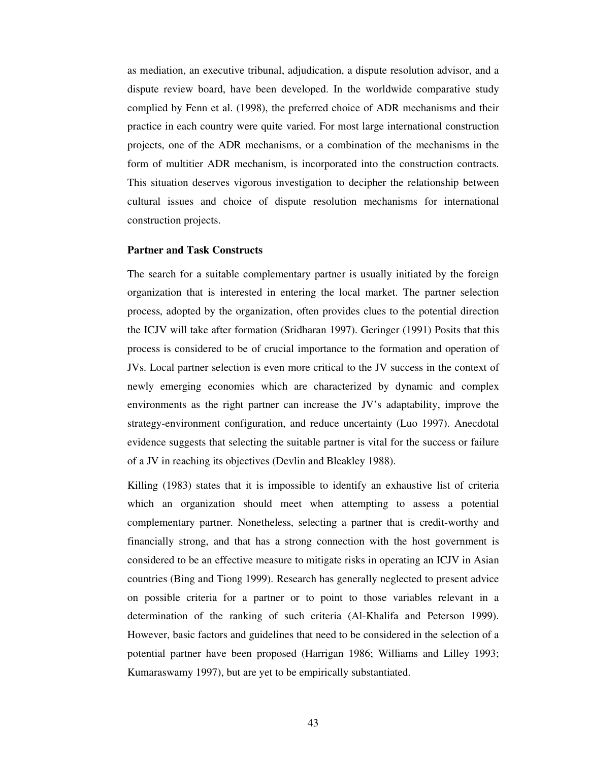as mediation, an executive tribunal, adjudication, a dispute resolution advisor, and a dispute review board, have been developed. In the worldwide comparative study complied by Fenn et al. (1998), the preferred choice of ADR mechanisms and their practice in each country were quite varied. For most large international construction projects, one of the ADR mechanisms, or a combination of the mechanisms in the form of multitier ADR mechanism, is incorporated into the construction contracts. This situation deserves vigorous investigation to decipher the relationship between cultural issues and choice of dispute resolution mechanisms for international construction projects.

# **Partner and Task Constructs**

The search for a suitable complementary partner is usually initiated by the foreign organization that is interested in entering the local market. The partner selection process, adopted by the organization, often provides clues to the potential direction the ICJV will take after formation (Sridharan 1997). Geringer (1991) Posits that this process is considered to be of crucial importance to the formation and operation of JVs. Local partner selection is even more critical to the JV success in the context of newly emerging economies which are characterized by dynamic and complex environments as the right partner can increase the JV's adaptability, improve the strategy-environment configuration, and reduce uncertainty (Luo 1997). Anecdotal evidence suggests that selecting the suitable partner is vital for the success or failure of a JV in reaching its objectives (Devlin and Bleakley 1988).

Killing (1983) states that it is impossible to identify an exhaustive list of criteria which an organization should meet when attempting to assess a potential complementary partner. Nonetheless, selecting a partner that is credit-worthy and financially strong, and that has a strong connection with the host government is considered to be an effective measure to mitigate risks in operating an ICJV in Asian countries (Bing and Tiong 1999). Research has generally neglected to present advice on possible criteria for a partner or to point to those variables relevant in a determination of the ranking of such criteria (Al-Khalifa and Peterson 1999). However, basic factors and guidelines that need to be considered in the selection of a potential partner have been proposed (Harrigan 1986; Williams and Lilley 1993; Kumaraswamy 1997), but are yet to be empirically substantiated.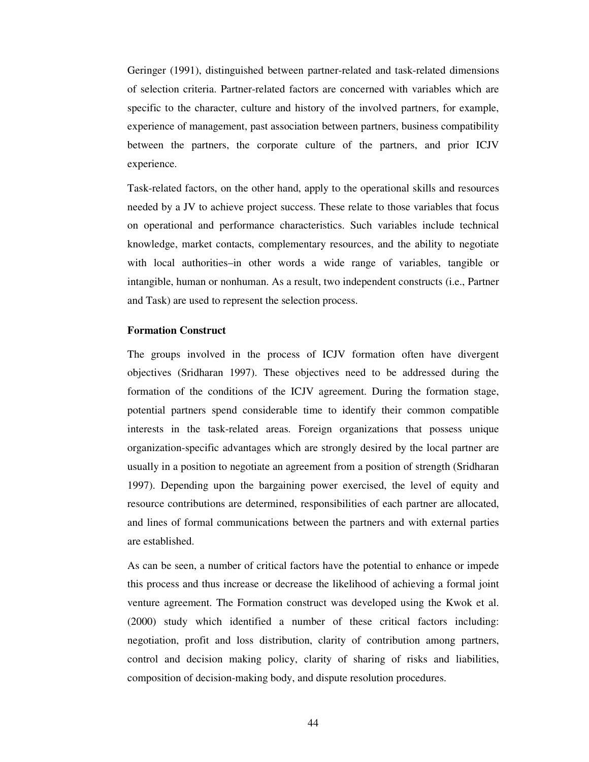Geringer (1991), distinguished between partner-related and task-related dimensions of selection criteria. Partner-related factors are concerned with variables which are specific to the character, culture and history of the involved partners, for example, experience of management, past association between partners, business compatibility between the partners, the corporate culture of the partners, and prior ICJV experience.

Task-related factors, on the other hand, apply to the operational skills and resources needed by a JV to achieve project success. These relate to those variables that focus on operational and performance characteristics. Such variables include technical knowledge, market contacts, complementary resources, and the ability to negotiate with local authorities–in other words a wide range of variables, tangible or intangible, human or nonhuman. As a result, two independent constructs (i.e., Partner and Task) are used to represent the selection process.

## **Formation Construct**

The groups involved in the process of ICJV formation often have divergent objectives (Sridharan 1997). These objectives need to be addressed during the formation of the conditions of the ICJV agreement. During the formation stage, potential partners spend considerable time to identify their common compatible interests in the task-related areas. Foreign organizations that possess unique organization-specific advantages which are strongly desired by the local partner are usually in a position to negotiate an agreement from a position of strength (Sridharan 1997). Depending upon the bargaining power exercised, the level of equity and resource contributions are determined, responsibilities of each partner are allocated, and lines of formal communications between the partners and with external parties are established.

As can be seen, a number of critical factors have the potential to enhance or impede this process and thus increase or decrease the likelihood of achieving a formal joint venture agreement. The Formation construct was developed using the Kwok et al. (2000) study which identified a number of these critical factors including: negotiation, profit and loss distribution, clarity of contribution among partners, control and decision making policy, clarity of sharing of risks and liabilities, composition of decision-making body, and dispute resolution procedures.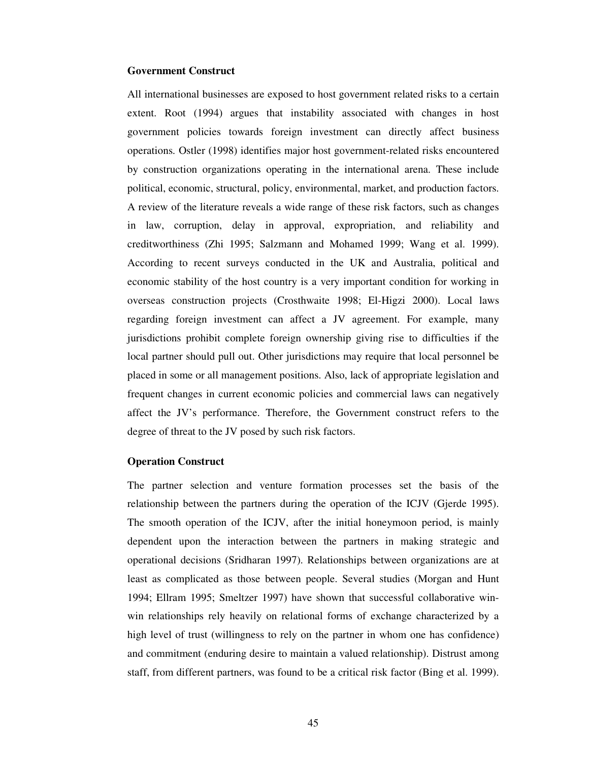## **Government Construct**

All international businesses are exposed to host government related risks to a certain extent. Root (1994) argues that instability associated with changes in host government policies towards foreign investment can directly affect business operations. Ostler (1998) identifies major host government-related risks encountered by construction organizations operating in the international arena. These include political, economic, structural, policy, environmental, market, and production factors. A review of the literature reveals a wide range of these risk factors, such as changes in law, corruption, delay in approval, expropriation, and reliability and creditworthiness (Zhi 1995; Salzmann and Mohamed 1999; Wang et al. 1999). According to recent surveys conducted in the UK and Australia, political and economic stability of the host country is a very important condition for working in overseas construction projects (Crosthwaite 1998; El-Higzi 2000). Local laws regarding foreign investment can affect a JV agreement. For example, many jurisdictions prohibit complete foreign ownership giving rise to difficulties if the local partner should pull out. Other jurisdictions may require that local personnel be placed in some or all management positions. Also, lack of appropriate legislation and frequent changes in current economic policies and commercial laws can negatively affect the JV's performance. Therefore, the Government construct refers to the degree of threat to the JV posed by such risk factors.

# **Operation Construct**

The partner selection and venture formation processes set the basis of the relationship between the partners during the operation of the ICJV (Gjerde 1995). The smooth operation of the ICJV, after the initial honeymoon period, is mainly dependent upon the interaction between the partners in making strategic and operational decisions (Sridharan 1997). Relationships between organizations are at least as complicated as those between people. Several studies (Morgan and Hunt 1994; Ellram 1995; Smeltzer 1997) have shown that successful collaborative winwin relationships rely heavily on relational forms of exchange characterized by a high level of trust (willingness to rely on the partner in whom one has confidence) and commitment (enduring desire to maintain a valued relationship). Distrust among staff, from different partners, was found to be a critical risk factor (Bing et al. 1999).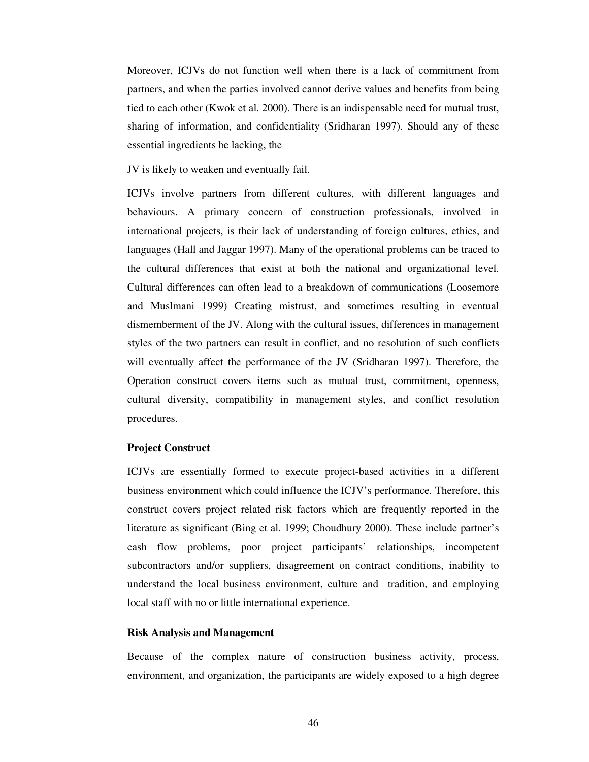Moreover, ICJVs do not function well when there is a lack of commitment from partners, and when the parties involved cannot derive values and benefits from being tied to each other (Kwok et al. 2000). There is an indispensable need for mutual trust, sharing of information, and confidentiality (Sridharan 1997). Should any of these essential ingredients be lacking, the

JV is likely to weaken and eventually fail.

ICJVs involve partners from different cultures, with different languages and behaviours. A primary concern of construction professionals, involved in international projects, is their lack of understanding of foreign cultures, ethics, and languages (Hall and Jaggar 1997). Many of the operational problems can be traced to the cultural differences that exist at both the national and organizational level. Cultural differences can often lead to a breakdown of communications (Loosemore and Muslmani 1999) Creating mistrust, and sometimes resulting in eventual dismemberment of the JV. Along with the cultural issues, differences in management styles of the two partners can result in conflict, and no resolution of such conflicts will eventually affect the performance of the JV (Sridharan 1997). Therefore, the Operation construct covers items such as mutual trust, commitment, openness, cultural diversity, compatibility in management styles, and conflict resolution procedures.

### **Project Construct**

ICJVs are essentially formed to execute project-based activities in a different business environment which could influence the ICJV's performance. Therefore, this construct covers project related risk factors which are frequently reported in the literature as significant (Bing et al. 1999; Choudhury 2000). These include partner's cash flow problems, poor project participants' relationships, incompetent subcontractors and/or suppliers, disagreement on contract conditions, inability to understand the local business environment, culture and tradition, and employing local staff with no or little international experience.

## **Risk Analysis and Management**

Because of the complex nature of construction business activity, process, environment, and organization, the participants are widely exposed to a high degree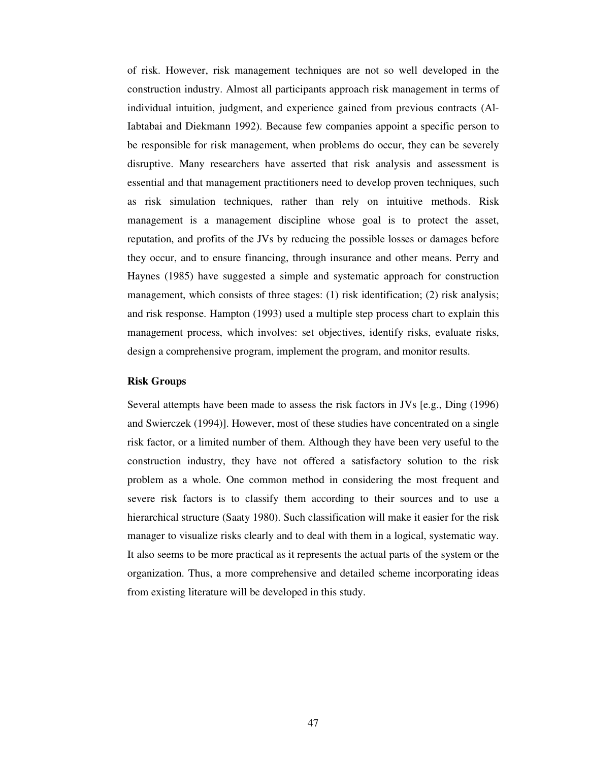of risk. However, risk management techniques are not so well developed in the construction industry. Almost all participants approach risk management in terms of individual intuition, judgment, and experience gained from previous contracts (Al-Iabtabai and Diekmann 1992). Because few companies appoint a specific person to be responsible for risk management, when problems do occur, they can be severely disruptive. Many researchers have asserted that risk analysis and assessment is essential and that management practitioners need to develop proven techniques, such as risk simulation techniques, rather than rely on intuitive methods. Risk management is a management discipline whose goal is to protect the asset, reputation, and profits of the JVs by reducing the possible losses or damages before they occur, and to ensure financing, through insurance and other means. Perry and Haynes (1985) have suggested a simple and systematic approach for construction management, which consists of three stages: (1) risk identification; (2) risk analysis; and risk response. Hampton (1993) used a multiple step process chart to explain this management process, which involves: set objectives, identify risks, evaluate risks, design a comprehensive program, implement the program, and monitor results.

## **Risk Groups**

Several attempts have been made to assess the risk factors in JVs [e.g., Ding (1996) and Swierczek (1994)]. However, most of these studies have concentrated on a single risk factor, or a limited number of them. Although they have been very useful to the construction industry, they have not offered a satisfactory solution to the risk problem as a whole. One common method in considering the most frequent and severe risk factors is to classify them according to their sources and to use a hierarchical structure (Saaty 1980). Such classification will make it easier for the risk manager to visualize risks clearly and to deal with them in a logical, systematic way. It also seems to be more practical as it represents the actual parts of the system or the organization. Thus, a more comprehensive and detailed scheme incorporating ideas from existing literature will be developed in this study.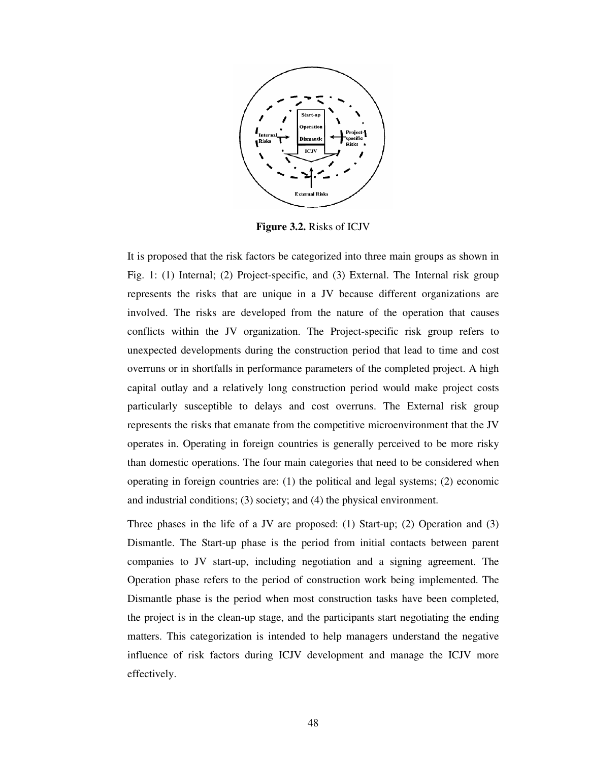

**Figure 3.2.** Risks of ICJV

It is proposed that the risk factors be categorized into three main groups as shown in Fig. 1: (1) Internal; (2) Project-specific, and (3) External. The Internal risk group represents the risks that are unique in a JV because different organizations are involved. The risks are developed from the nature of the operation that causes conflicts within the JV organization. The Project-specific risk group refers to unexpected developments during the construction period that lead to time and cost overruns or in shortfalls in performance parameters of the completed project. A high capital outlay and a relatively long construction period would make project costs particularly susceptible to delays and cost overruns. The External risk group represents the risks that emanate from the competitive microenvironment that the JV operates in. Operating in foreign countries is generally perceived to be more risky than domestic operations. The four main categories that need to be considered when operating in foreign countries are: (1) the political and legal systems; (2) economic and industrial conditions; (3) society; and (4) the physical environment.

Three phases in the life of a JV are proposed: (1) Start-up; (2) Operation and (3) Dismantle. The Start-up phase is the period from initial contacts between parent companies to JV start-up, including negotiation and a signing agreement. The Operation phase refers to the period of construction work being implemented. The Dismantle phase is the period when most construction tasks have been completed, the project is in the clean-up stage, and the participants start negotiating the ending matters. This categorization is intended to help managers understand the negative influence of risk factors during ICJV development and manage the ICJV more effectively.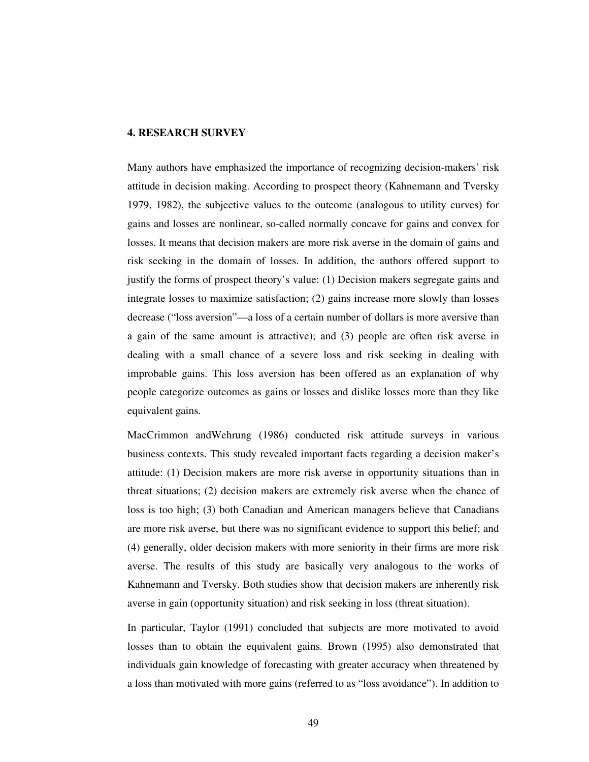## **4. RESEARCH SURVEY**

Many authors have emphasized the importance of recognizing decision-makers' risk attitude in decision making. According to prospect theory (Kahnemann and Tversky 1979, 1982), the subjective values to the outcome (analogous to utility curves) for gains and losses are nonlinear, so-called normally concave for gains and convex for losses. It means that decision makers are more risk averse in the domain of gains and risk seeking in the domain of losses. In addition, the authors offered support to justify the forms of prospect theory's value: (1) Decision makers segregate gains and integrate losses to maximize satisfaction; (2) gains increase more slowly than losses decrease ("loss aversion"—a loss of a certain number of dollars is more aversive than a gain of the same amount is attractive); and (3) people are often risk averse in dealing with a small chance of a severe loss and risk seeking in dealing with improbable gains. This loss aversion has been offered as an explanation of why people categorize outcomes as gains or losses and dislike losses more than they like equivalent gains.

MacCrimmon andWehrung (1986) conducted risk attitude surveys in various business contexts. This study revealed important facts regarding a decision maker's attitude: (1) Decision makers are more risk averse in opportunity situations than in threat situations; (2) decision makers are extremely risk averse when the chance of loss is too high; (3) both Canadian and American managers believe that Canadians are more risk averse, but there was no significant evidence to support this belief; and (4) generally, older decision makers with more seniority in their firms are more risk averse. The results of this study are basically very analogous to the works of Kahnemann and Tversky. Both studies show that decision makers are inherently risk averse in gain (opportunity situation) and risk seeking in loss (threat situation).

In particular, Taylor (1991) concluded that subjects are more motivated to avoid losses than to obtain the equivalent gains. Brown (1995) also demonstrated that individuals gain knowledge of forecasting with greater accuracy when threatened by a loss than motivated with more gains (referred to as "loss avoidance"). In addition to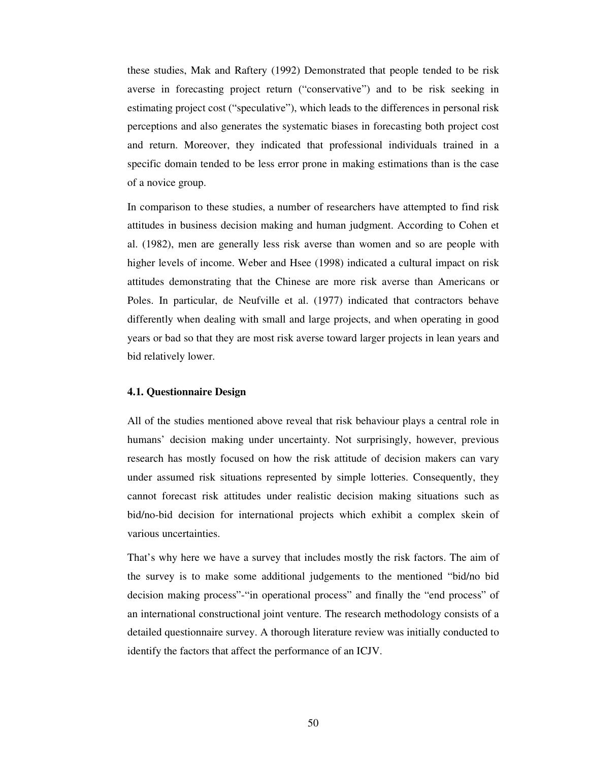these studies, Mak and Raftery (1992) Demonstrated that people tended to be risk averse in forecasting project return ("conservative") and to be risk seeking in estimating project cost ("speculative"), which leads to the differences in personal risk perceptions and also generates the systematic biases in forecasting both project cost and return. Moreover, they indicated that professional individuals trained in a specific domain tended to be less error prone in making estimations than is the case of a novice group.

In comparison to these studies, a number of researchers have attempted to find risk attitudes in business decision making and human judgment. According to Cohen et al. (1982), men are generally less risk averse than women and so are people with higher levels of income. Weber and Hsee (1998) indicated a cultural impact on risk attitudes demonstrating that the Chinese are more risk averse than Americans or Poles. In particular, de Neufville et al. (1977) indicated that contractors behave differently when dealing with small and large projects, and when operating in good years or bad so that they are most risk averse toward larger projects in lean years and bid relatively lower.

# **4.1. Questionnaire Design**

All of the studies mentioned above reveal that risk behaviour plays a central role in humans' decision making under uncertainty. Not surprisingly, however, previous research has mostly focused on how the risk attitude of decision makers can vary under assumed risk situations represented by simple lotteries. Consequently, they cannot forecast risk attitudes under realistic decision making situations such as bid/no-bid decision for international projects which exhibit a complex skein of various uncertainties.

That's why here we have a survey that includes mostly the risk factors. The aim of the survey is to make some additional judgements to the mentioned "bid/no bid decision making process"-"in operational process" and finally the "end process" of an international constructional joint venture. The research methodology consists of a detailed questionnaire survey. A thorough literature review was initially conducted to identify the factors that affect the performance of an ICJV.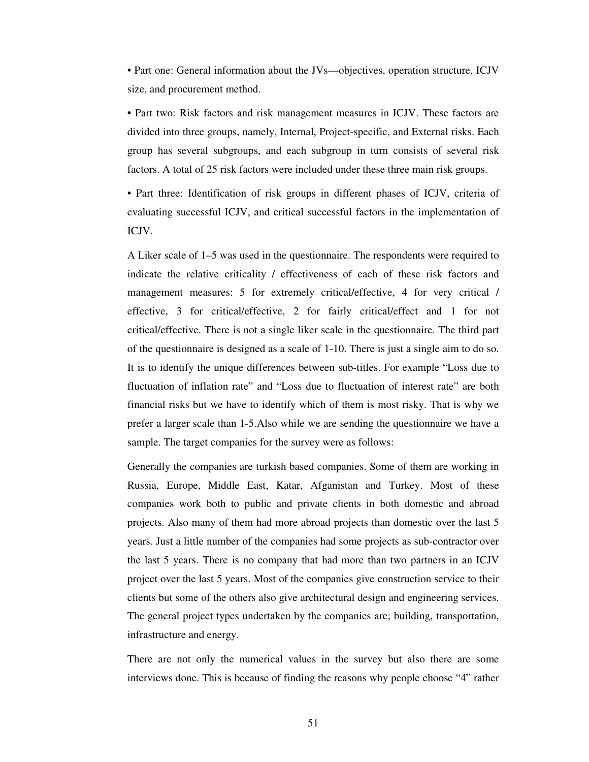• Part one: General information about the JVs—objectives, operation structure, ICJV size, and procurement method.

• Part two: Risk factors and risk management measures in ICJV. These factors are divided into three groups, namely, Internal, Project-specific, and External risks. Each group has several subgroups, and each subgroup in turn consists of several risk factors. A total of 25 risk factors were included under these three main risk groups.

• Part three: Identification of risk groups in different phases of ICJV, criteria of evaluating successful ICJV, and critical successful factors in the implementation of ICJV.

A Liker scale of 1–5 was used in the questionnaire. The respondents were required to indicate the relative criticality / effectiveness of each of these risk factors and management measures: 5 for extremely critical/effective, 4 for very critical / effective, 3 for critical/effective, 2 for fairly critical/effect and 1 for not critical/effective. There is not a single liker scale in the questionnaire. The third part of the questionnaire is designed as a scale of 1-10. There is just a single aim to do so. It is to identify the unique differences between sub-titles. For example "Loss due to fluctuation of inflation rate" and "Loss due to fluctuation of interest rate" are both financial risks but we have to identify which of them is most risky. That is why we prefer a larger scale than 1-5.Also while we are sending the questionnaire we have a sample. The target companies for the survey were as follows:

Generally the companies are turkish based companies. Some of them are working in Russia, Europe, Middle East, Katar, Afganistan and Turkey. Most of these companies work both to public and private clients in both domestic and abroad projects. Also many of them had more abroad projects than domestic over the last 5 years. Just a little number of the companies had some projects as sub-contractor over the last 5 years. There is no company that had more than two partners in an ICJV project over the last 5 years. Most of the companies give construction service to their clients but some of the others also give architectural design and engineering services. The general project types undertaken by the companies are; building, transportation, infrastructure and energy.

There are not only the numerical values in the survey but also there are some interviews done. This is because of finding the reasons why people choose "4" rather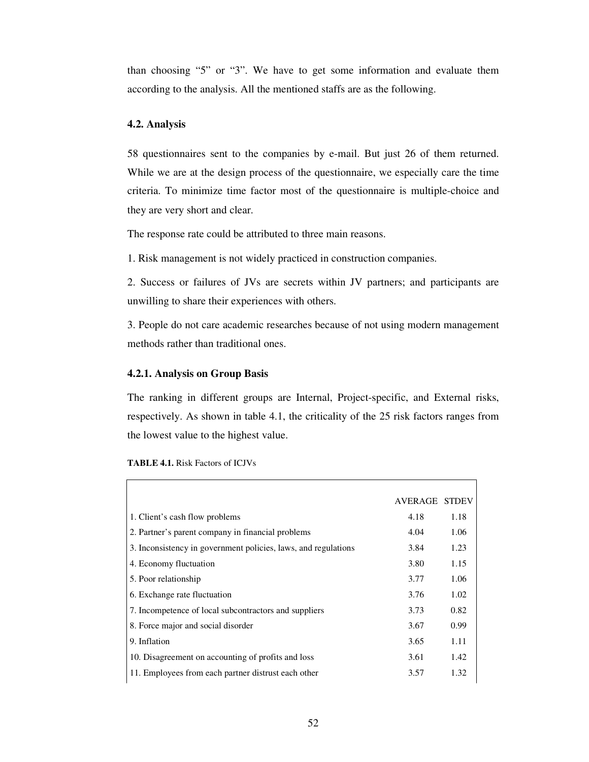than choosing "5" or "3". We have to get some information and evaluate them according to the analysis. All the mentioned staffs are as the following.

## **4.2. Analysis**

58 questionnaires sent to the companies by e-mail. But just 26 of them returned. While we are at the design process of the questionnaire, we especially care the time criteria. To minimize time factor most of the questionnaire is multiple-choice and they are very short and clear.

The response rate could be attributed to three main reasons.

1. Risk management is not widely practiced in construction companies.

2. Success or failures of JVs are secrets within JV partners; and participants are unwilling to share their experiences with others.

3. People do not care academic researches because of not using modern management methods rather than traditional ones.

### **4.2.1. Analysis on Group Basis**

The ranking in different groups are Internal, Project-specific, and External risks, respectively. As shown in table 4.1, the criticality of the 25 risk factors ranges from the lowest value to the highest value.

# **TABLE 4.1.** Risk Factors of ICJVs

|                                                                | <b>AVERAGE STDEV</b> |      |
|----------------------------------------------------------------|----------------------|------|
| 1. Client's cash flow problems                                 | 4.18                 | 1.18 |
| 2. Partner's parent company in financial problems              | 4.04                 | 1.06 |
| 3. Inconsistency in government policies, laws, and regulations | 3.84                 | 1.23 |
| 4. Economy fluctuation                                         | 3.80                 | 1.15 |
| 5. Poor relationship                                           | 3.77                 | 1.06 |
| 6. Exchange rate fluctuation                                   | 3.76                 | 1.02 |
| 7. Incompetence of local subcontractors and suppliers          | 3.73                 | 0.82 |
| 8. Force major and social disorder                             | 3.67                 | 0.99 |
| 9. Inflation                                                   | 3.65                 | 1.11 |
| 10. Disagreement on accounting of profits and loss             | 3.61                 | 1.42 |
| 11. Employees from each partner distrust each other            | 3.57                 | 1.32 |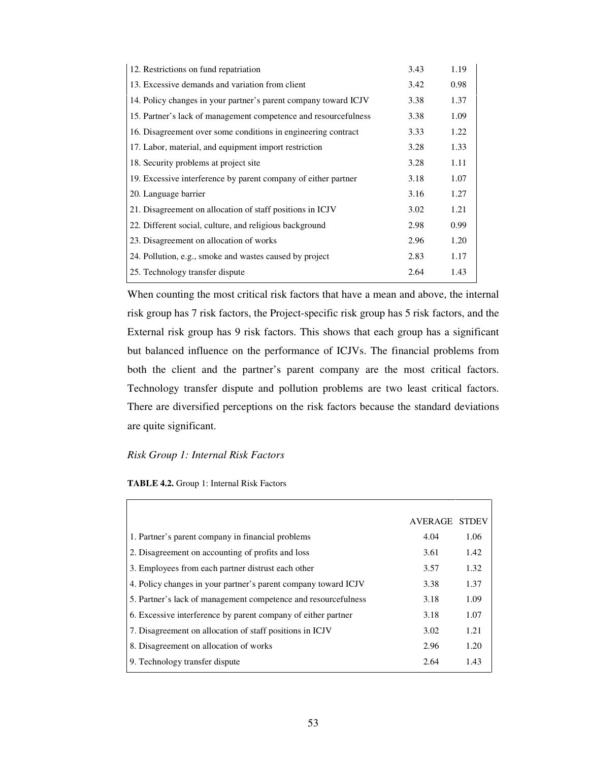| 12. Restrictions on fund repatriation                           | 3.43 | 1.19 |
|-----------------------------------------------------------------|------|------|
| 13. Excessive demands and variation from client                 | 3.42 | 0.98 |
| 14. Policy changes in your partner's parent company toward ICJV | 3.38 | 1.37 |
| 15. Partner's lack of management competence and resourcefulness | 3.38 | 1.09 |
| 16. Disagreement over some conditions in engineering contract   | 3.33 | 1.22 |
| 17. Labor, material, and equipment import restriction           | 3.28 | 1.33 |
| 18. Security problems at project site                           | 3.28 | 1.11 |
| 19. Excessive interference by parent company of either partner  | 3.18 | 1.07 |
| 20. Language barrier                                            | 3.16 | 1.27 |
| 21. Disagreement on allocation of staff positions in ICJV       | 3.02 | 1.21 |
| 22. Different social, culture, and religious background         | 2.98 | 0.99 |
| 23. Disagreement on allocation of works                         | 2.96 | 1.20 |
| 24. Pollution, e.g., smoke and wastes caused by project         | 2.83 | 1.17 |
| 25. Technology transfer dispute                                 | 2.64 | 1.43 |

When counting the most critical risk factors that have a mean and above, the internal risk group has 7 risk factors, the Project-specific risk group has 5 risk factors, and the External risk group has 9 risk factors. This shows that each group has a significant but balanced influence on the performance of ICJVs. The financial problems from both the client and the partner's parent company are the most critical factors. Technology transfer dispute and pollution problems are two least critical factors. There are diversified perceptions on the risk factors because the standard deviations are quite significant.

# *Risk Group 1: Internal Risk Factors*

### **TABLE 4.2.** Group 1: Internal Risk Factors

|                                                                | AVERAGE STDEV |      |
|----------------------------------------------------------------|---------------|------|
| 1. Partner's parent company in financial problems              | 4.04          | 1.06 |
| 2. Disagreement on accounting of profits and loss              | 3.61          | 1.42 |
| 3. Employees from each partner distrust each other             | 3.57          | 1.32 |
| 4. Policy changes in your partner's parent company toward ICJV | 3.38          | 1.37 |
| 5. Partner's lack of management competence and resourcefulness | 3.18          | 1.09 |
| 6. Excessive interference by parent company of either partner  | 3.18          | 1.07 |
| 7. Disagreement on allocation of staff positions in ICJV       | 3.02          | 1.21 |
| 8. Disagreement on allocation of works                         | 2.96          | 1.20 |
| 9. Technology transfer dispute                                 | 2.64          | 1.43 |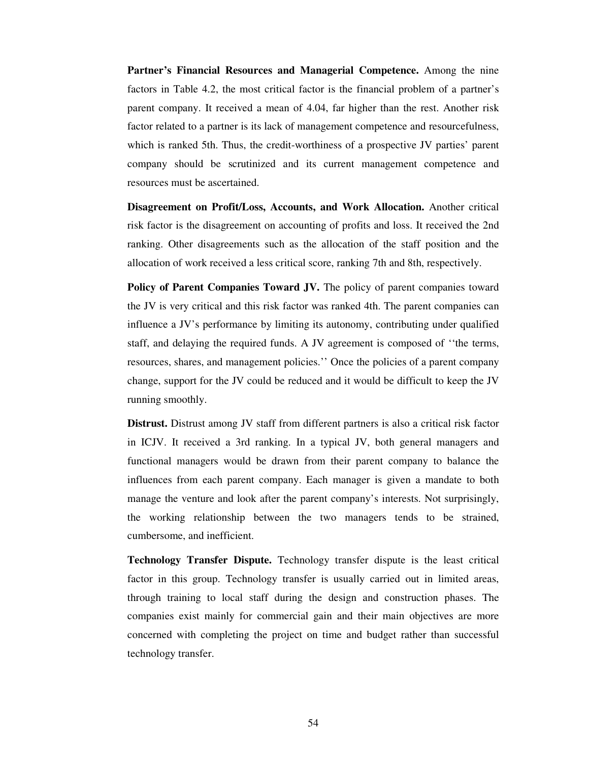**Partner's Financial Resources and Managerial Competence.** Among the nine factors in Table 4.2, the most critical factor is the financial problem of a partner's parent company. It received a mean of 4.04, far higher than the rest. Another risk factor related to a partner is its lack of management competence and resourcefulness, which is ranked 5th. Thus, the credit-worthiness of a prospective JV parties' parent company should be scrutinized and its current management competence and resources must be ascertained.

**Disagreement on Profit/Loss, Accounts, and Work Allocation.** Another critical risk factor is the disagreement on accounting of profits and loss. It received the 2nd ranking. Other disagreements such as the allocation of the staff position and the allocation of work received a less critical score, ranking 7th and 8th, respectively.

**Policy of Parent Companies Toward JV.** The policy of parent companies toward the JV is very critical and this risk factor was ranked 4th. The parent companies can influence a JV's performance by limiting its autonomy, contributing under qualified staff, and delaying the required funds. A JV agreement is composed of ''the terms, resources, shares, and management policies.'' Once the policies of a parent company change, support for the JV could be reduced and it would be difficult to keep the JV running smoothly.

**Distrust.** Distrust among JV staff from different partners is also a critical risk factor in ICJV. It received a 3rd ranking. In a typical JV, both general managers and functional managers would be drawn from their parent company to balance the influences from each parent company. Each manager is given a mandate to both manage the venture and look after the parent company's interests. Not surprisingly, the working relationship between the two managers tends to be strained, cumbersome, and inefficient.

**Technology Transfer Dispute.** Technology transfer dispute is the least critical factor in this group. Technology transfer is usually carried out in limited areas, through training to local staff during the design and construction phases. The companies exist mainly for commercial gain and their main objectives are more concerned with completing the project on time and budget rather than successful technology transfer.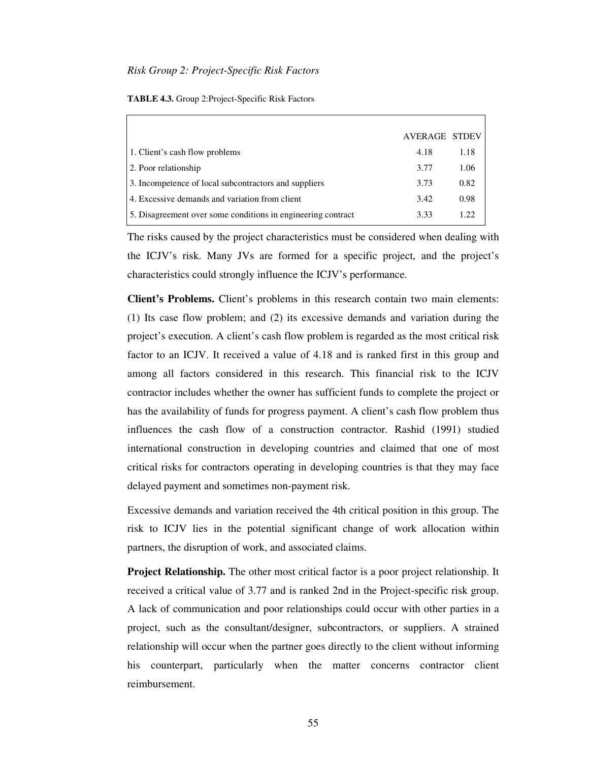### *Risk Group 2: Project-Specific Risk Factors*

| TABLE 4.3. Group 2: Project-Specific Risk Factors |  |  |  |  |  |  |
|---------------------------------------------------|--|--|--|--|--|--|
|---------------------------------------------------|--|--|--|--|--|--|

|                                                              | <b>AVERAGE STDEV</b> |      |
|--------------------------------------------------------------|----------------------|------|
| 1. Client's cash flow problems                               | 4.18                 | 1.18 |
| 2. Poor relationship                                         | 3.77                 | 1.06 |
| 3. Incompetence of local subcontractors and suppliers        | 3.73                 | 0.82 |
| 4. Excessive demands and variation from client               | 3.42                 | 0.98 |
| 5. Disagreement over some conditions in engineering contract | 3.33                 | 1.22 |

The risks caused by the project characteristics must be considered when dealing with the ICJV's risk. Many JVs are formed for a specific project, and the project's characteristics could strongly influence the ICJV's performance.

**Client's Problems.** Client's problems in this research contain two main elements: (1) Its case flow problem; and (2) its excessive demands and variation during the project's execution. A client's cash flow problem is regarded as the most critical risk factor to an ICJV. It received a value of 4.18 and is ranked first in this group and among all factors considered in this research. This financial risk to the ICJV contractor includes whether the owner has sufficient funds to complete the project or has the availability of funds for progress payment. A client's cash flow problem thus influences the cash flow of a construction contractor. Rashid (1991) studied international construction in developing countries and claimed that one of most critical risks for contractors operating in developing countries is that they may face delayed payment and sometimes non-payment risk.

Excessive demands and variation received the 4th critical position in this group. The risk to ICJV lies in the potential significant change of work allocation within partners, the disruption of work, and associated claims.

**Project Relationship.** The other most critical factor is a poor project relationship. It received a critical value of 3.77 and is ranked 2nd in the Project-specific risk group. A lack of communication and poor relationships could occur with other parties in a project, such as the consultant/designer, subcontractors, or suppliers. A strained relationship will occur when the partner goes directly to the client without informing his counterpart, particularly when the matter concerns contractor client reimbursement.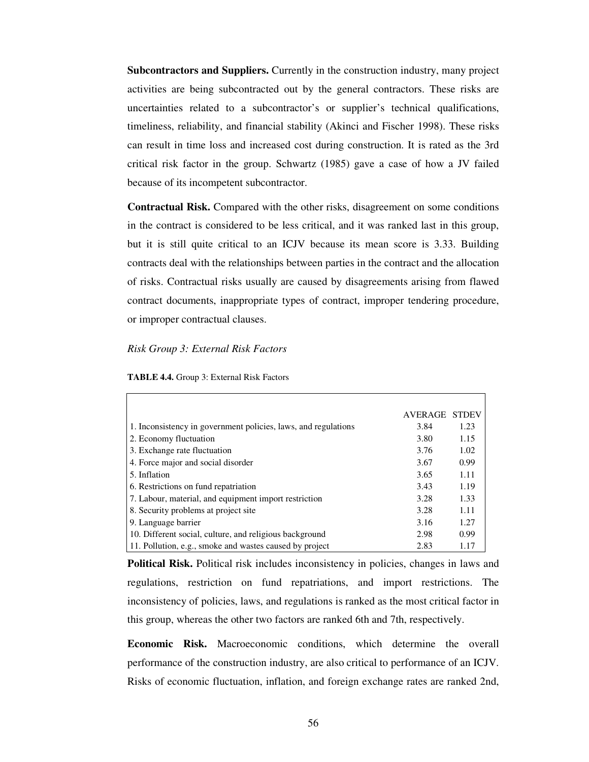**Subcontractors and Suppliers.** Currently in the construction industry, many project activities are being subcontracted out by the general contractors. These risks are uncertainties related to a subcontractor's or supplier's technical qualifications, timeliness, reliability, and financial stability (Akinci and Fischer 1998). These risks can result in time loss and increased cost during construction. It is rated as the 3rd critical risk factor in the group. Schwartz (1985) gave a case of how a JV failed because of its incompetent subcontractor.

**Contractual Risk.** Compared with the other risks, disagreement on some conditions in the contract is considered to be less critical, and it was ranked last in this group, but it is still quite critical to an ICJV because its mean score is 3.33. Building contracts deal with the relationships between parties in the contract and the allocation of risks. Contractual risks usually are caused by disagreements arising from flawed contract documents, inappropriate types of contract, improper tendering procedure, or improper contractual clauses.

## *Risk Group 3: External Risk Factors*

|                                                                | AVERAGE | <b>STDEV</b> |
|----------------------------------------------------------------|---------|--------------|
| 1. Inconsistency in government policies, laws, and regulations | 3.84    | 1.23         |
| 2. Economy fluctuation                                         | 3.80    | 1.15         |
| 3. Exchange rate fluctuation                                   | 3.76    | 1.02         |
| 4. Force major and social disorder                             | 3.67    | 0.99         |
| 5. Inflation                                                   | 3.65    | 1.11         |
| 6. Restrictions on fund repatriation                           | 3.43    | 1.19         |
| 7. Labour, material, and equipment import restriction          | 3.28    | 1.33         |
| 8. Security problems at project site.                          | 3.28    | 1.11         |
| 9. Language barrier                                            | 3.16    | 1.27         |
| 10. Different social, culture, and religious background        | 2.98    | 0.99         |
| 11. Pollution, e.g., smoke and wastes caused by project        | 2.83    | 1.17         |

**Political Risk.** Political risk includes inconsistency in policies, changes in laws and regulations, restriction on fund repatriations, and import restrictions. The inconsistency of policies, laws, and regulations is ranked as the most critical factor in this group, whereas the other two factors are ranked 6th and 7th, respectively.

**Economic Risk.** Macroeconomic conditions, which determine the overall performance of the construction industry, are also critical to performance of an ICJV. Risks of economic fluctuation, inflation, and foreign exchange rates are ranked 2nd,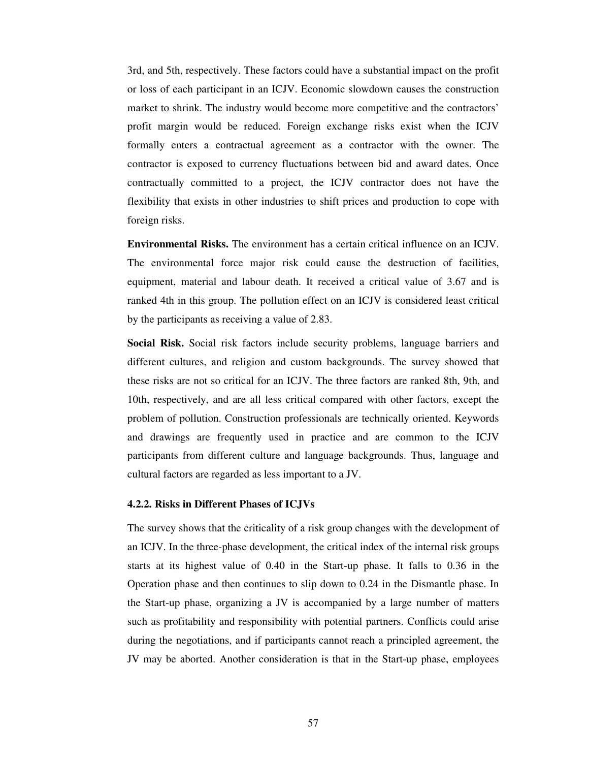3rd, and 5th, respectively. These factors could have a substantial impact on the profit or loss of each participant in an ICJV. Economic slowdown causes the construction market to shrink. The industry would become more competitive and the contractors' profit margin would be reduced. Foreign exchange risks exist when the ICJV formally enters a contractual agreement as a contractor with the owner. The contractor is exposed to currency fluctuations between bid and award dates. Once contractually committed to a project, the ICJV contractor does not have the flexibility that exists in other industries to shift prices and production to cope with foreign risks.

**Environmental Risks.** The environment has a certain critical influence on an ICJV. The environmental force major risk could cause the destruction of facilities, equipment, material and labour death. It received a critical value of 3.67 and is ranked 4th in this group. The pollution effect on an ICJV is considered least critical by the participants as receiving a value of 2.83.

**Social Risk.** Social risk factors include security problems, language barriers and different cultures, and religion and custom backgrounds. The survey showed that these risks are not so critical for an ICJV. The three factors are ranked 8th, 9th, and 10th, respectively, and are all less critical compared with other factors, except the problem of pollution. Construction professionals are technically oriented. Keywords and drawings are frequently used in practice and are common to the ICJV participants from different culture and language backgrounds. Thus, language and cultural factors are regarded as less important to a JV.

### **4.2.2. Risks in Different Phases of ICJVs**

The survey shows that the criticality of a risk group changes with the development of an ICJV. In the three-phase development, the critical index of the internal risk groups starts at its highest value of 0.40 in the Start-up phase. It falls to 0.36 in the Operation phase and then continues to slip down to 0.24 in the Dismantle phase. In the Start-up phase, organizing a JV is accompanied by a large number of matters such as profitability and responsibility with potential partners. Conflicts could arise during the negotiations, and if participants cannot reach a principled agreement, the JV may be aborted. Another consideration is that in the Start-up phase, employees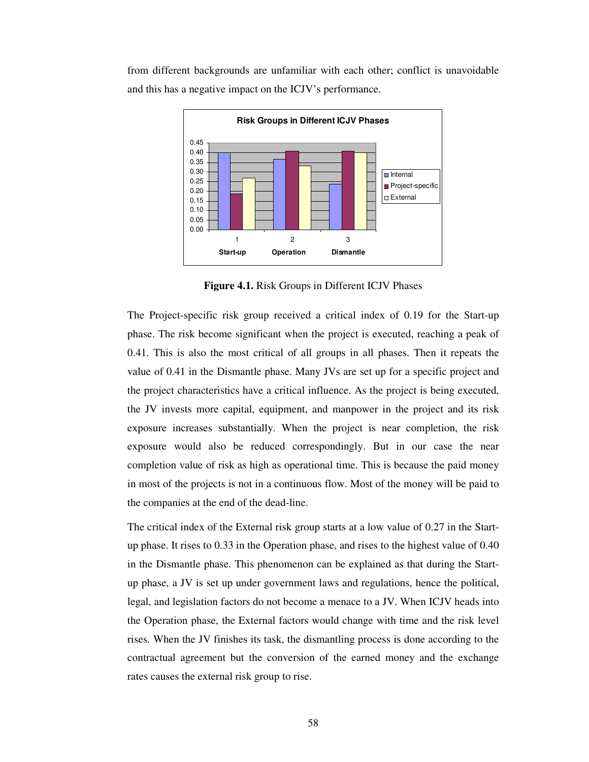from different backgrounds are unfamiliar with each other; conflict is unavoidable and this has a negative impact on the ICJV's performance.



**Figure 4.1.** Risk Groups in Different ICJV Phases

The Project-specific risk group received a critical index of 0.19 for the Start-up phase. The risk become significant when the project is executed, reaching a peak of 0.41. This is also the most critical of all groups in all phases. Then it repeats the value of 0.41 in the Dismantle phase. Many JVs are set up for a specific project and the project characteristics have a critical influence. As the project is being executed, the JV invests more capital, equipment, and manpower in the project and its risk exposure increases substantially. When the project is near completion, the risk exposure would also be reduced correspondingly. But in our case the near completion value of risk as high as operational time. This is because the paid money in most of the projects is not in a continuous flow. Most of the money will be paid to the companies at the end of the dead-line.

The critical index of the External risk group starts at a low value of 0.27 in the Startup phase. It rises to 0.33 in the Operation phase, and rises to the highest value of 0.40 in the Dismantle phase. This phenomenon can be explained as that during the Startup phase, a JV is set up under government laws and regulations, hence the political, legal, and legislation factors do not become a menace to a JV. When ICJV heads into the Operation phase, the External factors would change with time and the risk level rises. When the JV finishes its task, the dismantling process is done according to the contractual agreement but the conversion of the earned money and the exchange rates causes the external risk group to rise.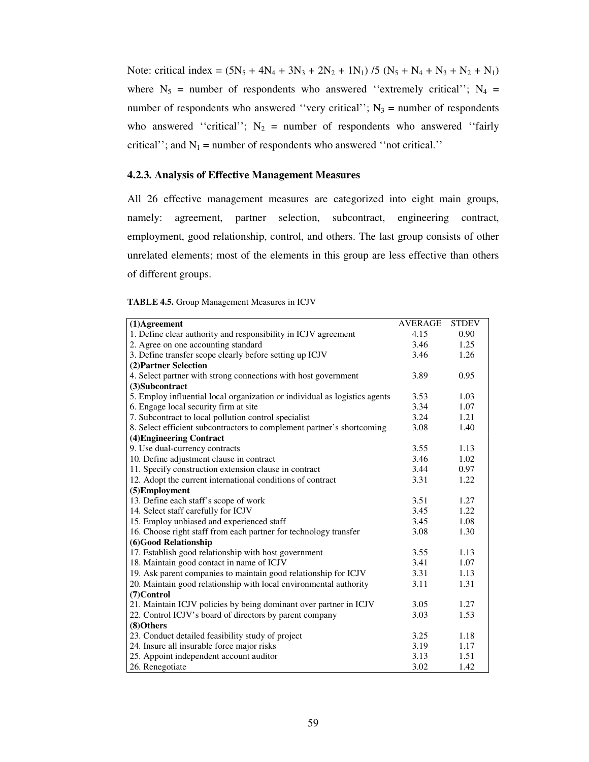Note: critical index =  $(5N_5 + 4N_4 + 3N_3 + 2N_2 + 1N_1) / 5 (N_5 + N_4 + N_3 + N_2 + N_1)$ where  $N_5$  = number of respondents who answered "extremely critical";  $N_4$  = number of respondents who answered "very critical";  $N_3$  = number of respondents who answered "critical";  $N_2$  = number of respondents who answered "fairly" critical''; and  $N_1$  = number of respondents who answered "not critical."

# **4.2.3. Analysis of Effective Management Measures**

All 26 effective management measures are categorized into eight main groups, namely: agreement, partner selection, subcontract, engineering contract, employment, good relationship, control, and others. The last group consists of other unrelated elements; most of the elements in this group are less effective than others of different groups.

|  |  |  |  |  | <b>TABLE 4.5.</b> Group Management Measures in ICJV |  |  |  |
|--|--|--|--|--|-----------------------------------------------------|--|--|--|
|--|--|--|--|--|-----------------------------------------------------|--|--|--|

| $(1)$ Agreement                                                            | <b>AVERAGE</b> | <b>STDEV</b> |
|----------------------------------------------------------------------------|----------------|--------------|
| 1. Define clear authority and responsibility in ICJV agreement             | 4.15           | 0.90         |
| 2. Agree on one accounting standard                                        | 3.46           | 1.25         |
| 3. Define transfer scope clearly before setting up ICJV                    | 3.46           | 1.26         |
| (2) Partner Selection                                                      |                |              |
| 4. Select partner with strong connections with host government             | 3.89           | 0.95         |
| (3)Subcontract                                                             |                |              |
| 5. Employ influential local organization or individual as logistics agents | 3.53           | 1.03         |
| 6. Engage local security firm at site                                      | 3.34           | 1.07         |
| 7. Subcontract to local pollution control specialist                       | 3.24           | 1.21         |
| 8. Select efficient subcontractors to complement partner's shortcoming     | 3.08           | 1.40         |
| (4) Engineering Contract                                                   |                |              |
| 9. Use dual-currency contracts                                             | 3.55           | 1.13         |
| 10. Define adjustment clause in contract                                   | 3.46           | 1.02         |
| 11. Specify construction extension clause in contract                      | 3.44           | 0.97         |
| 12. Adopt the current international conditions of contract                 | 3.31           | 1.22         |
| (5) Employment                                                             |                |              |
| 13. Define each staff's scope of work                                      | 3.51           | 1.27         |
| 14. Select staff carefully for ICJV                                        | 3.45           | 1.22         |
| 15. Employ unbiased and experienced staff                                  | 3.45           | 1.08         |
| 16. Choose right staff from each partner for technology transfer           | 3.08           | 1.30         |
| (6)Good Relationship                                                       |                |              |
| 17. Establish good relationship with host government                       | 3.55           | 1.13         |
| 18. Maintain good contact in name of ICJV                                  | 3.41           | 1.07         |
| 19. Ask parent companies to maintain good relationship for ICJV            | 3.31           | 1.13         |
| 20. Maintain good relationship with local environmental authority          | 3.11           | 1.31         |
| $(7)$ Control                                                              |                |              |
| 21. Maintain ICJV policies by being dominant over partner in ICJV          | 3.05           | 1.27         |
| 22. Control ICJV's board of directors by parent company                    | 3.03           | 1.53         |
| (8)Others                                                                  |                |              |
| 23. Conduct detailed feasibility study of project                          | 3.25           | 1.18         |
| 24. Insure all insurable force major risks                                 | 3.19           | 1.17         |
| 25. Appoint independent account auditor                                    | 3.13           | 1.51         |
| 26. Renegotiate                                                            | 3.02           | 1.42         |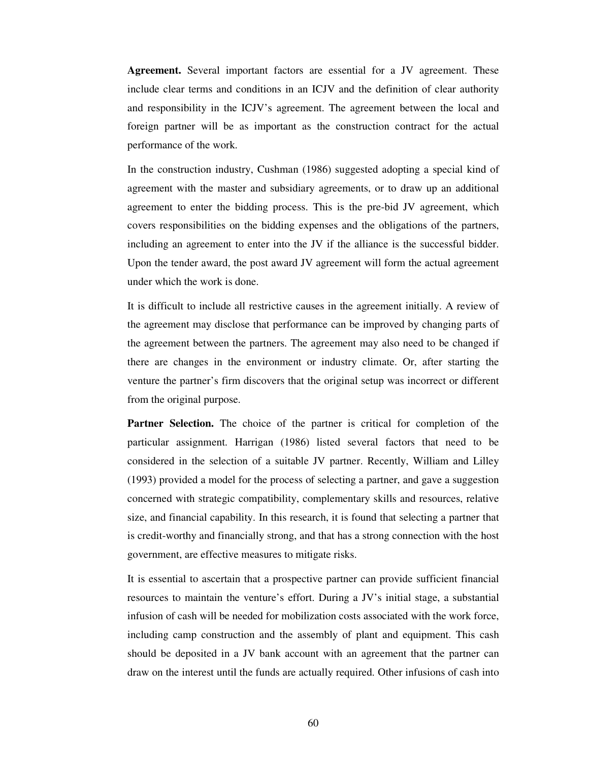**Agreement.** Several important factors are essential for a JV agreement. These include clear terms and conditions in an ICJV and the definition of clear authority and responsibility in the ICJV's agreement. The agreement between the local and foreign partner will be as important as the construction contract for the actual performance of the work.

In the construction industry, Cushman (1986) suggested adopting a special kind of agreement with the master and subsidiary agreements, or to draw up an additional agreement to enter the bidding process. This is the pre-bid JV agreement, which covers responsibilities on the bidding expenses and the obligations of the partners, including an agreement to enter into the JV if the alliance is the successful bidder. Upon the tender award, the post award JV agreement will form the actual agreement under which the work is done.

It is difficult to include all restrictive causes in the agreement initially. A review of the agreement may disclose that performance can be improved by changing parts of the agreement between the partners. The agreement may also need to be changed if there are changes in the environment or industry climate. Or, after starting the venture the partner's firm discovers that the original setup was incorrect or different from the original purpose.

**Partner Selection.** The choice of the partner is critical for completion of the particular assignment. Harrigan (1986) listed several factors that need to be considered in the selection of a suitable JV partner. Recently, William and Lilley (1993) provided a model for the process of selecting a partner, and gave a suggestion concerned with strategic compatibility, complementary skills and resources, relative size, and financial capability. In this research, it is found that selecting a partner that is credit-worthy and financially strong, and that has a strong connection with the host government, are effective measures to mitigate risks.

It is essential to ascertain that a prospective partner can provide sufficient financial resources to maintain the venture's effort. During a JV's initial stage, a substantial infusion of cash will be needed for mobilization costs associated with the work force, including camp construction and the assembly of plant and equipment. This cash should be deposited in a JV bank account with an agreement that the partner can draw on the interest until the funds are actually required. Other infusions of cash into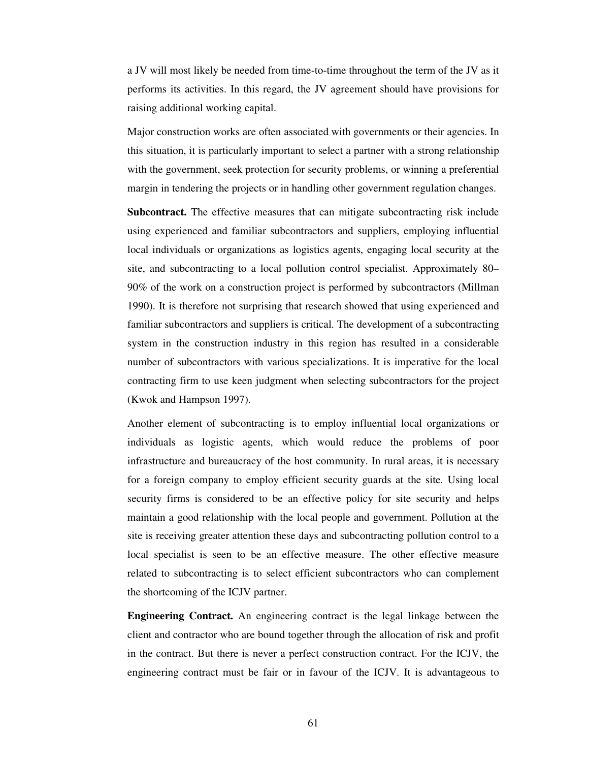a JV will most likely be needed from time-to-time throughout the term of the JV as it performs its activities. In this regard, the JV agreement should have provisions for raising additional working capital.

Major construction works are often associated with governments or their agencies. In this situation, it is particularly important to select a partner with a strong relationship with the government, seek protection for security problems, or winning a preferential margin in tendering the projects or in handling other government regulation changes.

**Subcontract.** The effective measures that can mitigate subcontracting risk include using experienced and familiar subcontractors and suppliers, employing influential local individuals or organizations as logistics agents, engaging local security at the site, and subcontracting to a local pollution control specialist. Approximately 80– 90% of the work on a construction project is performed by subcontractors (Millman 1990). It is therefore not surprising that research showed that using experienced and familiar subcontractors and suppliers is critical. The development of a subcontracting system in the construction industry in this region has resulted in a considerable number of subcontractors with various specializations. It is imperative for the local contracting firm to use keen judgment when selecting subcontractors for the project (Kwok and Hampson 1997).

Another element of subcontracting is to employ influential local organizations or individuals as logistic agents, which would reduce the problems of poor infrastructure and bureaucracy of the host community. In rural areas, it is necessary for a foreign company to employ efficient security guards at the site. Using local security firms is considered to be an effective policy for site security and helps maintain a good relationship with the local people and government. Pollution at the site is receiving greater attention these days and subcontracting pollution control to a local specialist is seen to be an effective measure. The other effective measure related to subcontracting is to select efficient subcontractors who can complement the shortcoming of the ICJV partner.

**Engineering Contract.** An engineering contract is the legal linkage between the client and contractor who are bound together through the allocation of risk and profit in the contract. But there is never a perfect construction contract. For the ICJV, the engineering contract must be fair or in favour of the ICJV. It is advantageous to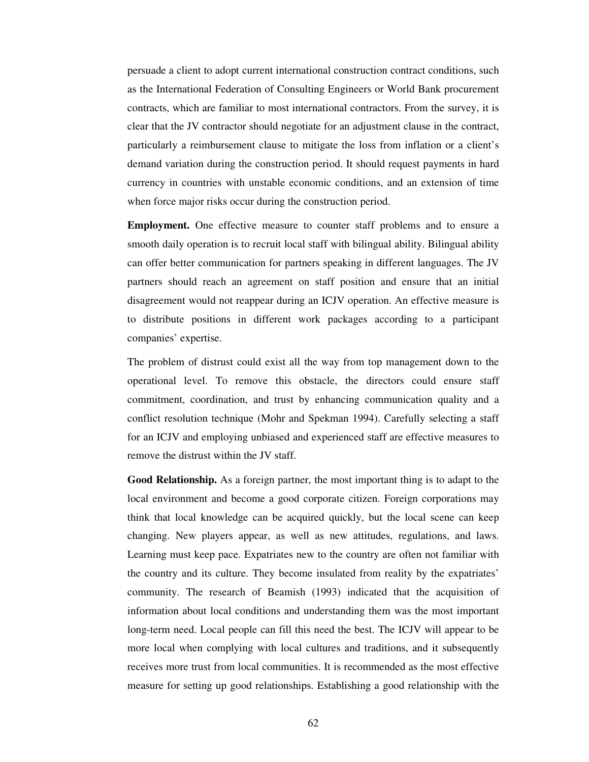persuade a client to adopt current international construction contract conditions, such as the International Federation of Consulting Engineers or World Bank procurement contracts, which are familiar to most international contractors. From the survey, it is clear that the JV contractor should negotiate for an adjustment clause in the contract, particularly a reimbursement clause to mitigate the loss from inflation or a client's demand variation during the construction period. It should request payments in hard currency in countries with unstable economic conditions, and an extension of time when force major risks occur during the construction period.

**Employment.** One effective measure to counter staff problems and to ensure a smooth daily operation is to recruit local staff with bilingual ability. Bilingual ability can offer better communication for partners speaking in different languages. The JV partners should reach an agreement on staff position and ensure that an initial disagreement would not reappear during an ICJV operation. An effective measure is to distribute positions in different work packages according to a participant companies' expertise.

The problem of distrust could exist all the way from top management down to the operational level. To remove this obstacle, the directors could ensure staff commitment, coordination, and trust by enhancing communication quality and a conflict resolution technique (Mohr and Spekman 1994). Carefully selecting a staff for an ICJV and employing unbiased and experienced staff are effective measures to remove the distrust within the JV staff.

**Good Relationship.** As a foreign partner, the most important thing is to adapt to the local environment and become a good corporate citizen. Foreign corporations may think that local knowledge can be acquired quickly, but the local scene can keep changing. New players appear, as well as new attitudes, regulations, and laws. Learning must keep pace. Expatriates new to the country are often not familiar with the country and its culture. They become insulated from reality by the expatriates' community. The research of Beamish (1993) indicated that the acquisition of information about local conditions and understanding them was the most important long-term need. Local people can fill this need the best. The ICJV will appear to be more local when complying with local cultures and traditions, and it subsequently receives more trust from local communities. It is recommended as the most effective measure for setting up good relationships. Establishing a good relationship with the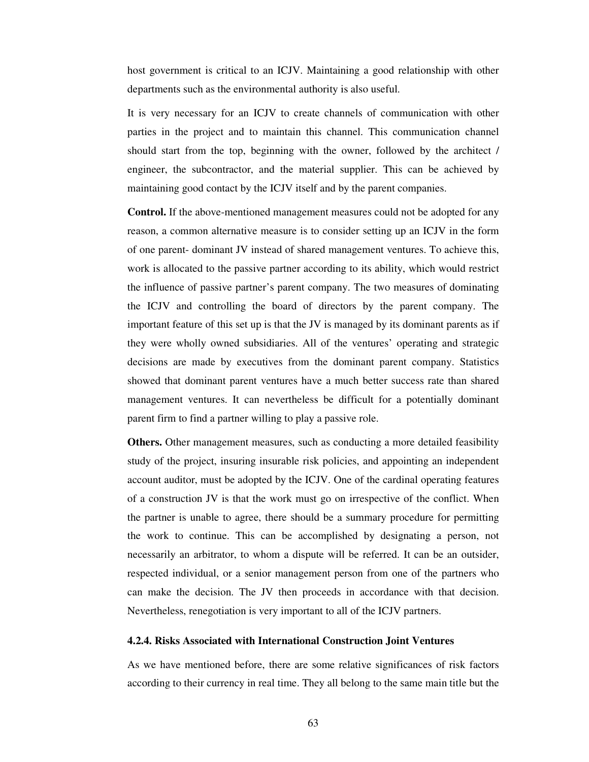host government is critical to an ICJV. Maintaining a good relationship with other departments such as the environmental authority is also useful.

It is very necessary for an ICJV to create channels of communication with other parties in the project and to maintain this channel. This communication channel should start from the top, beginning with the owner, followed by the architect / engineer, the subcontractor, and the material supplier. This can be achieved by maintaining good contact by the ICJV itself and by the parent companies.

**Control.** If the above-mentioned management measures could not be adopted for any reason, a common alternative measure is to consider setting up an ICJV in the form of one parent- dominant JV instead of shared management ventures. To achieve this, work is allocated to the passive partner according to its ability, which would restrict the influence of passive partner's parent company. The two measures of dominating the ICJV and controlling the board of directors by the parent company. The important feature of this set up is that the JV is managed by its dominant parents as if they were wholly owned subsidiaries. All of the ventures' operating and strategic decisions are made by executives from the dominant parent company. Statistics showed that dominant parent ventures have a much better success rate than shared management ventures. It can nevertheless be difficult for a potentially dominant parent firm to find a partner willing to play a passive role.

**Others.** Other management measures, such as conducting a more detailed feasibility study of the project, insuring insurable risk policies, and appointing an independent account auditor, must be adopted by the ICJV. One of the cardinal operating features of a construction JV is that the work must go on irrespective of the conflict. When the partner is unable to agree, there should be a summary procedure for permitting the work to continue. This can be accomplished by designating a person, not necessarily an arbitrator, to whom a dispute will be referred. It can be an outsider, respected individual, or a senior management person from one of the partners who can make the decision. The JV then proceeds in accordance with that decision. Nevertheless, renegotiation is very important to all of the ICJV partners.

# **4.2.4. Risks Associated with International Construction Joint Ventures**

As we have mentioned before, there are some relative significances of risk factors according to their currency in real time. They all belong to the same main title but the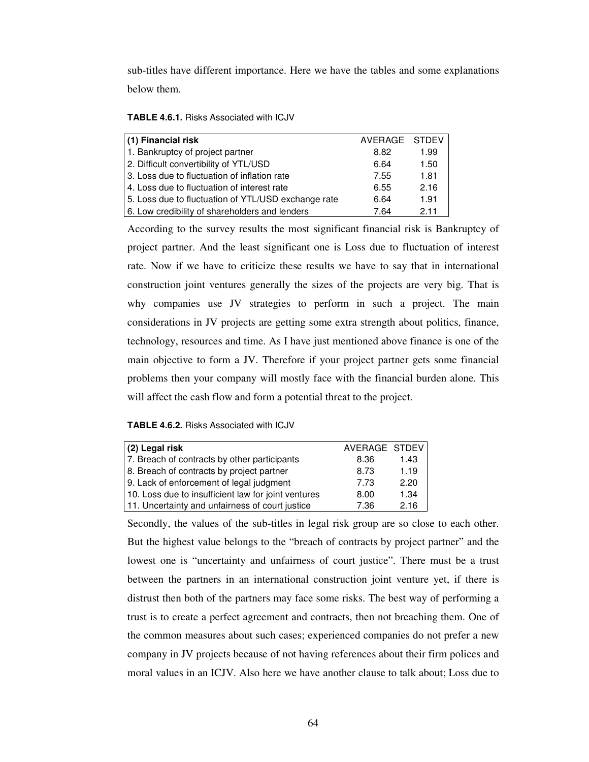sub-titles have different importance. Here we have the tables and some explanations below them.

| <b>TABLE 4.6.1.</b> Risks Associated with ICJV |  |  |  |  |
|------------------------------------------------|--|--|--|--|
|------------------------------------------------|--|--|--|--|

| (1) Financial risk                                  | AVERAGE STDEV |      |
|-----------------------------------------------------|---------------|------|
| 1. Bankruptcy of project partner                    | 8.82          | 1.99 |
| 2. Difficult convertibility of YTL/USD              | 6.64          | 1.50 |
| 3. Loss due to fluctuation of inflation rate        | 7.55          | 1.81 |
| 4. Loss due to fluctuation of interest rate         | 6.55          | 2.16 |
| 5. Loss due to fluctuation of YTL/USD exchange rate | 6.64          | 1.91 |
| 6. Low credibility of shareholders and lenders      | 7.64          | 2.11 |

According to the survey results the most significant financial risk is Bankruptcy of project partner. And the least significant one is Loss due to fluctuation of interest rate. Now if we have to criticize these results we have to say that in international construction joint ventures generally the sizes of the projects are very big. That is why companies use JV strategies to perform in such a project. The main considerations in JV projects are getting some extra strength about politics, finance, technology, resources and time. As I have just mentioned above finance is one of the main objective to form a JV. Therefore if your project partner gets some financial problems then your company will mostly face with the financial burden alone. This will affect the cash flow and form a potential threat to the project.

### **TABLE 4.6.2.** Risks Associated with ICJV

| $(2)$ Legal risk                                    | AVERAGE STDEV |      |
|-----------------------------------------------------|---------------|------|
| 7. Breach of contracts by other participants        | 8.36          | 1.43 |
| 8. Breach of contracts by project partner           | 8.73          | 1.19 |
| 9. Lack of enforcement of legal judgment            | 7.73          | 2.20 |
| 10. Loss due to insufficient law for joint ventures | 8.00          | 1.34 |
| 11. Uncertainty and unfairness of court justice     | 7.36          | 2.16 |

Secondly, the values of the sub-titles in legal risk group are so close to each other. But the highest value belongs to the "breach of contracts by project partner" and the lowest one is "uncertainty and unfairness of court justice". There must be a trust between the partners in an international construction joint venture yet, if there is distrust then both of the partners may face some risks. The best way of performing a trust is to create a perfect agreement and contracts, then not breaching them. One of the common measures about such cases; experienced companies do not prefer a new company in JV projects because of not having references about their firm polices and moral values in an ICJV. Also here we have another clause to talk about; Loss due to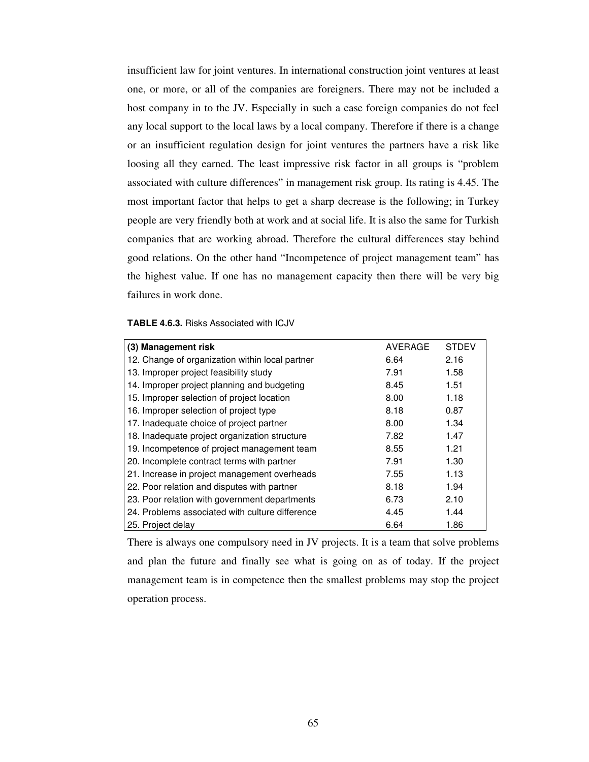insufficient law for joint ventures. In international construction joint ventures at least one, or more, or all of the companies are foreigners. There may not be included a host company in to the JV. Especially in such a case foreign companies do not feel any local support to the local laws by a local company. Therefore if there is a change or an insufficient regulation design for joint ventures the partners have a risk like loosing all they earned. The least impressive risk factor in all groups is "problem associated with culture differences" in management risk group. Its rating is 4.45. The most important factor that helps to get a sharp decrease is the following; in Turkey people are very friendly both at work and at social life. It is also the same for Turkish companies that are working abroad. Therefore the cultural differences stay behind good relations. On the other hand "Incompetence of project management team" has the highest value. If one has no management capacity then there will be very big failures in work done.

#### **TABLE 4.6.3.** Risks Associated with ICJV

| (3) Management risk                             | AVERAGE | <b>STDEV</b> |
|-------------------------------------------------|---------|--------------|
| 12. Change of organization within local partner | 6.64    | 2.16         |
| 13. Improper project feasibility study          | 7.91    | 1.58         |
| 14. Improper project planning and budgeting     | 8.45    | 1.51         |
| 15. Improper selection of project location      | 8.00    | 1.18         |
| 16. Improper selection of project type          | 8.18    | 0.87         |
| 17. Inadequate choice of project partner        | 8.00    | 1.34         |
| 18. Inadequate project organization structure   | 7.82    | 1.47         |
| 19. Incompetence of project management team     | 8.55    | 1.21         |
| 20. Incomplete contract terms with partner      | 7.91    | 1.30         |
| 21. Increase in project management overheads    | 7.55    | 1.13         |
| 22. Poor relation and disputes with partner     | 8.18    | 1.94         |
| 23. Poor relation with government departments   | 6.73    | 2.10         |
| 24. Problems associated with culture difference | 4.45    | 1.44         |
| 25. Project delay                               | 6.64    | 1.86         |

There is always one compulsory need in JV projects. It is a team that solve problems and plan the future and finally see what is going on as of today. If the project management team is in competence then the smallest problems may stop the project operation process.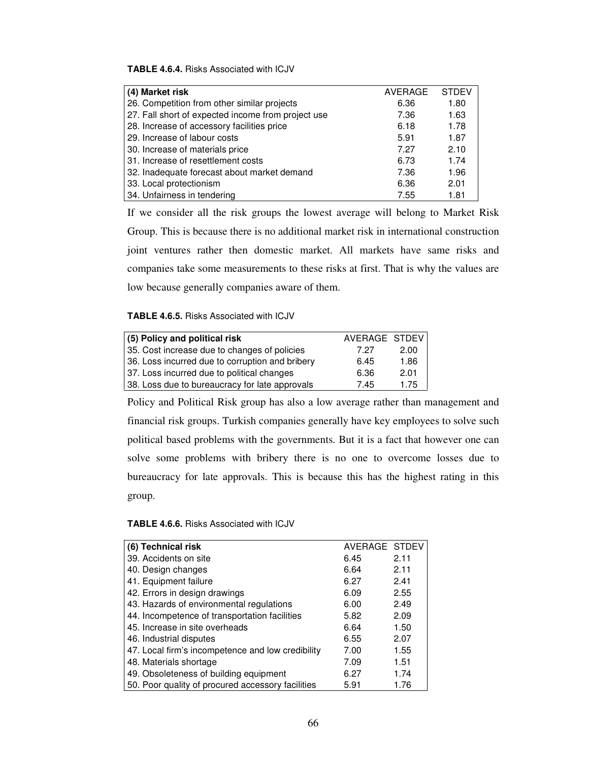**TABLE 4.6.4.** Risks Associated with ICJV

| (4) Market risk                                    | <b>AVERAGE</b> | <b>STDEV</b> |
|----------------------------------------------------|----------------|--------------|
| 26. Competition from other similar projects        | 6.36           | 1.80         |
| 27. Fall short of expected income from project use | 7.36           | 1.63         |
| 28. Increase of accessory facilities price         | 6.18           | 1.78         |
| 29. Increase of labour costs                       | 5.91           | 1.87         |
| 30. Increase of materials price                    | 7.27           | 2.10         |
| 31. Increase of resettlement costs                 | 6.73           | 1.74         |
| 32. Inadequate forecast about market demand        | 7.36           | 1.96         |
| 33. Local protectionism                            | 6.36           | 2.01         |
| 34. Unfairness in tendering                        | 7.55           | 1.81         |

If we consider all the risk groups the lowest average will belong to Market Risk Group. This is because there is no additional market risk in international construction joint ventures rather then domestic market. All markets have same risks and companies take some measurements to these risks at first. That is why the values are low because generally companies aware of them.

#### **TABLE 4.6.5.** Risks Associated with ICJV

| (5) Policy and political risk                   | AVERAGE STDEV |      |
|-------------------------------------------------|---------------|------|
| 35. Cost increase due to changes of policies    | 7.27          | 2.00 |
| 36. Loss incurred due to corruption and bribery | 6.45          | 1.86 |
| 37. Loss incurred due to political changes      | 6.36          | 2.01 |
| 38. Loss due to bureaucracy for late approvals  | 7.45          | 1.75 |

Policy and Political Risk group has also a low average rather than management and financial risk groups. Turkish companies generally have key employees to solve such political based problems with the governments. But it is a fact that however one can solve some problems with bribery there is no one to overcome losses due to bureaucracy for late approvals. This is because this has the highest rating in this group.

# **TABLE 4.6.6.** Risks Associated with ICJV

| (6) Technical risk                                | AVERAGE STDEV |      |
|---------------------------------------------------|---------------|------|
| 39. Accidents on site                             | 6.45          | 2.11 |
| 40. Design changes                                | 6.64          | 2.11 |
| 41. Equipment failure                             | 6.27          | 2.41 |
| 42. Errors in design drawings                     | 6.09          | 2.55 |
| 43. Hazards of environmental regulations          | 6.00          | 2.49 |
| 44. Incompetence of transportation facilities     | 5.82          | 2.09 |
| 45. Increase in site overheads                    | 6.64          | 1.50 |
| 46. Industrial disputes                           | 6.55          | 2.07 |
| 47. Local firm's incompetence and low credibility | 7.00          | 1.55 |
| 48. Materials shortage                            | 7.09          | 1.51 |
| 49. Obsoleteness of building equipment            | 6.27          | 1.74 |
| 50. Poor quality of procured accessory facilities | 5.91          | 1.76 |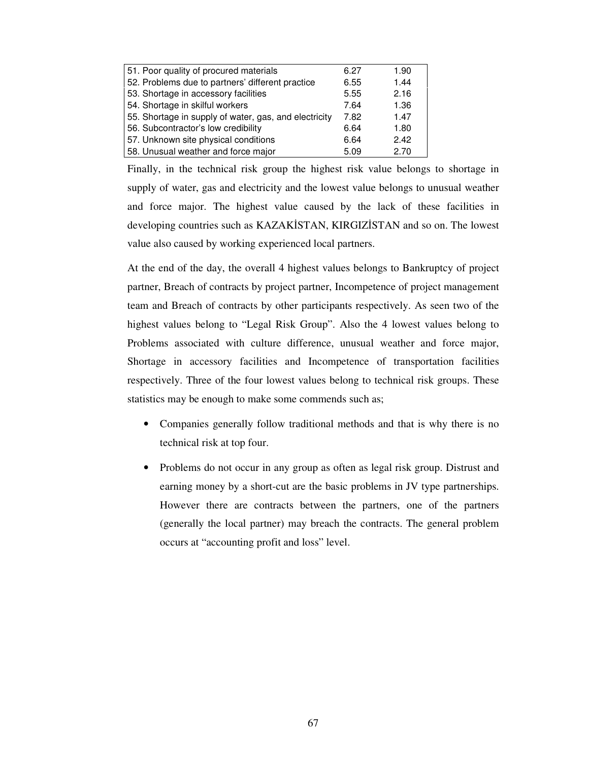| 51. Poor quality of procured materials                | 6.27 | 1.90 |
|-------------------------------------------------------|------|------|
| 52. Problems due to partners' different practice      | 6.55 | 1.44 |
| 53. Shortage in accessory facilities                  | 5.55 | 2.16 |
| 54. Shortage in skilful workers                       | 7.64 | 1.36 |
| 55. Shortage in supply of water, gas, and electricity | 7.82 | 1.47 |
| 56. Subcontractor's low credibility                   | 6.64 | 1.80 |
| 57. Unknown site physical conditions                  | 6.64 | 2.42 |
| 58. Unusual weather and force major                   | 5.09 | 2.70 |

Finally, in the technical risk group the highest risk value belongs to shortage in supply of water, gas and electricity and the lowest value belongs to unusual weather and force major. The highest value caused by the lack of these facilities in developing countries such as KAZAKİSTAN, KIRGIZİSTAN and so on. The lowest value also caused by working experienced local partners.

At the end of the day, the overall 4 highest values belongs to Bankruptcy of project partner, Breach of contracts by project partner, Incompetence of project management team and Breach of contracts by other participants respectively. As seen two of the highest values belong to "Legal Risk Group". Also the 4 lowest values belong to Problems associated with culture difference, unusual weather and force major, Shortage in accessory facilities and Incompetence of transportation facilities respectively. Three of the four lowest values belong to technical risk groups. These statistics may be enough to make some commends such as;

- Companies generally follow traditional methods and that is why there is no technical risk at top four.
- Problems do not occur in any group as often as legal risk group. Distrust and earning money by a short-cut are the basic problems in JV type partnerships. However there are contracts between the partners, one of the partners (generally the local partner) may breach the contracts. The general problem occurs at "accounting profit and loss" level.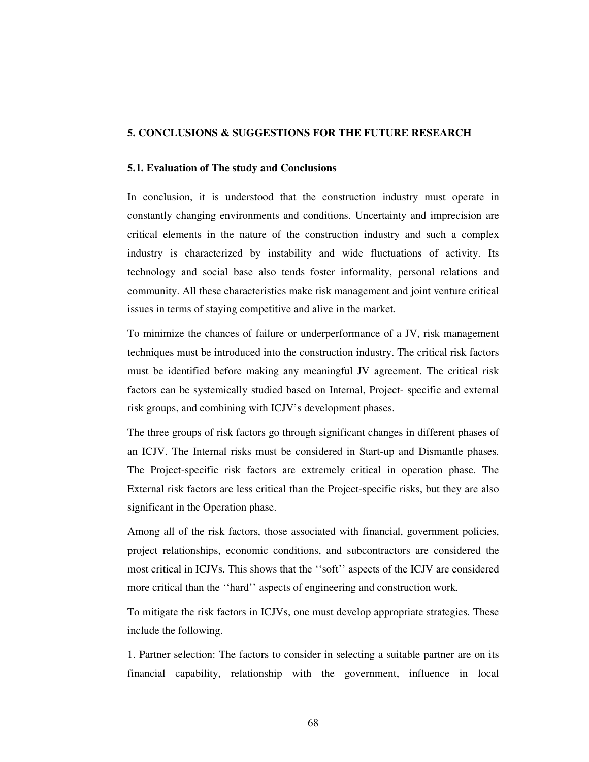# **5. CONCLUSIONS & SUGGESTIONS FOR THE FUTURE RESEARCH**

#### **5.1. Evaluation of The study and Conclusions**

In conclusion, it is understood that the construction industry must operate in constantly changing environments and conditions. Uncertainty and imprecision are critical elements in the nature of the construction industry and such a complex industry is characterized by instability and wide fluctuations of activity. Its technology and social base also tends foster informality, personal relations and community. All these characteristics make risk management and joint venture critical issues in terms of staying competitive and alive in the market.

To minimize the chances of failure or underperformance of a JV, risk management techniques must be introduced into the construction industry. The critical risk factors must be identified before making any meaningful JV agreement. The critical risk factors can be systemically studied based on Internal, Project- specific and external risk groups, and combining with ICJV's development phases.

The three groups of risk factors go through significant changes in different phases of an ICJV. The Internal risks must be considered in Start-up and Dismantle phases. The Project-specific risk factors are extremely critical in operation phase. The External risk factors are less critical than the Project-specific risks, but they are also significant in the Operation phase.

Among all of the risk factors, those associated with financial, government policies, project relationships, economic conditions, and subcontractors are considered the most critical in ICJVs. This shows that the ''soft'' aspects of the ICJV are considered more critical than the ''hard'' aspects of engineering and construction work.

To mitigate the risk factors in ICJVs, one must develop appropriate strategies. These include the following.

1. Partner selection: The factors to consider in selecting a suitable partner are on its financial capability, relationship with the government, influence in local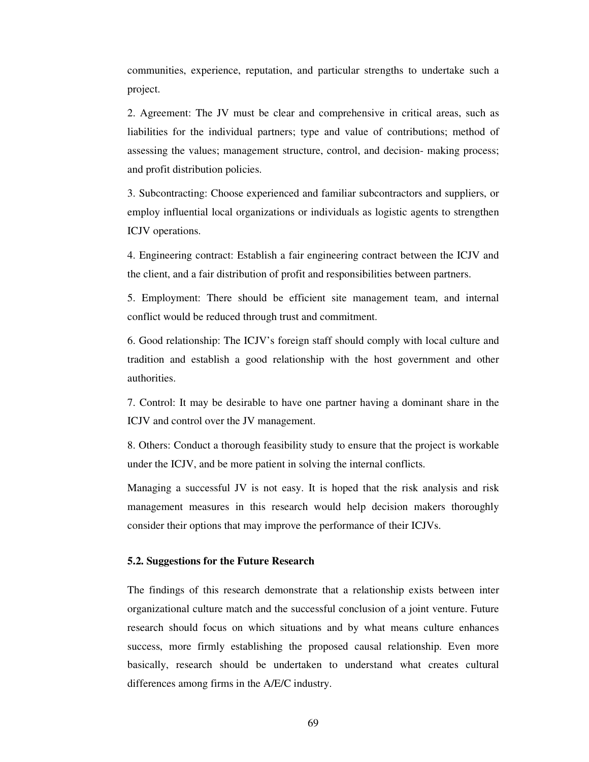communities, experience, reputation, and particular strengths to undertake such a project.

2. Agreement: The JV must be clear and comprehensive in critical areas, such as liabilities for the individual partners; type and value of contributions; method of assessing the values; management structure, control, and decision- making process; and profit distribution policies.

3. Subcontracting: Choose experienced and familiar subcontractors and suppliers, or employ influential local organizations or individuals as logistic agents to strengthen ICJV operations.

4. Engineering contract: Establish a fair engineering contract between the ICJV and the client, and a fair distribution of profit and responsibilities between partners.

5. Employment: There should be efficient site management team, and internal conflict would be reduced through trust and commitment.

6. Good relationship: The ICJV's foreign staff should comply with local culture and tradition and establish a good relationship with the host government and other authorities.

7. Control: It may be desirable to have one partner having a dominant share in the ICJV and control over the JV management.

8. Others: Conduct a thorough feasibility study to ensure that the project is workable under the ICJV, and be more patient in solving the internal conflicts.

Managing a successful JV is not easy. It is hoped that the risk analysis and risk management measures in this research would help decision makers thoroughly consider their options that may improve the performance of their ICJVs.

### **5.2. Suggestions for the Future Research**

The findings of this research demonstrate that a relationship exists between inter organizational culture match and the successful conclusion of a joint venture. Future research should focus on which situations and by what means culture enhances success, more firmly establishing the proposed causal relationship. Even more basically, research should be undertaken to understand what creates cultural differences among firms in the A/E/C industry.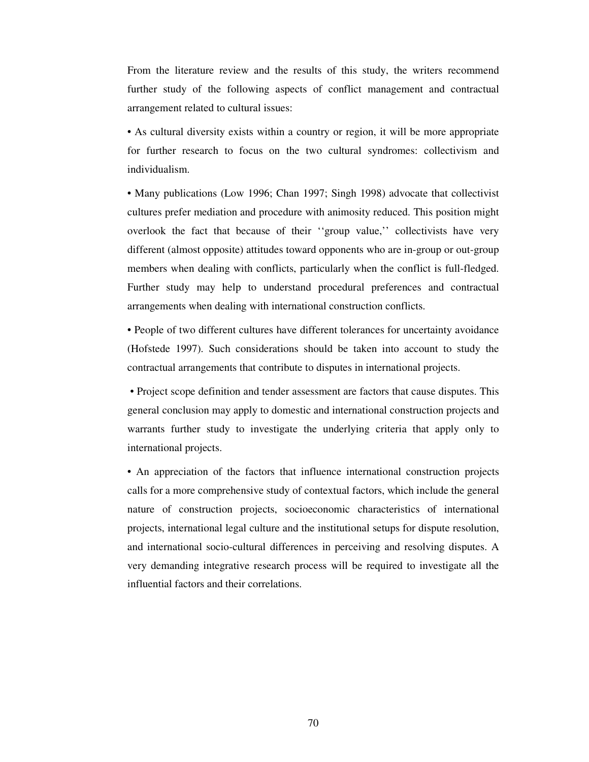From the literature review and the results of this study, the writers recommend further study of the following aspects of conflict management and contractual arrangement related to cultural issues:

• As cultural diversity exists within a country or region, it will be more appropriate for further research to focus on the two cultural syndromes: collectivism and individualism.

• Many publications (Low 1996; Chan 1997; Singh 1998) advocate that collectivist cultures prefer mediation and procedure with animosity reduced. This position might overlook the fact that because of their ''group value,'' collectivists have very different (almost opposite) attitudes toward opponents who are in-group or out-group members when dealing with conflicts, particularly when the conflict is full-fledged. Further study may help to understand procedural preferences and contractual arrangements when dealing with international construction conflicts.

• People of two different cultures have different tolerances for uncertainty avoidance (Hofstede 1997). Such considerations should be taken into account to study the contractual arrangements that contribute to disputes in international projects.

 • Project scope definition and tender assessment are factors that cause disputes. This general conclusion may apply to domestic and international construction projects and warrants further study to investigate the underlying criteria that apply only to international projects.

• An appreciation of the factors that influence international construction projects calls for a more comprehensive study of contextual factors, which include the general nature of construction projects, socioeconomic characteristics of international projects, international legal culture and the institutional setups for dispute resolution, and international socio-cultural differences in perceiving and resolving disputes. A very demanding integrative research process will be required to investigate all the influential factors and their correlations.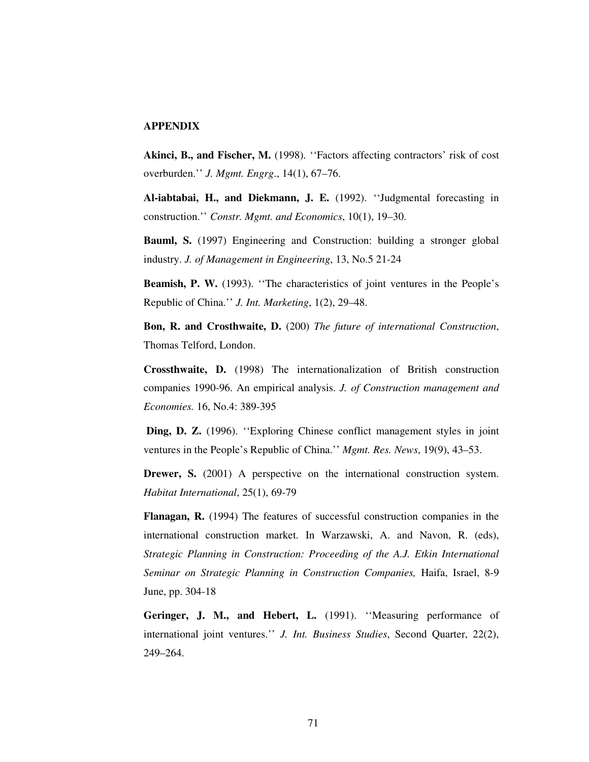## **APPENDIX**

**Akinci, B., and Fischer, M.** (1998). ''Factors affecting contractors' risk of cost overburden.'' *J. Mgmt. Engrg*., 14(1), 67–76.

**Al-iabtabai, H., and Diekmann, J. E.** (1992). ''Judgmental forecasting in construction.'' *Constr. Mgmt. and Economics*, 10(1), 19–30.

**Bauml, S.** (1997) Engineering and Construction: building a stronger global industry. *J. of Management in Engineering*, 13, No.5 21-24

**Beamish, P. W.** (1993). ''The characteristics of joint ventures in the People's Republic of China.'' *J. Int. Marketing*, 1(2), 29–48.

**Bon, R. and Crosthwaite, D.** (200) *The future of international Construction*, Thomas Telford, London.

**Crossthwaite, D.** (1998) The internationalization of British construction companies 1990-96. An empirical analysis. *J. of Construction management and Economies.* 16, No.4: 389-395

**Ding, D. Z.** (1996). ''Exploring Chinese conflict management styles in joint ventures in the People's Republic of China.'' *Mgmt. Res. News*, 19(9), 43–53.

**Drewer, S.** (2001) A perspective on the international construction system. *Habitat International*, 25(1), 69-79

**Flanagan, R.** (1994) The features of successful construction companies in the international construction market. In Warzawski, A. and Navon, R. (eds), *Strategic Planning in Construction: Proceeding of the A.J. Etkin International Seminar on Strategic Planning in Construction Companies,* Haifa, Israel, 8-9 June, pp. 304-18

Geringer, J. M., and Hebert, L. (1991). "Measuring performance of international joint ventures.'' *J. Int. Business Studies*, Second Quarter, 22(2), 249–264.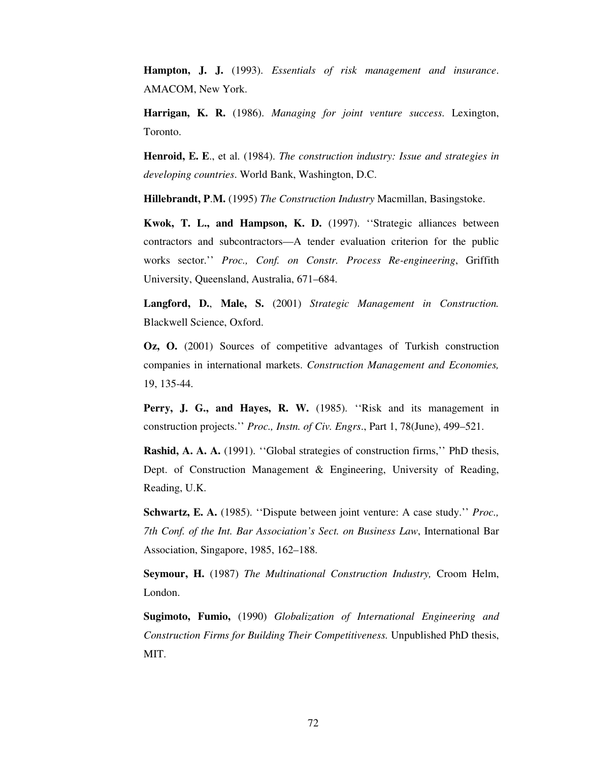**Hampton, J. J.** (1993). *Essentials of risk management and insurance*. AMACOM, New York.

**Harrigan, K. R.** (1986). *Managing for joint venture success*. Lexington, Toronto.

**Henroid, E. E**., et al. (1984). *The construction industry: Issue and strategies in developing countries*. World Bank, Washington, D.C.

**Hillebrandt, P**.**M.** (1995) *The Construction Industry* Macmillan, Basingstoke.

**Kwok, T. L., and Hampson, K. D.** (1997). ''Strategic alliances between contractors and subcontractors—A tender evaluation criterion for the public works sector.'' *Proc., Conf. on Constr. Process Re-engineering*, Griffith University, Queensland, Australia, 671–684.

**Langford, D.**, **Male, S.** (2001) *Strategic Management in Construction.*  Blackwell Science, Oxford.

**Oz, O.** (2001) Sources of competitive advantages of Turkish construction companies in international markets. *Construction Management and Economies,* 19, 135-44.

Perry, J. G., and Hayes, R. W. (1985). "Risk and its management in construction projects.'' *Proc., Instn. of Civ. Engrs*., Part 1, 78(June), 499–521.

**Rashid, A. A. A.** (1991). ''Global strategies of construction firms,'' PhD thesis, Dept. of Construction Management & Engineering, University of Reading, Reading, U.K.

**Schwartz, E. A.** (1985). ''Dispute between joint venture: A case study.'' *Proc., 7th Conf. of the Int. Bar Association's Sect. on Business Law*, International Bar Association, Singapore, 1985, 162–188.

**Seymour, H.** (1987) *The Multinational Construction Industry,* Croom Helm, London.

**Sugimoto, Fumio,** (1990) *Globalization of International Engineering and Construction Firms for Building Their Competitiveness.* Unpublished PhD thesis, MIT.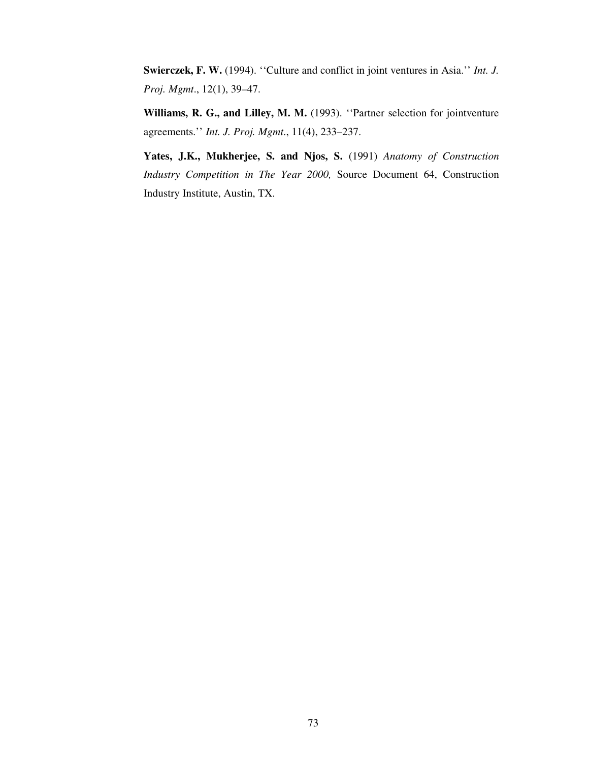**Swierczek, F. W.** (1994). ''Culture and conflict in joint ventures in Asia.'' *Int. J. Proj. Mgmt*., 12(1), 39–47.

**Williams, R. G., and Lilley, M. M.** (1993). ''Partner selection for jointventure agreements.'' *Int. J. Proj. Mgmt*., 11(4), 233–237.

**Yates, J.K., Mukherjee, S. and Njos, S.** (1991) *Anatomy of Construction Industry Competition in The Year 2000,* Source Document 64, Construction Industry Institute, Austin, TX.